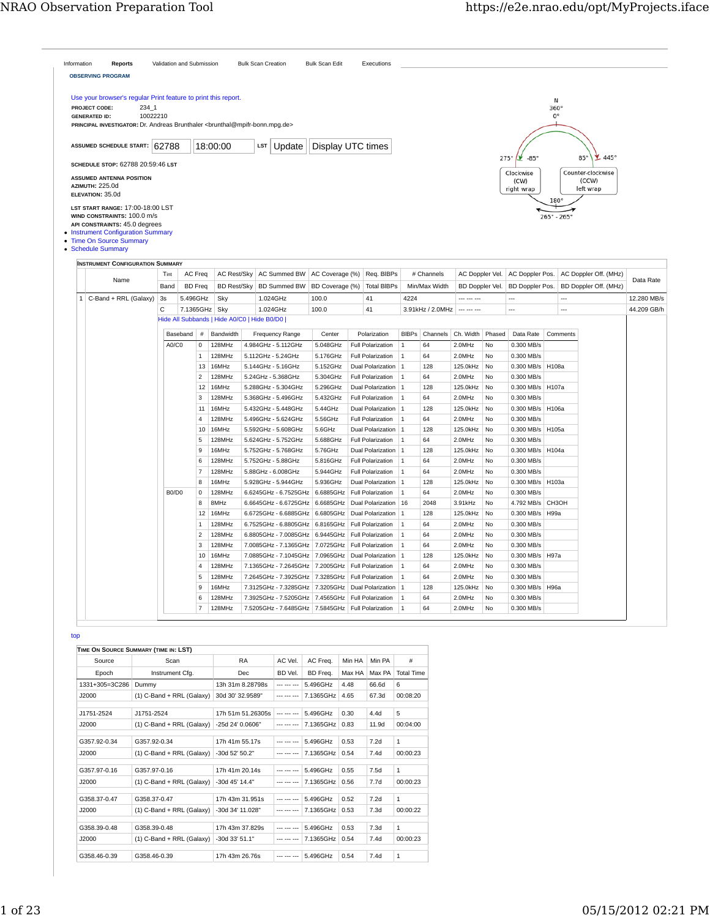|     | Use your browser's regular Print feature to print this report.<br>234 1<br>PROJECT CODE:<br>10022210<br><b>GENERATED ID:</b><br>PRINCIPAL INVESTIGATOR: Dr. Andreas Brunthaler<br>brunthal@mpifr-bonn.mpg.de> |    |              |                           |                     |                                             |                     |                                     |                                                                                        |                                   |                |                             |                                    |          |                                    | Ν<br>$360^\circ$<br>$0^{\circ}$ |                                                |             |
|-----|---------------------------------------------------------------------------------------------------------------------------------------------------------------------------------------------------------------|----|--------------|---------------------------|---------------------|---------------------------------------------|---------------------|-------------------------------------|----------------------------------------------------------------------------------------|-----------------------------------|----------------|-----------------------------|------------------------------------|----------|------------------------------------|---------------------------------|------------------------------------------------|-------------|
|     | ASSUMED SCHEDULE START: 62788                                                                                                                                                                                 |    |              |                           |                     | 18:00:00                                    | LST                 | Update                              | Display UTC times                                                                      |                                   |                |                             |                                    |          |                                    |                                 |                                                |             |
|     | SCHEDULE STOP: 62788 20:59:46 LST                                                                                                                                                                             |    |              |                           |                     |                                             |                     |                                     |                                                                                        |                                   |                |                             |                                    | 275°     | $-85^\circ$<br>Ÿ                   |                                 | $445^\circ$<br>$85^\circ$                      |             |
|     | <b>ASSUMED ANTENNA POSITION</b><br>AZIMUTH: 225.0d<br>ELEVATION: 35.0d                                                                                                                                        |    |              |                           |                     |                                             |                     |                                     |                                                                                        |                                   |                |                             |                                    |          | Clockwise<br>(CW)<br>right wrap    | 180°                            | Counter-clockwise<br>(CCW)<br>left wrap        |             |
|     | LST START RANGE: 17:00-18:00 LST<br>WIND CONSTRAINTS: 100.0 m/s<br>API CONSTRAINTS: 45.0 degrees<br>• Instrument Configuration Summary<br>• Time On Source Summary<br>• Schedule Summary                      |    |              |                           |                     |                                             |                     |                                     |                                                                                        |                                   |                |                             |                                    |          |                                    | $265^{\circ} - 265^{\circ}$     |                                                |             |
|     | <b>INSTRUMENT CONFIGURATION SUMMARY</b>                                                                                                                                                                       |    |              |                           |                     |                                             |                     |                                     |                                                                                        |                                   |                |                             |                                    |          |                                    |                                 |                                                |             |
|     | Name                                                                                                                                                                                                          |    | Tint<br>Band | AC Freq<br><b>BD</b> Freq |                     | <b>AC Rest/Sky</b><br><b>BD Rest/Sky</b>    |                     | AC Summed BW<br><b>BD Summed BW</b> | AC Coverage (%)<br>BD Coverage (%)                                                     | Req. BIBPs<br><b>Total BIBPs</b>  |                | # Channels<br>Min/Max Width | AC Doppler Vel.<br>BD Doppler Vel. |          | AC Doppler Pos.<br>BD Doppler Pos. |                                 | AC Doppler Off. (MHz)<br>BD Doppler Off. (MHz) | Data Rate   |
|     | $1   C-Band + RRL (Galaxy)$                                                                                                                                                                                   | 3s |              | 5.496GHz                  |                     | Sky                                         | 1.024GHz            |                                     | 100.0                                                                                  | 41                                | 4224           |                             | --- --- ---                        |          | ---                                | $\cdots$                        |                                                | 12.280 MB/s |
|     |                                                                                                                                                                                                               | C  |              | 7.1365GHz Sky             |                     |                                             | 1.024GHz            |                                     | 100.0                                                                                  | 41                                |                | 3.91kHz / 2.0MHz            |                                    |          | ---                                |                                 |                                                | 44.209 GB/h |
|     |                                                                                                                                                                                                               |    |              |                           |                     | Hide All Subbands   Hide A0/C0   Hide B0/D0 |                     |                                     |                                                                                        |                                   |                |                             |                                    |          |                                    |                                 |                                                |             |
|     |                                                                                                                                                                                                               |    | Baseband     |                           | $\#$                | Bandwidth                                   |                     | Frequency Range                     | Center                                                                                 | Polarization                      | <b>BIBPS</b>   | Channels                    | Ch. Width                          | Phased   | Data Rate                          | Comments                        |                                                |             |
|     |                                                                                                                                                                                                               |    | A0/C0        |                           | 0                   | 128MHz                                      | 4.984GHz - 5.112GHz |                                     | 5.048GHz                                                                               | <b>Full Polarization</b>          | 1              | 64                          | 2.0MHz                             | No       | 0.300 MB/s                         |                                 |                                                |             |
|     |                                                                                                                                                                                                               |    |              |                           | $\mathbf 1$         | 128MHz                                      | 5.112GHz - 5.24GHz  |                                     | 5.176GHz                                                                               | <b>Full Polarization</b>          | 1              | 64                          | 2.0MHz                             | No       | 0.300 MB/s                         |                                 |                                                |             |
|     |                                                                                                                                                                                                               |    |              |                           | 13                  | 16MHz                                       | 5.144GHz - 5.16GHz  |                                     | 5.152GHz                                                                               | <b>Dual Polarization</b>          | 1              | 128                         | 125.0kHz                           | No       | 0.300 MB/s                         | H108a                           |                                                |             |
|     |                                                                                                                                                                                                               |    |              |                           | $\overline{2}$      | 128MHz                                      | 5.24GHz - 5.368GHz  |                                     | 5.304GHz                                                                               | <b>Full Polarization</b>          | 1              | 64                          | 2.0MHz                             | No       | 0.300 MB/s                         |                                 |                                                |             |
|     |                                                                                                                                                                                                               |    |              |                           | 12                  | 16MHz                                       |                     | 5.288GHz - 5.304GHz                 | 5.296GHz                                                                               | <b>Dual Polarization</b>          | 1              | 128                         | 125.0kHz                           | No       | 0.300 MB/s                         | H107a                           |                                                |             |
|     |                                                                                                                                                                                                               |    |              |                           | 3                   | 128MHz                                      |                     | 5.368GHz - 5.496GHz                 | 5.432GHz                                                                               | <b>Full Polarization</b>          | $\mathbf 1$    | 64                          | 2.0MHz                             | No       | 0.300 MB/s                         |                                 |                                                |             |
|     |                                                                                                                                                                                                               |    |              |                           | 11                  | 16MHz                                       |                     | 5.432GHz - 5.448GHz                 | 5.44GHz                                                                                | Dual Polarization                 | $\vert$ 1      | 128                         | 125.0kHz                           | No       | 0.300 MB/s                         | H106a                           |                                                |             |
|     |                                                                                                                                                                                                               |    |              |                           | $\overline{4}$      | 128MHz                                      |                     | 5.496GHz - 5.624GHz                 | 5.56GHz                                                                                | <b>Full Polarization</b>          | $\mathbf 1$    | 64                          | 2.0MHz                             | No       | 0.300 MB/s                         |                                 |                                                |             |
|     |                                                                                                                                                                                                               |    |              |                           | 10                  | 16MHz                                       |                     | 5.592GHz - 5.608GHz                 | 5.6GHz                                                                                 | Dual Polarization                 | $\vert$ 1      | 128                         | 125.0kHz                           | No       | 0.300 MB/s                         | H105a                           |                                                |             |
|     |                                                                                                                                                                                                               |    |              |                           | 5                   | 128MHz                                      |                     | 5.624GHz - 5.752GHz                 | 5.688GHz                                                                               | <b>Full Polarization</b>          | 1              | 64                          | 2.0MHz                             | No       | 0.300 MB/s                         |                                 |                                                |             |
|     |                                                                                                                                                                                                               |    |              |                           | 9                   | 16MHz                                       |                     | 5.752GHz - 5.768GHz                 | 5.76GHz                                                                                | Dual Polarization   1             |                | 128                         | 125.0kHz                           | No       | 0.300 MB/s                         | H104a                           |                                                |             |
|     |                                                                                                                                                                                                               |    |              |                           | 6                   | 128MHz                                      | 5.752GHz - 5.88GHz  |                                     | 5.816GHz                                                                               | Full Polarization                 | 1              | 64                          | 2.0MHz                             | No       | 0.300 MB/s                         |                                 |                                                |             |
|     |                                                                                                                                                                                                               |    |              |                           | $\overline{7}$      | 128MHz                                      | 5.88GHz - 6.008GHz  |                                     | 5.944GHz                                                                               | <b>Full Polarization</b>          | 1              | 64                          | 2.0MHz                             | No       | 0.300 MB/s                         |                                 |                                                |             |
|     |                                                                                                                                                                                                               |    |              |                           | 8                   | 16MHz                                       |                     | 5.928GHz - 5.944GHz                 | 5.936GHz                                                                               | Dual Polarization   1             |                | 128                         | 125.0kHz                           | No       | 0.300 MB/s                         | H103a                           |                                                |             |
|     |                                                                                                                                                                                                               |    | B0/D0        |                           | $\mathsf 0$         | 128MHz                                      |                     | 6.6245GHz - 6.7525GHz               | 6.6885GHz                                                                              | <b>Full Polarization</b>          | $\vert$ 1      | 64                          | 2.0MHz                             | No       | 0.300 MB/s                         |                                 |                                                |             |
|     |                                                                                                                                                                                                               |    |              |                           | 8                   | 8MHz                                        |                     | 6.6645GHz - 6.6725GHz               |                                                                                        | 6.6685GHz Dual Polarization 16    |                | 2048                        | 3.91kHz                            | No       | 4.792 MB/s                         | СНЗОН                           |                                                |             |
|     |                                                                                                                                                                                                               |    |              |                           | 12                  | 16MHz                                       |                     | 6.6725GHz - 6.6885GHz               |                                                                                        | 6.6805GHz   Dual Polarization   1 |                | 128                         | 125.0kHz                           | No       | 0.300 MB/s                         | <b>H99a</b>                     |                                                |             |
|     |                                                                                                                                                                                                               |    |              |                           | 1                   | 128MHz                                      |                     | 6.7525GHz - 6.8805GHz               | 6.8165GHz   Full Polarization                                                          |                                   | $\vert$ 1      | 64                          | 2.0MHz                             | No       | 0.300 MB/s                         |                                 |                                                |             |
|     |                                                                                                                                                                                                               |    |              |                           | $\overline{c}$<br>3 | 128MHz<br>128MHz                            |                     | 6.8805GHz - 7.0085GHz               | 6.9445GHz   Full Polarization<br>7.0085GHz - 7.1365GHz   7.0725GHz   Full Polarization |                                   | $\vert$ 1      | 64<br>64                    | 2.0MHz                             | No       | 0.300 MB/s<br>0.300 MB/s           |                                 |                                                |             |
|     |                                                                                                                                                                                                               |    |              |                           | 10                  | 16MHz                                       |                     | 7.0885GHz - 7.1045GHz               |                                                                                        | <b>Dual Polarization</b>          | 1<br>$\vert$ 1 | 128                         | 2.0MHz                             | No<br>No |                                    | H97a                            |                                                |             |
|     |                                                                                                                                                                                                               |    |              |                           | 4                   | 128MHz                                      |                     | 7.1365GHz - 7.2645GHz               | 7.0965GHz<br>7.2005GHz   Full Polarization                                             |                                   | 1              | 64                          | 125.0kHz<br>2.0MHz                 | No       | 0.300 MB/s<br>0.300 MB/s           |                                 |                                                |             |
|     |                                                                                                                                                                                                               |    |              |                           | 5                   | 128MHz                                      |                     |                                     | 7.2645GHz - 7.3925GHz 7.3285GHz Full Polarization                                      |                                   | $\vert$ 1      | 64                          | 2.0MHz                             | No       | 0.300 MB/s                         |                                 |                                                |             |
|     |                                                                                                                                                                                                               |    |              |                           | 9                   | 16MHz                                       |                     |                                     | 7.3125GHz - 7.3285GHz 7.3205GHz Dual Polarization 1                                    |                                   |                | 128                         | 125.0kHz No                        |          | 0.300 MB/s   H96a                  |                                 |                                                |             |
|     |                                                                                                                                                                                                               |    |              |                           | 6                   | 128MHz                                      |                     |                                     | 7.3925GHz - 7.5205GHz   7.4565GHz   Full Polarization                                  |                                   |                | 64                          | 2.0MHz                             | No       | 0.300 MB/s                         |                                 |                                                |             |
|     |                                                                                                                                                                                                               |    |              |                           | $\overline{7}$      | 128MHz                                      |                     |                                     | 7.5205GHz - 7.6485GHz   7.5845GHz   Full Polarization                                  |                                   | $\mathbf{1}$   | 64                          | 2.0MHz                             | No       | 0.300 MB/s                         |                                 |                                                |             |
|     |                                                                                                                                                                                                               |    |              |                           |                     |                                             |                     |                                     |                                                                                        |                                   |                |                             |                                    |          |                                    |                                 |                                                |             |
| top |                                                                                                                                                                                                               |    |              |                           |                     |                                             |                     |                                     |                                                                                        |                                   |                |                             |                                    |          |                                    |                                 |                                                |             |
|     |                                                                                                                                                                                                               |    |              |                           |                     |                                             |                     |                                     |                                                                                        |                                   |                |                             |                                    |          |                                    |                                 |                                                |             |
|     | TIME ON SOURCE SUMMARY (TIME IN: LST)<br>Source                                                                                                                                                               |    | Scan         |                           |                     | <b>RA</b>                                   |                     |                                     |                                                                                        |                                   |                |                             |                                    |          |                                    |                                 |                                                |             |
|     |                                                                                                                                                                                                               |    |              |                           |                     |                                             |                     | AC Vel.                             | AC Freq.                                                                               | Min HA   Min PA                   | #              |                             |                                    |          |                                    |                                 |                                                |             |

|                | TIME ON SOURCE SUMMARY (TIME IN: LST) |                    |             |           |        |                  |                   |
|----------------|---------------------------------------|--------------------|-------------|-----------|--------|------------------|-------------------|
| Source         | Scan                                  | <b>RA</b>          | AC Vel.     | AC Freq.  | Min HA | Min PA           | #                 |
| Epoch          | Instrument Cfg.                       | Dec                | BD Vel.     | BD Freq.  | Max HA | Max PA           | <b>Total Time</b> |
| 1331+305=3C286 | Dummy                                 | 13h 31m 8.28798s   | --- --- --- | 5.496GHz  | 4.48   | 66.6d            | 6                 |
| J2000          | $(1)$ C-Band + RRL (Galaxy)           | 30d 30' 32.9589"   | --- --- --- | 7.1365GHz | 4.65   | 67.3d            | 00:08:20          |
| J1751-2524     | J1751-2524                            | 17h 51m 51.26305s  | --- --- --- | 5.496GHz  | 0.30   | 4.4 <sub>d</sub> | 5                 |
| J2000          | (1) C-Band + RRL (Galaxy)             | $-25d$ 24' 0.0606" | --- --- --- | 7.1365GHz | 0.83   | 11.9d            | 00:04:00          |
| G357.92-0.34   | G357.92-0.34                          | 17h 41m 55.17s     | --- --- --- | 5.496GHz  | 0.53   | 7.2d             | $\mathbf{1}$      |
| J2000          | (1) C-Band + RRL (Galaxy)             | -30d 52' 50.2"     | --- --- --- | 7.1365GHz | 0.54   | 7.4d             | 00:00:23          |
| G357.97-0.16   | G357.97-0.16                          | 17h 41m 20.14s     | --- --- --- | 5.496GHz  | 0.55   | 7.5d             | $\mathbf{1}$      |
| J2000          | (1) C-Band + RRL (Galaxy)             | -30d 45' 14.4"     | --- --- --- | 7.1365GHz | 0.56   | 7.7d             | 00:00:23          |
| G358.37-0.47   | G358.37-0.47                          | 17h 43m 31.951s    | --- --- --- | 5.496GHz  | 0.52   | 7.2d             | $\mathbf{1}$      |
| J2000          | (1) C-Band + RRL (Galaxy)             | -30d 34' 11.028"   | --- --- --- | 7.1365GHz | 0.53   | 7.3d             | 00:00:22          |
|                |                                       |                    |             |           |        |                  |                   |
| G358.39-0.48   | G358.39-0.48                          | 17h 43m 37.829s    | --- --- --- | 5.496GHz  | 0.53   | 7.3d             | $\mathbf{1}$      |
| J2000          | (1) C-Band + RRL (Galaxy)             | -30d 33' 51.1"     | --- --- --- | 7.1365GHz | 0.54   | 7.4d             | 00:00:23          |
| G358.46-0.39   | G358.46-0.39                          | 17h 43m 26.76s     | --- --- --- | 5.496GHz  | 0.54   | 7.4d             | $\mathbf{1}$      |
|                |                                       |                    |             |           |        |                  |                   |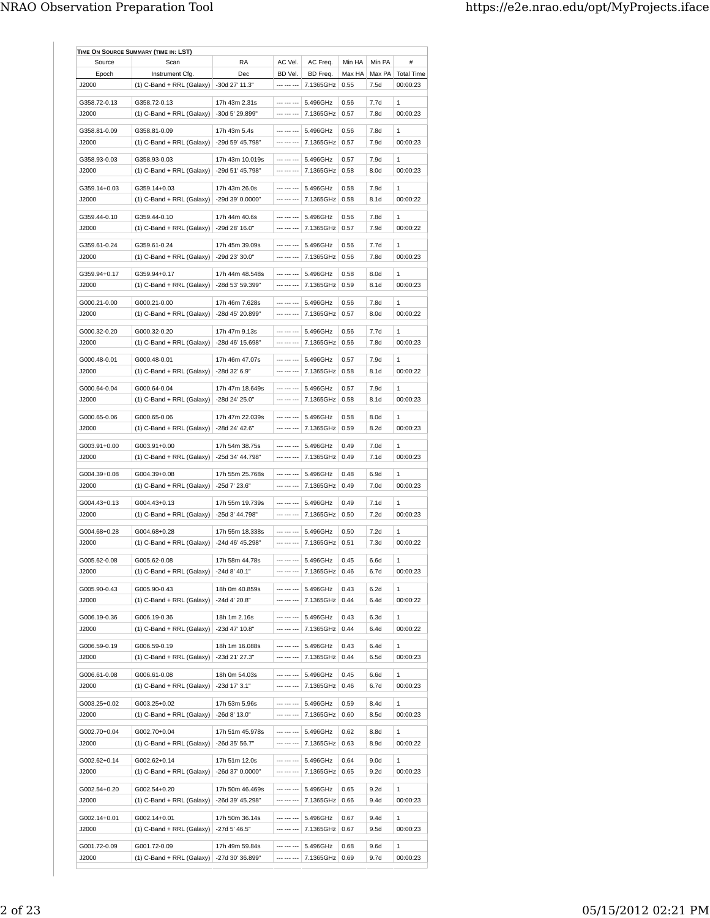| Source                 | Scan                                        | RA                               | AC Vel.                    | AC Freq.              | Min HA       | Min PA           | #                 |
|------------------------|---------------------------------------------|----------------------------------|----------------------------|-----------------------|--------------|------------------|-------------------|
| Epoch                  | Instrument Cfg.                             | Dec                              | BD Vel.                    | BD Freq.              | Max HA       | Max PA           | <b>Total Time</b> |
| J2000                  | $(1)$ C-Band + RRL (Galaxy)                 | $-30d$ 27' 11.3"                 | --- --- ---                | 7.1365GHz             | 0.55         | 7.5d             | 00:00:23          |
| G358.72-0.13           |                                             |                                  | --- --- ---                |                       |              |                  | $\mathbf{1}$      |
|                        | G358.72-0.13<br>$(1)$ C-Band + RRL (Galaxy) | 17h 43m 2.31s<br>-30d 5' 29.899" | --- --- ---                | 5.496GHz<br>7.1365GHz | 0.56         | 7.7d             |                   |
| J2000                  |                                             |                                  |                            |                       | 0.57         | 7.8d             | 00:00:23          |
| G358.81-0.09           | G358.81-0.09                                | 17h 43m 5.4s                     | --- --- ---                | 5.496GHz              | 0.56         | 7.8d             | 1                 |
| J2000                  | $(1)$ C-Band + RRL (Galaxy)                 | -29d 59' 45.798"                 | --- --- ---                | 7.1365GHz             | 0.57         | 7.9d             | 00:00:23          |
| G358.93-0.03           | G358.93-0.03                                | 17h 43m 10.019s                  | --- --- ---                | 5.496GHz              | 0.57         | 7.9d             | $\mathbf{1}$      |
|                        |                                             |                                  | --- --- ---                |                       | 0.58         |                  |                   |
| J2000                  | $(1)$ C-Band + RRL (Galaxy)                 | -29d 51' 45.798"                 |                            | 7.1365GHz             |              | 8.0d             | 00:00:23          |
| G359.14+0.03           | G359.14+0.03                                | 17h 43m 26.0s                    | --- --- ---                | 5.496GHz              | 0.58         | 7.9d             | 1                 |
| J2000                  | $(1)$ C-Band + RRL (Galaxy)                 | -29d 39' 0.0000"                 | --- --- ---                | 7.1365GHz             | 0.58         | 8.1d             | 00:00:22          |
| G359.44-0.10           | G359.44-0.10                                | 17h 44m 40.6s                    | --- --- ---                | 5.496GHz              | 0.56         | 7.8d             | 1                 |
| J2000                  | $(1)$ C-Band + RRL (Galaxy)                 | -29d 28' 16.0"                   | --- --- ---                | 7.1365GHz             | 0.57         | 7.9d             | 00:00:22          |
|                        |                                             |                                  |                            |                       |              |                  |                   |
| G359.61-0.24           | G359.61-0.24                                | 17h 45m 39.09s                   | --- --- ---                | 5.496GHz              | 0.56         | 7.7d             | 1                 |
| J2000                  | $(1)$ C-Band + RRL (Galaxy)                 | -29d 23' 30.0"                   | --- --- ---                | 7.1365GHz             | 0.56         | 7.8d             | 00:00:23          |
| G359.94+0.17           | G359.94+0.17                                |                                  | --- --- ---                | 5.496GHz              |              |                  | $\mathbf{1}$      |
| J2000                  | $(1)$ C-Band + RRL (Galaxy)                 | 17h 44m 48.548s                  | --- --- ---                |                       | 0.58<br>0.59 | 8.0d<br>8.1d     | 00:00:23          |
|                        |                                             | -28d 53' 59.399"                 |                            | 7.1365GHz             |              |                  |                   |
| G000.21-0.00           | G000.21-0.00                                | 17h 46m 7.628s                   | --- --- ---                | 5.496GHz              | 0.56         | 7.8d             | 1                 |
| J2000                  | $(1)$ C-Band + RRL (Galaxy)                 | -28d 45' 20.899"                 | --- --- ---                | 7.1365GHz             | 0.57         | 8.0d             | 00:00:22          |
|                        |                                             |                                  |                            |                       |              |                  |                   |
| G000.32-0.20<br>,12000 | G000.32-0.20                                | 17h 47m 9.13s                    | --- --- ---<br>--- --- --- | 5.496GHz              | 0.56<br>0.56 | 7.7d<br>7.8d     | $\mathbf{1}$      |
|                        | $(1)$ C-Band + RRL (Galaxy)                 | -28d 46' 15.698"                 |                            | 7.1365GHz             |              |                  | 00:00:23          |
| G000.48-0.01           | G000.48-0.01                                | 17h 46m 47.07s                   | --- --- ---                | 5.496GHz              | 0.57         | 7.9d             | $\mathbf{1}$      |
| J2000                  | $(1)$ C-Band + RRL (Galaxy)                 | -28d 32' 6.9"                    | --- --- ---                | 7.1365GHz             | 0.58         | 8.1 <sub>d</sub> | 00:00:22          |
|                        |                                             |                                  |                            |                       |              |                  |                   |
| G000.64-0.04           | G000.64-0.04                                | 17h 47m 18.649s                  | --- --- ---                | 5.496GHz              | 0.57         | 7.9d             | 1                 |
| ,12000                 | $(1)$ C-Band + RRL (Galaxy)                 | -28d 24' 25.0"                   | --- --- ---                | 7.1365GHz             | 0.58         | 8.1 <sub>d</sub> | 00:00:23          |
| G000.65-0.06           | G000.65-0.06                                | 17h 47m 22.039s                  | --- --- ---                | 5.496GHz              | 0.58         | 8.0d             | 1                 |
| J2000                  | $(1)$ C-Band + RRL (Galaxy)                 | -28d 24' 42.6"                   | --- --- ---                | 7.1365GHz             | 0.59         | 8.2d             | 00:00:23          |
|                        |                                             |                                  |                            |                       |              |                  |                   |
| G003.91+0.00           | G003.91+0.00                                | 17h 54m 38.75s                   | --- --- ---                | 5.496GHz              | 0.49         | 7.0 <sub>d</sub> | 1                 |
| ,12000                 | (1) C-Band + RRL (Galaxy)                   | -25d 34' 44.798"                 | --- --- ---                | 7.1365GHz             | 0.49         | 7.1d             | 00:00:23          |
| G004.39+0.08           | G004.39+0.08                                | 17h 55m 25.768s                  | --- --- ---                | 5.496GHz              | 0.48         | 6.9d             | $\mathbf{1}$      |
| J2000                  | $(1)$ C-Band + RRL (Galaxy)                 | -25d 7' 23.6"                    | --- --- ---                | 7.1365GHz             | 0.49         | 7.0 <sub>d</sub> | 00:00:23          |
|                        |                                             |                                  |                            |                       |              |                  |                   |
| G004.43+0.13           | G004.43+0.13                                | 17h 55m 19.739s                  | --- --- ---                | 5.496GHz              | 0.49         | 7.1d             | 1                 |
| J2000                  | $(1)$ C-Band + RRL (Galaxy)                 | -25d 3' 44.798"                  | --- --- ---                | 7.1365GHz             | 0.50         | 7.2d             | 00:00:23          |
| G004.68+0.28           | G004.68+0.28                                | 17h 55m 18.338s                  | --- --- ---                | 5.496GHz              | 0.50         | 7.2d             | $\mathbf{1}$      |
| J2000                  | $(1)$ C-Band + RRL (Galaxy)                 | -24d 46' 45.298"                 | --- --- ---                | 7.1365GHz             | 0.51         | 7.3d             | 00:00:22          |
|                        |                                             |                                  |                            |                       |              |                  |                   |
| G005.62-0.08           | G005.62-0.08                                | 17h 58m 44.78s                   | --- --- ---                | 5.496GHz              | 0.45         | 6.6d             | 1                 |
| J2000                  | (1) C-Band + RRL (Galaxy)                   | -24d 8' 40.1"                    | --- --- ---                | 7.1365GHz 0.46        |              | 6.7d             | 00:00:23          |
| G005.90-0.43           | G005.90-0.43                                | 18h 0m 40.859s                   |                            | 5.496GHz              | 0.43         | 6.2d             | 1                 |
| J2000                  | $(1)$ C-Band + RRL (Galaxy)                 | -24d 4' 20.8"                    | --- --- ---                | 7.1365GHz             | 0.44         | 6.4d             | 00:00:22          |
|                        |                                             |                                  |                            |                       |              |                  |                   |
| G006.19-0.36           | G006.19-0.36                                | 18h 1m 2.16s                     | --- --- ---                | 5.496GHz              | 0.43         | 6.3d             | 1                 |
| J2000                  | $(1)$ C-Band + RRL (Galaxy)                 | -23d 47' 10.8"                   | --- --- ---                | 7.1365GHz             | 0.44         | 6.4d             | 00:00:22          |
| G006.59-0.19           | G006.59-0.19                                | 18h 1m 16.088s                   | --- --- ---                | 5.496GHz              | 0.43         | 6.4d             | 1                 |
| ,12000                 |                                             | -23d 21' 27.3"                   | --- --- ---                | 7.1365GHz             | 0.44         | 6.5d             | 00:00:23          |
|                        | (1) C-Band + RRL (Galaxy)                   |                                  |                            |                       |              |                  |                   |
| G006.61-0.08           | G006.61-0.08                                | 18h 0m 54.03s                    | --- --- ---                | 5.496GHz              | 0.45         | 6.6d             | 1                 |
| J2000                  | $(1)$ C-Band + RRL (Galaxy)                 | -23d 17' 3.1"                    | --- --- ---                | 7.1365GHz             | 0.46         | 6.7d             | 00:00:23          |
|                        |                                             |                                  |                            |                       |              |                  |                   |
| G003.25+0.02<br>J2000  | G003.25+0.02                                | 17h 53m 5.96s                    | --- --- ---<br>--- --- --- | 5.496GHz              | 0.59         | 8.4d<br>8.5d     | 1<br>00:00:23     |
|                        | (1) C-Band + RRL (Galaxy)                   | -26d 8' 13.0"                    |                            | 7.1365GHz             | 0.60         |                  |                   |
| G002.70+0.04           | G002.70+0.04                                | 17h 51m 45.978s                  | --- --- ---                | 5.496GHz              | 0.62         | 8.8d             | 1                 |
| J2000                  | $(1)$ C-Band + RRL (Galaxy)                 | -26d 35' 56.7"                   | --- --- ---                | 7.1365GHz             | 0.63         | 8.9d             | 00:00:22          |
|                        |                                             |                                  |                            |                       |              |                  |                   |
| G002.62+0.14           | G002.62+0.14                                | 17h 51m 12.0s                    | --- --- ---                | 5.496GHz              | 0.64         | 9.0 <sub>d</sub> | 1                 |
| J2000                  | (1) C-Band + RRL (Galaxy)                   | -26d 37' 0.0000"                 | --- --- ---                | 7.1365GHz             | 0.65         | 9.2d             | 00:00:23          |
| G002.54+0.20           | G002.54+0.20                                | 17h 50m 46.469s                  | --- --- ---                | 5.496GHz              | 0.65         | 9.2d             | 1                 |
| J2000                  | $(1)$ C-Band + RRL (Galaxy)                 | -26d 39' 45.298"                 | --- --- ---                | 7.1365GHz             | 0.66         | 9.4d             | 00:00:23          |
|                        |                                             |                                  |                            |                       |              |                  |                   |
| G002.14+0.01           | G002.14+0.01                                | 17h 50m 36.14s                   | --- --- ---                | 5.496GHz              | 0.67         | 9.4d             | 1                 |
| J2000                  | $(1)$ C-Band + RRL (Galaxy)                 | -27d 5' 46.5"                    | --- --- ---                | 7.1365GHz             | 0.67         | 9.5d             | 00:00:23          |
| G001.72-0.09           | G001.72-0.09                                | 17h 49m 59.84s                   | --- --- ---                | 5.496GHz              | 0.68         | 9.6d             | $\mathbf{1}$      |
|                        |                                             |                                  |                            |                       |              |                  |                   |
| J2000                  | (1) C-Band + RRL (Galaxy)                   | -27d 30' 36.899"                 | --- --- ---                | 7.1365GHz             | 0.69         | 9.7d             | 00:00:23          |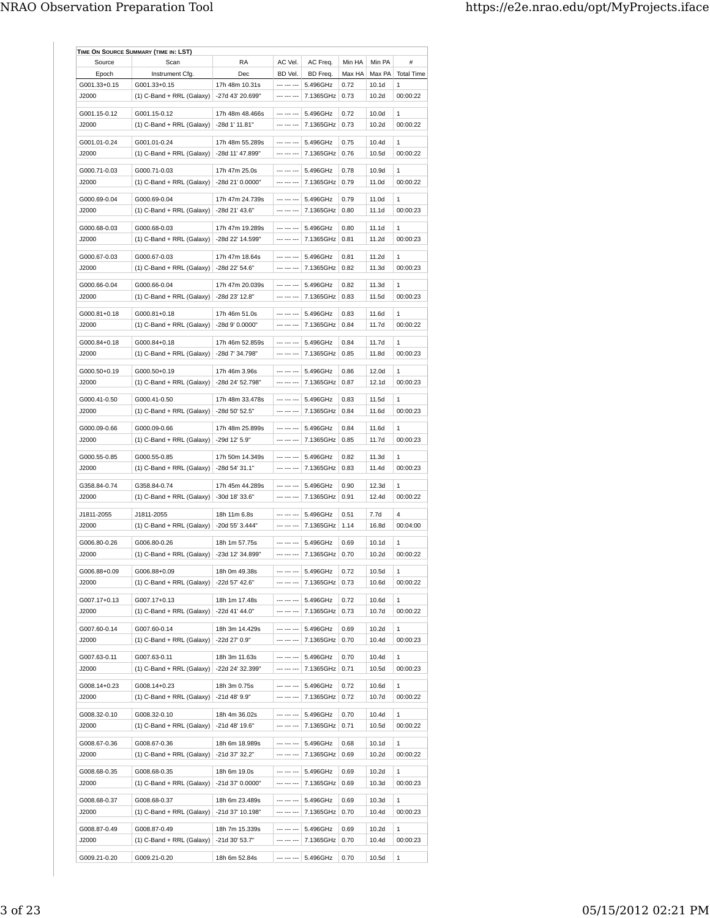| Source                | Scan                        | RA                                | AC Vel.     | AC Freq.  | Min HA       | Min PA            | #                 |
|-----------------------|-----------------------------|-----------------------------------|-------------|-----------|--------------|-------------------|-------------------|
| Epoch                 | Instrument Cfg.             | Dec                               | BD Vel.     | BD Freq.  | Max HA       | Max PA            | <b>Total Time</b> |
| G001.33+0.15          | G001.33+0.15                | 17h 48m 10.31s                    | 1           | 5.496GHz  | 0.72         | 10.1 <sub>d</sub> | 1                 |
| J2000                 | (1) C-Band + RRL (Galaxy)   | -27d 43' 20.699"                  | --- --- --- | 7.1365GHz | 0.73         | 10.2d             | 00:00:22          |
| G001.15-0.12          | G001.15-0.12                | 17h 48m 48.466s                   | --- --- --- | 5.496GHz  | 0.72         | 10.0d             | $\mathbf{1}$      |
| J2000                 | (1) C-Band + RRL (Galaxy)   | -28d 1' 11.81"                    | --- --- --- | 7.1365GHz | 0.73         | 10.2d             | 00:00:22          |
|                       |                             |                                   |             |           |              |                   |                   |
| G001.01-0.24          | G001.01-0.24                | 17h 48m 55.289s                   | --- --- --- | 5.496GHz  | 0.75         | 10.4d             | 1                 |
| J2000                 | $(1)$ C-Band + RRL (Galaxy) | -28d 11' 47.899"                  | --- --- --- | 7.1365GHz | 0.76         | 10.5d             | 00:00:22          |
| G000.71-0.03          | G000.71-0.03                | 17h 47m 25.0s                     | --- --- --- | 5.496GHz  | 0.78         | 10.9d             | 1                 |
| J2000                 | $(1)$ C-Band + RRL (Galaxy) | -28d 21' 0.0000"                  | --- --- --- | 7.1365GHz | 0.79         | 11.0d             | 00:00:22          |
| G000.69-0.04          | G000.69-0.04                | 17h 47m 24.739s                   | --- --- --- | 5.496GHz  | 0.79         | 11.0d             | $\mathbf{1}$      |
| J2000                 | $(1)$ C-Band + RRL (Galaxy) | -28d 21' 43.6"                    | --- --- --- | 7.1365GHz | 0.80         | 11.1d             | 00:00:23          |
|                       |                             |                                   |             |           |              |                   |                   |
| G000.68-0.03          | G000.68-0.03                | 17h 47m 19.289s                   | --- --- --- | 5.496GHz  | 0.80         | 11.1d             | 1                 |
| J2000                 | $(1)$ C-Band + RRL (Galaxy) | -28d 22' 14.599"                  | --- --- --- | 7.1365GHz | 0.81         | 11.2d             | 00:00:23          |
| G000.67-0.03          | G000.67-0.03                | 17h 47m 18.64s                    | --- --- --- | 5.496GHz  | 0.81         | 11.2d             | 1                 |
| J2000                 | $(1)$ C-Band + RRL (Galaxy) | -28d 22' 54.6"                    | --- --- --- | 7.1365GHz | 0.82         | 11.3d             | 00:00:23          |
|                       |                             |                                   |             |           |              |                   |                   |
| G000.66-0.04          | G000.66-0.04                | 17h 47m 20.039s                   | --- --- --- | 5.496GHz  | 0.82         | 11.3d             | 1                 |
| J2000                 | $(1)$ C-Band + RRL (Galaxy) | -28d 23' 12.8"                    | --- --- --- | 7.1365GHz | 0.83         | 11.5d             | 00:00:23          |
| G000.81+0.18          | G000.81+0.18                | 17h 46m 51.0s                     | --- --- --- | 5.496GHz  | 0.83         | 11.6d             | 1                 |
| ,12000                | $(1)$ C-Band + RRL (Galaxy) | $-28d$ 9' 0.0000"                 | --- --- --- | 7.1365GHz | 0.84         | 11 7d             | 00:00:22          |
| G000.84+0.18          | G000.84+0.18                | 17h 46m 52.859s                   | --- --- --- | 5.496GHz  | 0.84         | 11.7d             | $\mathbf{1}$      |
| J2000                 | $(1)$ C-Band + RRL (Galaxy) | -28d 7' 34.798"                   | --- --- --- | 7.1365GHz | 0.85         | 11.8d             | 00:00:23          |
|                       |                             |                                   |             |           |              |                   |                   |
| G000.50+0.19          | G000.50+0.19                | 17h 46m 3.96s                     | --- --- --- | 5.496GHz  | 0.86         | 12.0d             | $\mathbf{1}$      |
| J2000                 | $(1)$ C-Band + RRL (Galaxy) | -28d 24' 52.798"                  | --- --- --- | 7.1365GHz | 0.87         | 12.1d             | 00:00:23          |
| G000.41-0.50          | G000.41-0.50                | 17h 48m 33.478s                   | --- --- --- | 5.496GHz  | 0.83         | 11.5d             | 1                 |
| J2000                 | (1) C-Band + RRL (Galaxy)   | -28d 50' 52.5"                    | --- --- --- | 7.1365GHz | 0.84         | 11.6d             | 00:00:23          |
|                       |                             |                                   |             |           |              |                   |                   |
| G000.09-0.66          | G000.09-0.66                | 17h 48m 25.899s                   | --- --- --- | 5.496GHz  | 0.84         | 11.6d             | 1                 |
| ,12000                | $(1)$ C-Band + RRL (Galaxy) | -29d 12' 5.9"                     | --- --- --- | 7.1365GHz | 0.85         | 11.7d             | 00:00:23          |
| G000.55-0.85          | G000.55-0.85                | 17h 50m 14.349s                   | --- --- --- | 5.496GHz  | 0.82         | 11.3d             | 1                 |
| J2000                 | $(1)$ C-Band + RRL (Galaxy) | -28d 54' 31.1"                    | --- --- --- | 7.1365GHz | 0.83         | 11.4d             | 00:00:23          |
|                       |                             |                                   |             |           |              |                   |                   |
| G358.84-0.74          | G358.84-0.74                | 17h 45m 44.289s                   | --- --- --- | 5.496GHz  | 0.90         | 12.3d             | 1                 |
| J2000                 | $(1)$ C-Band + RRL (Galaxy) | -30d 18' 33.6"                    | --- --- --- | 7.1365GHz | 0.91         | 12.4d             | 00:00:22          |
| J1811-2055            | J1811-2055                  | 18h 11m 6.8s                      |             | 5.496GHz  | 0.51         | 7.7d              | 4                 |
| J2000                 | $(1)$ C-Band + RRL (Galaxy) | -20d 55' 3.444"                   | --- --- --- | 7.1365GHz | 1.14         | 16.8d             | 00:04:00          |
| G006.80-0.26          | G006.80-0.26                |                                   | --- --- --- | 5.496GHz  |              |                   |                   |
| J2000                 |                             | 18h 1m 57.75s<br>-23d 12' 34.899" | --- --- --- |           | 0.69<br>0.70 | 10.1d<br>10.2d    | 1<br>00:00:22     |
|                       | $(1)$ C-Band + RRL (Galaxy) |                                   |             | 7.1365GHz |              |                   |                   |
| G006.88+0.09          | G006.88+0.09                | 18h 0m 49.38s                     | --- --- --- | 5.496GHz  | 0.72         | 10.5d             | 1                 |
| J2000                 | $(1)$ C-Band + RRL (Galaxy) | -22d 57' 42.6"                    | --- --- --- | 7.1365GHz | 0.73         | 10.6d             | 00:00:22          |
|                       | G007.17+0.13                |                                   |             | 5.496GHz  | 0.72         | 10.6d             |                   |
| G007.17+0.13<br>J2000 | $(1)$ C-Band + RRL (Galaxy) | 18h 1m 17.48s<br>-22d 41' 44.0"   | --- --- --- | 7.1365GHz | 0.73         | 10.7d             | 1<br>00:00:22     |
|                       |                             |                                   |             |           |              |                   |                   |
| G007.60-0.14          | G007.60-0.14                | 18h 3m 14.429s                    | --- --- --- | 5.496GHz  | 0.69         | 10.2d             | 1                 |
| J2000                 | (1) C-Band + RRL (Galaxy)   | -22d 27' 0.9"                     | --- --- --- | 7.1365GHz | 0.70         | 10.4d             | 00:00:23          |
| G007.63-0.11          | G007.63-0.11                | 18h 3m 11.63s                     | --- --- --- | 5.496GHz  | 0.70         | 10.4d             | 1                 |
| J2000                 | (1) C-Band + RRL (Galaxy)   | -22d 24' 32.399"                  | --- --- --- | 7.1365GHz | 0.71         | 10.5d             | 00:00:23          |
|                       |                             |                                   |             |           |              |                   |                   |
| G008.14+0.23          | G008.14+0.23                | 18h 3m 0.75s                      | --- --- --- | 5.496GHz  | 0.72         | 10.6d             | 1                 |
| J2000                 | (1) C-Band + RRL (Galaxy)   | -21d 48' 9.9"                     | --- --- --- | 7.1365GHz | 0.72         | 10.7d             | 00:00:22          |
| G008.32-0.10          | G008.32-0.10                | 18h 4m 36.02s                     | --- --- --- | 5.496GHz  | 0.70         | 10.4d             | 1                 |
| J2000                 | $(1)$ C-Band + RRL (Galaxy) | -21d 48' 19.6"                    | --- --- --- | 7.1365GHz | 0.71         | 10.5d             | 00:00:22          |
|                       |                             |                                   |             |           |              |                   |                   |
| G008.67-0.36          | G008.67-0.36                | 18h 6m 18.989s                    |             | 5.496GHz  | 0.68         | 10.1d             | 1                 |
| J2000                 | $(1)$ C-Band + RRL (Galaxy) | -21d 37' 32.2"                    | --- --- --- | 7.1365GHz | 0.69         | 10.2d             | 00:00:22          |
| G008.68-0.35          | G008.68-0.35                | 18h 6m 19.0s                      | --- --- --- | 5.496GHz  | 0.69         | 10.2d             | 1                 |
| J2000                 | (1) C-Band + RRL (Galaxy)   | -21d 37' 0.0000"                  | --- --- --- | 7.1365GHz | 0.69         | 10.3d             | 00:00:23          |
|                       |                             |                                   |             |           |              |                   |                   |
| G008.68-0.37          | G008.68-0.37                | 18h 6m 23.489s                    | --- --- --- | 5.496GHz  | 0.69         | 10.3d             | 1                 |
| J2000                 | $(1)$ C-Band + RRL (Galaxy) | -21d 37' 10.198"                  | --- --- --- | 7.1365GHz | 0.70         | 10.4d             | 00:00:23          |
| G008.87-0.49          | G008.87-0.49                | 18h 7m 15.339s                    | --- --- --- | 5.496GHz  | 0.69         | 10.2d             | 1                 |
| J2000                 | (1) C-Band + RRL (Galaxy)   | -21d 30' 53.7"                    | --- --- --- | 7.1365GHz | 0.70         | 10.4d             | 00:00:23          |
|                       |                             |                                   |             |           |              |                   |                   |
| G009.21-0.20          | G009.21-0.20                | 18h 6m 52.84s                     | --- --- --- | 5.496GHz  | 0.70         | 10.5d             | 1                 |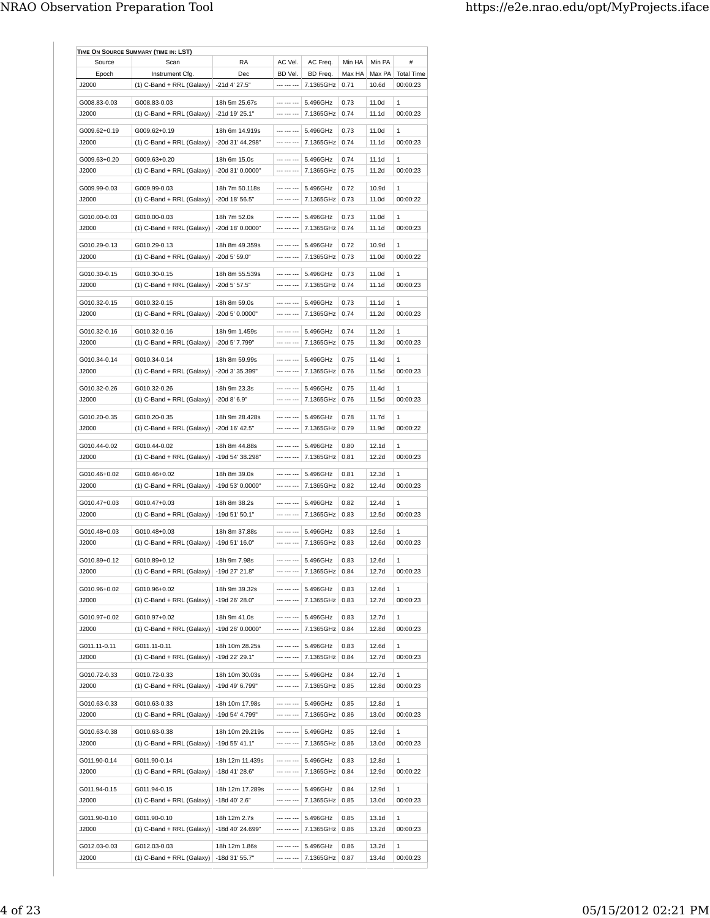| Source       | Scan                                        | RA                              | AC Vel.     | AC Freq.  | Min HA       | Min PA         | #                 |
|--------------|---------------------------------------------|---------------------------------|-------------|-----------|--------------|----------------|-------------------|
| Epoch        | Instrument Cfg.                             | Dec                             | BD Vel.     | BD Freq.  | Max HA       | Max PA         | <b>Total Time</b> |
| J2000        | $(1)$ C-Band + RRL (Galaxy)                 | -21d 4' 27.5"                   | --- --- --- | 7.1365GHz | 0.71         | 10.6d          | 00:00:23          |
| G008.83-0.03 | G008.83-0.03                                | 18h 5m 25.67s                   | --- --- --- | 5.496GHz  | 0.73         | 11.0d          | $\mathbf{1}$      |
| J2000        | $(1)$ C-Band + RRL (Galaxy)                 | -21d 19' 25.1"                  | --- --- --- | 7.1365GHz | 0.74         | 11.1d          | 00:00:23          |
|              |                                             |                                 |             |           |              |                |                   |
| G009.62+0.19 | G009.62+0.19                                | 18h 6m 14.919s                  | --- --- --- | 5.496GHz  | 0.73         | 11.0d          | 1                 |
| J2000        | $(1)$ C-Band + RRL (Galaxy)                 | -20d 31' 44.298"                | --- --- --- | 7.1365GHz | 0.74         | 11.1d          | 00:00:23          |
| G009.63+0.20 | G009.63+0.20                                | 18h 6m 15.0s                    | --- --- --- | 5.496GHz  | 0.74         | 11.1d          | 1                 |
| ,12000       | $(1)$ C-Band + RRL (Galaxy)                 | -20d 31' 0.0000"                | --- --- --- | 7.1365GHz | 0.75         | 11.2d          | 00:00:23          |
|              |                                             |                                 |             |           |              |                |                   |
| G009.99-0.03 | G009.99-0.03                                | 18h 7m 50.118s                  | --- --- --- | 5.496GHz  | 0.72         | 10.9d          | $\mathbf{1}$      |
| J2000        | $(1)$ C-Band + RRL (Galaxy)                 | -20d 18' 56.5"                  | --- --- --- | 7.1365GHz | 0.73         | 11.0d          | 00:00:22          |
| G010.00-0.03 | G010.00-0.03                                | 18h 7m 52.0s                    | --- --- --- | 5.496GHz  | 0.73         | 11.0d          | 1                 |
| J2000        | (1) C-Band + RRL (Galaxy)                   | -20d 18' 0.0000"                | --- --- --- | 7.1365GHz | 0.74         | 11.1d          | 00:00:23          |
|              |                                             |                                 |             |           |              |                |                   |
| G010.29-0.13 | G010.29-0.13                                | 18h 8m 49.359s                  | --- --- --- | 5.496GHz  | 0.72         | 10.9d          | $\mathbf{1}$      |
| J2000        | $(1)$ C-Band + RRL (Galaxy)                 | -20d 5' 59.0"                   | --- --- --- | 7.1365GHz | 0.73         | 11.0d          | 00:00:22          |
| G010.30-0.15 | G010.30-0.15                                | 18h 8m 55.539s                  | --- --- --- | 5.496GHz  | 0.73         | 11.0d          | 1                 |
| ,12000       | $(1)$ C-Band + RRL (Galaxy)                 | -20d 5' 57.5"                   | --- --- --- | 7.1365GHz | 0.74         | 11.1d          | 00.00.23          |
|              |                                             |                                 |             |           |              |                |                   |
| G010.32-0.15 | G010.32-0.15                                | 18h 8m 59.0s                    | --- --- --- | 5.496GHz  | 0.73         | 11.1d          | 1                 |
| J2000        | (1) C-Band + RRL (Galaxy)                   | $-20d$ 5' 0.0000"               | --- --- --- | 7.1365GHz | 0.74         | 11.2d          | 00:00:23          |
| G010.32-0.16 |                                             |                                 | --- --- --- | 5.496GHz  |              |                |                   |
| J2000        | G010.32-0.16<br>$(1)$ C-Band + RRL (Galaxy) | 18h 9m 1.459s<br>-20d 5' 7.799" |             | 7.1365GHz | 0.74<br>0.75 | 11.2d<br>11.3d | 1<br>00:00:23     |
|              |                                             |                                 |             |           |              |                |                   |
| G010.34-0.14 | G010.34-0.14                                | 18h 8m 59.99s                   |             | 5.496GHz  | 0.75         | 11.4d          | $\mathbf{1}$      |
| J2000        | (1) C-Band + RRL (Galaxy)                   | -20d 3' 35.399"                 | --- --- --- | 7.1365GHz | 0.76         | 11.5d          | 00:00:23          |
|              |                                             |                                 |             |           |              |                |                   |
| G010.32-0.26 | G010.32-0.26                                | 18h 9m 23.3s                    | --- --- --- | 5.496GHz  | 0.75         | 11.4d          | 1                 |
| J2000        | $(1)$ C-Band + RRL (Galaxy)                 | $-20d$ 8' 6.9"                  | --- --- --- | 7.1365GHz | 0.76         | 11.5d          | 00:00:23          |
| G010.20-0.35 | G010.20-0.35                                | 18h 9m 28.428s                  | --- --- --- | 5.496GHz  | 0.78         | 11.7d          | 1                 |
| J2000        | $(1)$ C-Band + RRL (Galaxy)                 | -20d 16' 42.5"                  | --- --- --- | 7.1365GHz | 0.79         | 11.9d          | 00:00:22          |
|              |                                             |                                 |             |           |              |                |                   |
| G010.44-0.02 | G010.44-0.02                                | 18h 8m 44.88s                   | --- --- --- | 5.496GHz  | 0.80         | 12.1d          | 1                 |
| J2000        | $(1)$ C-Band + RRL (Galaxy)                 | -19d 54' 38.298"                | --- --- --- | 7.1365GHz | 0.81         | 12.2d          | 00:00:23          |
| G010.46+0.02 | G010.46+0.02                                | 18h 8m 39.0s                    | --- --- --- | 5.496GHz  | 0.81         | 12.3d          | 1                 |
| J2000        | (1) C-Band + RRL (Galaxy)                   | -19d 53' 0.0000"                | --- --- --- | 7.1365GHz | 0.82         | 12.4d          | 00:00:23          |
|              |                                             |                                 |             |           |              |                |                   |
| G010.47+0.03 | G010.47+0.03                                | 18h 8m 38.2s                    | --- --- --- | 5.496GHz  | 0.82         | 12.4d          | 1                 |
| J2000        | $(1)$ C-Band + RRL (Galaxy)                 | -19d 51' 50.1"                  | --- --- --- | 7.1365GHz | 0.83         | 12.5d          | 00:00:23          |
| G010.48+0.03 | G010.48+0.03                                | 18h 8m 37.88s                   | --- --- --- | 5.496GHz  | 0.83         | 12.5d          | 1                 |
| ,12000       | (1) C-Band + RRL (Galaxy)                   | -19d 51' 16.0"                  | --- --- --- | 7.1365GHz | 0.83         | 12.6d          | 00:00:23          |
|              |                                             |                                 |             |           |              |                |                   |
| G010.89+0.12 | G010.89+0.12                                | 18h 9m 7.98s                    |             | 5.496GHz  | 0.83         | 12.6d          | $\mathbf{1}$      |
| J2000        | $(1)$ C-Band + RRL (Galaxy)                 | -19d 27' 21.8"                  | --- --- --- | 7.1365GHz | 0.84         | 12.7d          | 00:00:23          |
| G010.96+0.02 | G010.96+0.02                                | 18h 9m 39.32s                   | --- --- --- | 5.496GHz  | 0.83         | 12.6d          | 1                 |
| J2000        | $(1)$ C-Band + RRL (Galaxy)                 | -19d 26' 28.0"                  | --- --- --- | 7.1365GHz | 0.83         | 12.7d          | 00:00:23          |
|              |                                             |                                 |             |           |              |                |                   |
| G010.97+0.02 | G010.97+0.02                                | 18h 9m 41.0s                    | --- --- --- | 5.496GHz  | 0.83         | 12.7d          | $\mathbf{1}$      |
| J2000        | $(1)$ C-Band + RRL (Galaxy)                 | -19d 26' 0.0000"                | --- --- --- | 7.1365GHz | 0.84         | 12.8d          | 00:00:23          |
|              |                                             |                                 | --- --- --- |           |              |                |                   |
| G011.11-0.11 | G011.11-0.11                                | 18h 10m 28.25s                  | --- --- --- | 5.496GHz  | 0.83         | 12.6d          | 1                 |
| J2000        | (1) C-Band + RRL (Galaxy)                   | -19d 22' 29.1"                  |             | 7.1365GHz | 0.84         | 12.7d          | 00:00:23          |
| G010.72-0.33 | G010.72-0.33                                | 18h 10m 30.03s                  | --- --- --- | 5.496GHz  | 0.84         | 12.7d          | 1                 |
| J2000        | (1) C-Band + RRL (Galaxy)                   | -19d 49' 6.799"                 | --- --- --- | 7.1365GHz | 0.85         | 12.8d          | 00:00:23          |
|              |                                             |                                 |             |           |              |                |                   |
| G010.63-0.33 | G010.63-0.33                                | 18h 10m 17.98s                  | --- --- --- | 5.496GHz  | 0.85         | 12.8d          | 1                 |
| J2000        | (1) C-Band + RRL (Galaxy)                   | -19d 54' 4.799"                 | --- --- --- | 7.1365GHz | 0.86         | 13.0d          | 00:00:23          |
| G010.63-0.38 | G010.63-0.38                                | 18h 10m 29.219s                 | --- --- --- | 5.496GHz  | 0.85         | 12.9d          | 1                 |
| J2000        | $(1)$ C-Band + RRL (Galaxy)                 | -19d 55' 41.1"                  | --- --- --- | 7.1365GHz | 0.86         | 13.0d          | 00:00:23          |
|              |                                             |                                 |             |           |              |                |                   |
| G011.90-0.14 | G011.90-0.14                                | 18h 12m 11.439s                 | --- --- --- | 5.496GHz  | 0.83         | 12.8d          | 1                 |
| J2000        | (1) C-Band + RRL (Galaxy)                   | -18d 41' 28.6"                  | --- --- --- | 7.1365GHz | 0.84         | 12.9d          | 00:00:22          |
| G011.94-0.15 | G011.94-0.15                                | 18h 12m 17.289s                 | --- --- --- | 5.496GHz  | 0.84         | 12.9d          | 1                 |
| J2000        | (1) C-Band + RRL (Galaxy)                   | -18d 40' 2.6"                   | --- --- --- | 7.1365GHz | 0.85         | 13.0d          | 00:00:23          |
|              |                                             |                                 |             |           |              |                |                   |
| G011.90-0.10 | G011.90-0.10                                | 18h 12m 2.7s                    | --- --- --- | 5.496GHz  | 0.85         | 13.1d          | 1                 |
| J2000        | (1) C-Band + RRL (Galaxy)                   | -18d 40' 24.699"                | --- --- --- | 7.1365GHz | 0.86         | 13.2d          | 00:00:23          |
| G012.03-0.03 | G012.03-0.03                                | 18h 12m 1.86s                   |             | 5.496GHz  | 0.86         | 13.2d          | 1                 |
|              |                                             |                                 |             |           |              |                |                   |
| J2000        | (1) C-Band + RRL (Galaxy)                   | -18d 31' 55.7"                  | --- --- --- | 7.1365GHz | 0.87         | 13.4d          | 00:00:23          |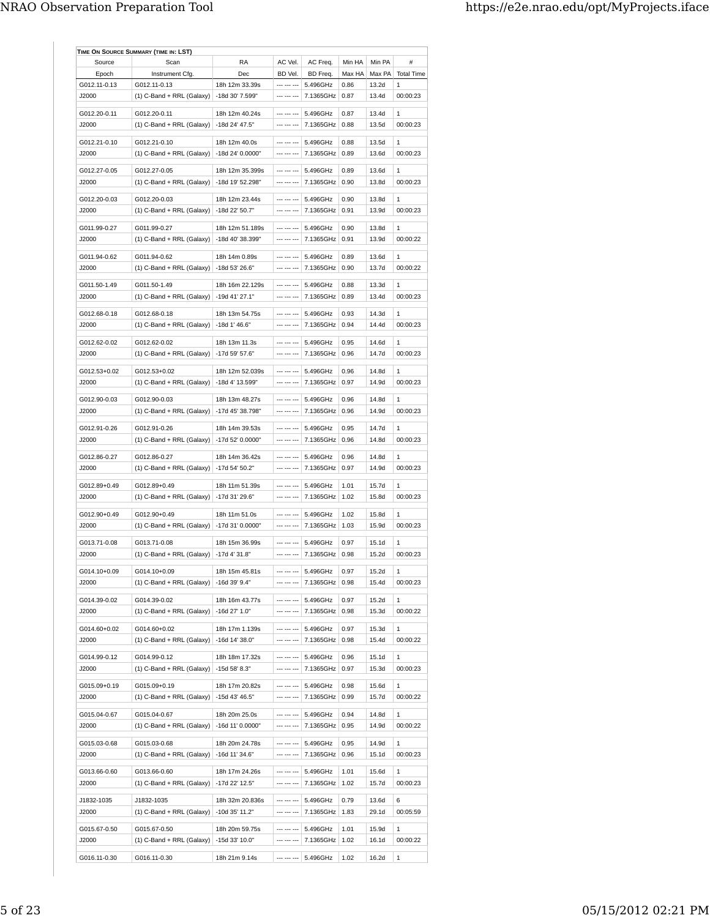| Source       | Scan                        | RA               | AC Vel.     | AC Freq.         | Min HA | Min PA | #                 |
|--------------|-----------------------------|------------------|-------------|------------------|--------|--------|-------------------|
| Epoch        | Instrument Cfg.             | Dec              | BD Vel.     | BD Freq.         | Max HA | Max PA | <b>Total Time</b> |
| G012.11-0.13 | G012.11-0.13                | 18h 12m 33.39s   | --- --- --- | 5.496GHz         | 0.86   | 13.2d  | $\mathbf{1}$      |
| J2000        | (1) C-Band + RRL (Galaxy)   | -18d 30' 7.599"  | --- --- --- | 7.1365GHz        | 0.87   | 13.4d  | 00:00:23          |
|              |                             |                  |             |                  |        |        |                   |
| G012.20-0.11 | G012.20-0.11                | 18h 12m 40.24s   | --- --- --- | 5.496GHz         | 0.87   | 13.4d  | 1                 |
| ,12000       | $(1)$ C-Band + RRL (Galaxy) | -18d 24' 47.5"   | --- --- --- | 7.1365GHz        | 0.88   | 13.5d  | 00:00:23          |
| G012.21-0.10 | G012.21-0.10                | 18h 12m 40.0s    | --- --- --- | 5.496GHz         | 0.88   | 13.5d  | 1                 |
| J2000        | $(1)$ C-Band + RRL (Galaxy) | -18d 24' 0.0000" | --- --- --- | 7.1365GHz        | 0.89   | 13.6d  | 00:00:23          |
| G012.27-0.05 | G012.27-0.05                | 18h 12m 35.399s  | --- --- --- | 5.496GHz         | 0.89   | 13.6d  | $\mathbf{1}$      |
| J2000        | $(1)$ C-Band + RRL (Galaxy) | -18d 19' 52.298" | --- --- --- | 7.1365GHz        | 0.90   | 13.8d  | 00:00:23          |
|              |                             |                  |             |                  |        |        |                   |
| G012.20-0.03 | G012.20-0.03                | 18h 12m 23.44s   | --- --- --- | 5.496GHz         | 0.90   | 13.8d  | $\mathbf{1}$      |
| J2000        | $(1)$ C-Band + RRL (Galaxy) | -18d 22' 50.7"   |             | 7.1365GHz        | 0.91   | 13.9d  | 00:00:23          |
| G011.99-0.27 | G011.99-0.27                | 18h 12m 51.189s  | --- --- --- | 5.496GHz         | 0.90   | 13.8d  | $\mathbf{1}$      |
| J2000        | $(1)$ C-Band + RRL (Galaxy) | -18d 40' 38.399" | --- --- --- | 7.1365GHz        | 0.91   | 13.9d  | 00:00:22          |
|              |                             |                  |             |                  |        |        |                   |
| G011.94-0.62 | G011.94-0.62                | 18h 14m 0.89s    | --- --- --- | 5.496GHz         | 0.89   | 13.6d  | 1                 |
| J2000        | $(1)$ C-Band + RRL (Galaxy) | -18d 53' 26.6"   |             | 7.1365GHz        | 0.90   | 13.7d  | 00:00:22          |
| G011.50-1.49 | G011.50-1.49                | 18h 16m 22.129s  | --- --- --- | 5.496GHz         | 0.88   | 13.3d  | $\mathbf{1}$      |
| ,12000       | $(1)$ C-Band + RRL (Galaxy) | $-19d$ 41' 27.1" | --- --- --- | 7.1365GHz        | 0.89   | 13.4d  | 00:00:23          |
|              |                             |                  |             |                  |        |        |                   |
| G012.68-0.18 | G012.68-0.18                | 18h 13m 54.75s   | --- --- --- | 5.496GHz         | 0.93   | 14.3d  | $\mathbf{1}$      |
| J2000        | $(1)$ C-Band + RRL (Galaxy) | -18d 1' 46.6"    | --- --- --- | 7.1365GHz        | 0.94   | 14.4d  | 00:00:23          |
| G012.62-0.02 | G012.62-0.02                | 18h 13m 11.3s    | --- --- --- | 5.496GHz         | 0.95   | 14.6d  | $\mathbf{1}$      |
| J2000        | $(1)$ C-Band + RRL (Galaxy) | -17d 59' 57.6"   | --- --- --- | 7.1365GHz        | 0.96   | 14.7d  | 00:00:23          |
|              |                             |                  |             |                  |        |        |                   |
| G012.53+0.02 | G012.53+0.02                | 18h 12m 52.039s  | --- --- --- | 5.496GHz         | 0.96   | 14.8d  | 1                 |
| J2000        | $(1)$ C-Band + RRL (Galaxy) | -18d 4' 13.599"  | --- --- --- | 7.1365GHz        | 0.97   | 14.9d  | 00:00:23          |
| G012.90-0.03 | G012.90-0.03                | 18h 13m 48.27s   | --- --- --- | 5.496GHz         | 0.96   | 14.8d  | 1                 |
| ,12000       | $(1)$ C-Band + RRL (Galaxy) | -17d 45' 38.798" | --- --- --- | 7.1365GHz 0.96   |        | 14.9d  | 00:00:23          |
|              |                             |                  |             |                  |        |        |                   |
| G012.91-0.26 | G012.91-0.26                | 18h 14m 39.53s   |             | 5.496GHz         | 0.95   | 14.7d  | $\mathbf{1}$      |
| J2000        | $(1)$ C-Band + RRL (Galaxy) | -17d 52' 0.0000" | --- --- --- | 7.1365GHz        | 0.96   | 14.8d  | 00:00:23          |
| G012.86-0.27 | G012.86-0.27                | 18h 14m 36.42s   | --- --- --- | 5.496GHz         | 0.96   | 14.8d  | $\mathbf{1}$      |
| ,12000       | $(1)$ C-Band + RRL (Galaxy) | -17d 54' 50.2"   | --- --- --- | 7.1365GHz        | 0.97   | 14.9d  | 00:00:23          |
|              |                             |                  |             |                  |        |        |                   |
| G012.89+0.49 | G012.89+0.49                | 18h 11m 51.39s   | --- --- --- | 5.496GHz         | 1.01   | 15.7d  | 1                 |
| J2000        | $(1)$ C-Band + RRL (Galaxy) | -17d 31' 29.6"   | --- --- --- | 7.1365GHz        | 1.02   | 15.8d  | 00:00:23          |
| G012.90+0.49 | G012.90+0.49                | 18h 11m 51.0s    | --- --- --- | 5.496GHz         | 1.02   | 15.8d  | 1                 |
| J2000        | $(1)$ C-Band + RRL (Galaxy) | -17d 31' 0.0000" |             | 7.1365GHz        | 1.03   | 15.9d  | 00:00:23          |
|              |                             |                  |             |                  |        |        |                   |
| G013.71-0.08 | G013.71-0.08                | 18h 15m 36.99s   | --- --- --- | 5.496GHz         | 0.97   | 15.1d  | $\mathbf{1}$      |
| J2000        | $(1)$ C-Band + RRL (Galaxy) | -17d 4' 31.8"    | --- --- --- | 7.1365GHz        | 0.98   | 15.2d  | 00:00:23          |
| G014.10+0.09 | G014.10+0.09                | 18h 15m 45.81s   | --- --- --- | 5.496GHz         | 0.97   | 15.2d  | 1                 |
| J2000        | $(1)$ C-Band + RRL (Galaxy) | -16d 39' 9.4"    | --- --- --- | 7.1365GHz        | 0.98   | 15.4d  | 00:00:23          |
|              |                             |                  |             |                  |        |        |                   |
| G014.39-0.02 | G014.39-0.02                | 18h 16m 43.77s   | --- --- --- | 5.496GHz         | 0.97   | 15.2d  | 1                 |
| J2000        | (1) C-Band + RRL (Galaxy)   | -16d 27' 1.0"    | --- --- --- | 7.1365GHz        | 0.98   | 15.3d  | 00:00:22          |
| G014.60+0.02 | G014.60+0.02                | 18h 17m 1.139s   | --- --- --- | 5.496GHz         | 0.97   | 15.3d  | 1                 |
| J2000        | $(1)$ C-Band + RRL (Galaxy) | -16d 14' 38.0"   |             | 7.1365GHz   0.98 |        | 15.4d  | 00:00:22          |
|              |                             |                  |             |                  |        |        |                   |
| G014.99-0.12 | G014.99-0.12                | 18h 18m 17.32s   | --- --- --- | 5.496GHz         | 0.96   | 15.1d  | 1                 |
| J2000        | (1) C-Band + RRL (Galaxy)   | $-15d$ 58' 8.3"  | --- --- --- | 7.1365GHz   0.97 |        | 15.3d  | 00:00:23          |
| G015.09+0.19 | G015.09+0.19                | 18h 17m 20.82s   | --- --- --- | 5.496GHz         | 0.98   | 15.6d  | 1                 |
| J2000        | $(1)$ C-Band + RRL (Galaxy) | -15d 43' 46.5"   | --- --- --- | 7.1365GHz        | 0.99   | 15.7d  | 00:00:22          |
|              |                             |                  |             |                  |        |        |                   |
| G015.04-0.67 | G015.04-0.67                | 18h 20m 25.0s    | --- --- --- | 5.496GHz         | 0.94   | 14.8d  | 1                 |
| J2000        | $(1)$ C-Band + RRL (Galaxy) | -16d 11' 0.0000" | --- --- --- | 7.1365GHz   0.95 |        | 14.9d  | 00:00:22          |
| G015.03-0.68 | G015.03-0.68                | 18h 20m 24.78s   | --- --- --- | 5.496GHz         | 0.95   | 14.9d  | 1                 |
| J2000        | $(1)$ C-Band + RRL (Galaxy) | -16d 11' 34.6"   | --- --- --- | 7.1365GHz        | 0.96   | 15.1d  | 00:00:23          |
|              |                             |                  |             |                  |        |        |                   |
| G013.66-0.60 | G013.66-0.60                | 18h 17m 24.26s   | --- --- --- | 5.496GHz         | 1.01   | 15.6d  | 1                 |
| J2000        | $(1)$ C-Band + RRL (Galaxy) | -17d 22' 12.5"   | --- --- --- | 7.1365GHz        | 1.02   | 15.7d  | 00:00:23          |
| J1832-1035   | J1832-1035                  | 18h 32m 20.836s  | --- --- --- | 5.496GHz         | 0.79   | 13.6d  | 6                 |
| J2000        | $(1)$ C-Band + RRL (Galaxy) | -10d 35' 11.2"   | --- --- --- | 7.1365GHz        | 1.83   | 29.1d  | 00:05:59          |
|              |                             |                  |             |                  |        |        |                   |
| G015.67-0.50 | G015.67-0.50                | 18h 20m 59.75s   | --- --- --- | 5.496GHz         | 1.01   | 15.9d  | 1                 |
| J2000        | (1) C-Band + RRL (Galaxy)   | -15d 33' 10.0"   | --- --- --- | 7.1365GHz        | 1.02   | 16.1d  | 00:00:22          |
|              |                             |                  |             |                  |        |        |                   |
| G016.11-0.30 | G016.11-0.30                | 18h 21m 9.14s    | --- --- --- | 5.496GHz         | 1.02   | 16.2d  | 1                 |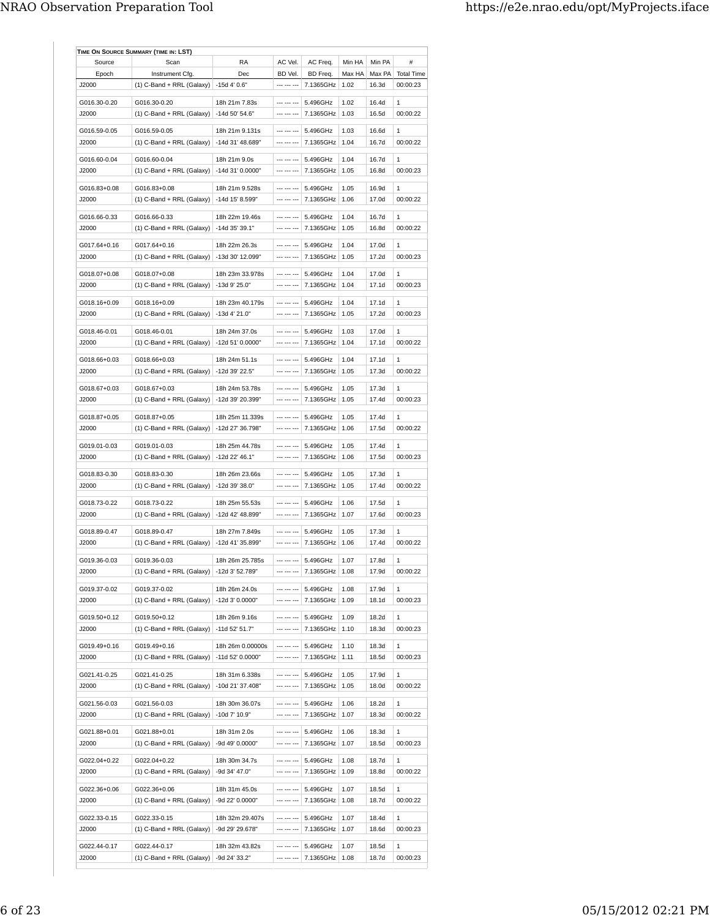| Source                | Scan                        | <b>RA</b>        | AC Vel.     | AC Freq.               | Min HA | Min PA | #                 |
|-----------------------|-----------------------------|------------------|-------------|------------------------|--------|--------|-------------------|
| Epoch                 | Instrument Cfg.             | Dec              | BD Vel.     | BD Freq.               | Max HA | Max PA | <b>Total Time</b> |
| J2000                 | $(1)$ C-Band + RRL (Galaxy) | -15d 4' 0.6"     | --- --- --- | 7.1365GHz              | 1.02   | 16.3d  | 00:00:23          |
|                       | G016.30-0.20                | 18h 21m 7.83s    | --- --- --- | 5.496GHz               | 1.02   | 16.4d  | 1                 |
| G016.30-0.20<br>J2000 |                             | -14d 50' 54.6"   | --- --- --- | 7.1365GHz              | 1.03   | 16.5d  | 00:00:22          |
|                       | $(1)$ C-Band + RRL (Galaxy) |                  |             |                        |        |        |                   |
| G016.59-0.05          | G016.59-0.05                | 18h 21m 9.131s   | --- --- --- | 5.496GHz               | 1.03   | 16.6d  | 1                 |
| ,12000                | $(1)$ C-Band + RRL (Galaxy) | -14d 31' 48.689" | --- --- --- | 7.1365GHz              | 1.04   | 16.7d  | 00:00:22          |
|                       |                             |                  |             |                        |        |        |                   |
| G016.60-0.04          | G016.60-0.04                | 18h 21m 9.0s     | --- --- --- | 5.496GHz               | 1.04   | 16.7d  | $\mathbf{1}$      |
| J2000                 | $(1)$ C-Band + RRL (Galaxy) | -14d 31' 0.0000" | --- --- --- | 7.1365GHz              | 1.05   | 16.8d  | 00:00:23          |
| G016.83+0.08          | G016.83+0.08                | 18h 21m 9.528s   | --- --- --- | 5.496GHz               | 1.05   | 16.9d  | 1                 |
| ,12000                | $(1)$ C-Band + RRL (Galaxy) | -14d 15' 8.599"  | --- --- --- | 7.1365GHz              | 1.06   | 17.0d  | 00:00:22          |
|                       |                             |                  |             |                        |        |        |                   |
| G016.66-0.33          | G016.66-0.33                | 18h 22m 19.46s   | --- --- --- | 5.496GHz               | 1.04   | 16.7d  | $\mathbf{1}$      |
| J2000                 | $(1)$ C-Band + RRL (Galaxy) | -14d 35' 39.1"   | --- --- --- | 7.1365GHz              | 1.05   | 16.8d  | 00:00:22          |
|                       |                             |                  |             |                        |        |        |                   |
| G017.64+0.16          | G017.64+0.16                | 18h 22m 26.3s    | --- --- --- | 5.496GHz               | 1.04   | 17.0d  | 1                 |
| ,12000                | $(1)$ C-Band + RRL (Galaxy) | -13d 30' 12.099" | --- --- --- | 7.1365GHz              | 1.05   | 17.2d  | 00:00:23          |
| G018.07+0.08          | G018.07+0.08                | 18h 23m 33.978s  | --- --- --- | 5.496GHz               | 1.04   | 17.0d  | 1                 |
|                       |                             |                  | --- --- --- |                        |        |        |                   |
| J2000                 | (1) C-Band + RRL (Galaxy)   | -13d 9' 25.0"    |             | 7.1365GHz              | 1.04   | 17.1d  | 00:00:23          |
| G018.16+0.09          | G018.16+0.09                | 18h 23m 40.179s  | --- --- --- | 5.496GHz               | 1.04   | 17.1d  | $\mathbf{1}$      |
| J2000                 | $(1)$ C-Band + RRL (Galaxy) | $-13d$ 4' 21.0"  | --- --- --- | 7.1365GHz              | 1.05   | 17.2d  | 00:00:23          |
|                       |                             |                  |             |                        |        |        |                   |
| G018.46-0.01          | G018.46-0.01                | 18h 24m 37.0s    | --- --- --- | 5.496GHz               | 1.03   | 17.0d  | $\mathbf{1}$      |
| J2000                 | $(1)$ C-Band + RRL (Galaxy) | -12d 51' 0.0000" | --- --- --- | 7.1365GHz              | 1.04   | 17.1d  | 00:00:22          |
|                       |                             |                  |             |                        |        |        |                   |
| G018.66+0.03          | G018.66+0.03                | 18h 24m 51.1s    | --- --- --- | 5.496GHz               | 1.04   | 17.1d  | 1                 |
| J2000                 | $(1)$ C-Band + RRL (Galaxy) | -12d 39' 22.5"   | --- --- --- | 7.1365GHz              | 1.05   | 17.3d  | 00:00:22          |
| G018.67+0.03          | G018.67+0.03                | 18h 24m 53.78s   | --- --- --- | 5.496GHz               | 1.05   | 17.3d  | 1                 |
| J2000                 | $(1)$ C-Band + RRL (Galaxy) | -12d 39' 20.399" | --- --- --- | 7.1365GHz              | 1.05   | 17.4d  | 00:00:23          |
|                       |                             |                  |             |                        |        |        |                   |
| G018.87+0.05          | G018.87+0.05                | 18h 25m 11.339s  | --- --- --- | 5.496GHz               | 1.05   | 17.4d  | 1                 |
| J2000                 | $(1)$ C-Band + RRL (Galaxy) | -12d 27' 36.798" | --- --- --- | 7.1365GHz              | 1.06   | 17.5d  | 00:00:22          |
|                       |                             |                  |             |                        |        |        |                   |
| G019.01-0.03          | G019.01-0.03                | 18h 25m 44.78s   | --- --- --- | 5.496GHz               | 1.05   | 17.4d  | $\mathbf{1}$      |
| J2000                 | (1) C-Band + RRL (Galaxy)   | -12d 22' 46.1"   | --- --- --- | 7.1365GHz              | 1.06   | 17.5d  | 00:00:23          |
|                       |                             |                  | --- --- --- |                        |        |        | $\mathbf{1}$      |
| G018.83-0.30          | G018.83-0.30                | 18h 26m 23.66s   |             | 5.496GHz               | 1.05   | 17.3d  |                   |
| J2000                 | $(1)$ C-Band + RRL (Galaxy) | -12d 39' 38.0"   | --- --- --- | 7.1365GHz              | 1.05   | 17.4d  | 00:00:22          |
| G018.73-0.22          | G018.73-0.22                | 18h 25m 55.53s   | --- --- --- | 5.496GHz               | 1.06   | 17.5d  | $\mathbf{1}$      |
| J2000                 | $(1)$ C-Band + RRL (Galaxy) | -12d 42' 48.899" | --- --- --- | 7.1365GHz              | 1.07   | 17.6d  | 00:00:23          |
|                       |                             |                  |             |                        |        |        |                   |
| G018.89-0.47          | G018.89-0.47                | 18h 27m 7.849s   | --- --- --- | 5.496GHz               | 1.05   | 17.3d  | 1                 |
| J2000                 | $(1)$ C-Band + RRL (Galaxy) | -12d 41' 35.899" | --- --- --- | 7.1365GHz              | 1.06   | 17.4d  | 00:00:22          |
|                       |                             |                  |             |                        |        |        |                   |
| G019.36-0.03          | G019.36-0.03                | 18h 26m 25.785s  |             | --- --- ---   5.496GHz | 1.07   | 17.8d  | 1                 |
| J2000                 | (1) C-Band + RRL (Galaxy)   | -12d 3' 52.789"  | --- --- --- | 7.1365GHz   1.08       |        | 17.9d  | 00:00:22          |
| G019.37-0.02          | G019.37-0.02                | 18h 26m 24.0s    | --- --- --- | 5.496GHz               | 1.08   | 17.9d  | 1                 |
| J2000                 | $(1)$ C-Band + RRL (Galaxy) | -12d 3' 0.0000"  | --- --- --- | 7.1365GHz              | 1.09   | 18.1d  | 00:00:23          |
|                       |                             |                  |             |                        |        |        |                   |
| G019.50+0.12          | G019.50+0.12                | 18h 26m 9.16s    | --- --- --- | 5.496GHz               | 1.09   | 18.2d  | 1                 |
| J2000                 | (1) C-Band + RRL (Galaxy)   | -11d 52' 51.7"   | --- --- --- | 7.1365GHz              | 1.10   | 18.3d  | 00:00:23          |
|                       |                             |                  |             |                        |        |        |                   |
| G019.49+0.16          | G019.49+0.16                | 18h 26m 0.00000s | --- --- --- | 5.496GHz               | 1.10   | 18.3d  | 1                 |
| J2000                 | $(1)$ C-Band + RRL (Galaxy) | -11d 52' 0.0000" | --- --- --- | 7.1365GHz              | 1.11   | 18.5d  | 00:00:23          |
| G021.41-0.25          | G021.41-0.25                | 18h 31m 6.338s   | --- --- --- | 5.496GHz               | 1.05   | 17.9d  | 1                 |
| J2000                 |                             | -10d 21' 37.408" | --- --- --- | 7.1365GHz              | 1.05   | 18.0d  | 00:00:22          |
|                       | (1) C-Band + RRL (Galaxy)   |                  |             |                        |        |        |                   |
| G021.56-0.03          | G021.56-0.03                | 18h 30m 36.07s   | --- --- --- | 5.496GHz               | 1.06   | 18.2d  | 1                 |
| J2000                 | $(1)$ C-Band + RRL (Galaxy) | -10d 7' 10.9"    | --- --- --- | 7.1365GHz              | 1.07   | 18.3d  | 00:00:22          |
|                       |                             |                  |             |                        |        |        |                   |
| G021.88+0.01          | G021.88+0.01                | 18h 31m 2.0s     | --- --- --- | 5.496GHz               | 1.06   | 18.3d  | 1                 |
| J2000                 | (1) C-Band + RRL (Galaxy)   | -9d 49' 0.0000"  | --- --- --- | 7.1365GHz              | 1.07   | 18.5d  | 00:00:23          |
|                       |                             |                  |             |                        |        |        |                   |
| G022.04+0.22          | G022.04+0.22                | 18h 30m 34.7s    |             | 5.496GHz               | 1.08   | 18.7d  | 1                 |
| J2000                 | (1) C-Band + RRL (Galaxy)   | -9d 34' 47.0"    | --- --- --- | 7.1365GHz              | 1.09   | 18.8d  | 00:00:22          |
| G022.36+0.06          | G022.36+0.06                | 18h 31m 45.0s    | --- --- --- | 5.496GHz               | 1.07   | 18.5d  | 1                 |
| J2000                 | (1) C-Band + RRL (Galaxy)   | -9d 22' 0.0000"  | --- --- --- | 7.1365GHz              | 1.08   | 18.7d  | 00:00:22          |
|                       |                             |                  |             |                        |        |        |                   |
| G022.33-0.15          | G022.33-0.15                | 18h 32m 29.407s  | --- --- --- | 5.496GHz               | 1.07   | 18.4d  | 1                 |
| J2000                 | (1) C-Band + RRL (Galaxy)   | -9d 29' 29.678"  | --- --- --- | 7.1365GHz              | 1.07   | 18.6d  | 00:00:23          |
|                       |                             |                  |             |                        |        |        |                   |
| G022.44-0.17          | G022.44-0.17                | 18h 32m 43.82s   | --- --- --- | 5.496GHz               | 1.07   | 18.5d  | 1                 |
| J2000                 | (1) C-Band + RRL (Galaxy)   | -9d 24' 33.2"    | --- --- --- | 7.1365GHz              | 1.08   | 18.7d  | 00:00:23          |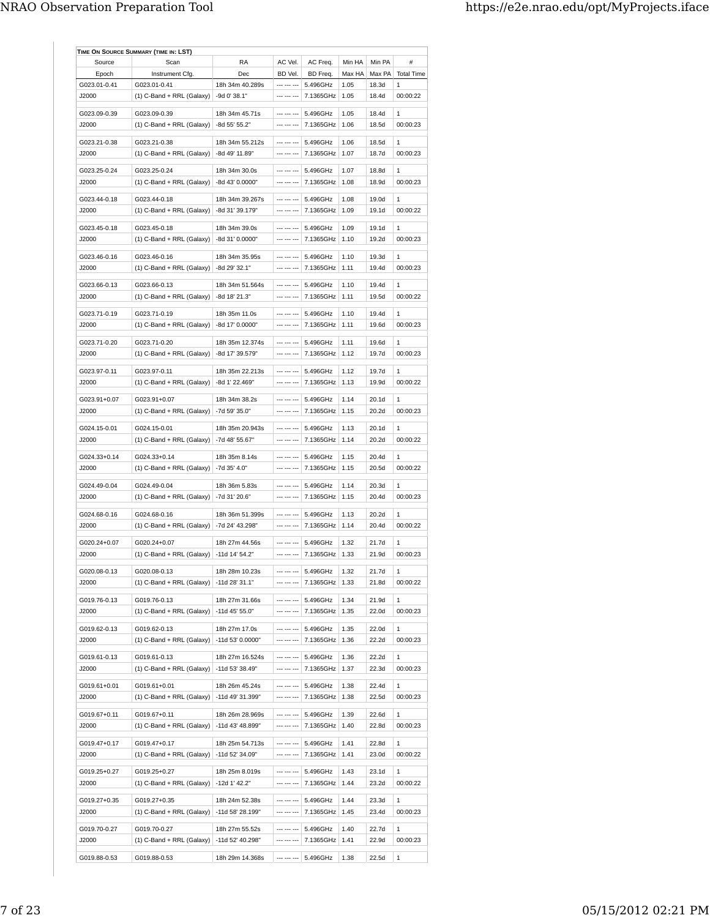| Source                 | Scan                                         | RA                               | AC Vel.                      | AC Freq.                   | Min HA | Min PA         | #                 |
|------------------------|----------------------------------------------|----------------------------------|------------------------------|----------------------------|--------|----------------|-------------------|
| Epoch                  | Instrument Cfg.                              | Dec                              | BD Vel.                      | BD Freq.                   | Max HA | Max PA         | <b>Total Time</b> |
| G023.01-0.41           | G023.01-0.41                                 | 18h 34m 40.289s                  | --- --- ---                  | 5.496GHz                   | 1.05   | 18.3d          | 1                 |
| J2000                  | $(1)$ C-Band + RRL (Galaxy)                  | -9d 0' 38.1"                     | --- --- ---                  | 7.1365GHz                  | 1.05   | 18.4d          | 00:00:22          |
|                        |                                              |                                  |                              |                            |        |                |                   |
| G023.09-0.39           | G023.09-0.39                                 | 18h 34m 45.71s                   | --- --- ---                  | 5.496GHz                   | 1.05   | 18.4d          | $\mathbf{1}$      |
| J2000                  | (1) C-Band + RRL (Galaxy)                    | -8d 55' 55.2"                    | --- --- ---                  | 7.1365GHz                  | 1.06   | 18.5d          | 00:00:23          |
| G023.21-0.38           | G023.21-0.38                                 | 18h 34m 55.212s                  | --- --- ---                  | 5.496GHz                   | 1.06   | 18.5d          | 1                 |
| J2000                  | (1) C-Band + RRL (Galaxy)                    | -8d 49' 11.89"                   | --- --- ---                  | 7.1365GHz                  | 1.07   | 18.7d          | 00:00:23          |
| G023.25-0.24           | G023.25-0.24                                 | 18h 34m 30.0s                    | --- --- ---                  | 5.496GHz                   | 1.07   | 18.8d          | 1                 |
| J2000                  | $(1)$ C-Band + RRL (Galaxy)                  | -8d 43' 0.0000"                  | --- --- ---                  | 7.1365GHz                  | 1.08   | 18.9d          | 00:00:23          |
| G023.44-0.18           | G023.44-0.18                                 | 18h 34m 39.267s                  | --- --- ---                  | 5.496GHz                   | 1.08   | 19.0d          | 1                 |
| J2000                  | (1) C-Band + RRL (Galaxy)                    | -8d 31' 39.179"                  | --- --- ---                  | 7.1365GHz   1.09           |        | 19.1d          | 00:00:22          |
|                        |                                              |                                  |                              |                            |        |                |                   |
| G023.45-0.18           | G023.45-0.18                                 | 18h 34m 39.0s                    | --- --- ---                  | 5.496GHz                   | 1.09   | 19.1d          | 1                 |
| J2000                  | $(1)$ C-Band + RRL (Galaxy)                  | -8d 31' 0.0000"                  | --- --- ---                  | 7.1365GHz                  | 1.10   | 19.2d          | 00:00:23          |
| G023.46-0.16           | G023.46-0.16                                 | 18h 34m 35.95s                   | --- --- ---                  | 5.496GHz                   | 1.10   | 19.3d          | 1                 |
| J2000                  | (1) C-Band + RRL (Galaxy)                    | -8d 29' 32.1"                    | --- --- ---                  | 7.1365GHz                  | 1.11   | 19.4d          | 00:00:23          |
|                        |                                              |                                  |                              |                            |        |                |                   |
| G023.66-0.13           | G023.66-0.13                                 | 18h 34m 51.564s<br>-8d 18' 21.3" | --- --- ---  <br>--- --- --- | 5.496GHz<br>7.1365GHz      | 1.10   | 19.4d<br>19.5d | 1<br>00:00:22     |
| J2000                  | $(1)$ C-Band + RRL (Galaxy)                  |                                  |                              |                            | 1.11   |                |                   |
| G023.71-0.19           | G023.71-0.19                                 | 18h 35m 11.0s                    | --- --- ---                  | 5.496GHz                   | 1.10   | 19.4d          | 1                 |
| ,12000                 | (1) C-Band + RRL (Galaxy)                    | -8d 17' 0.0000"                  | --- --- ---                  | 7.1365GHz                  | 1.11   | 19.6d          | 00:00:23          |
| G023.71-0.20           | G023.71-0.20                                 | 18h 35m 12.374s                  | --- --- ---                  | 5.496GHz                   | 1.11   | 19.6d          | 1                 |
| J2000                  | (1) C-Band + RRL (Galaxy)                    | -8d 17' 39.579"                  | --- --- ---                  | 7.1365GHz                  | 1.12   | 19.7d          | 00:00:23          |
|                        |                                              |                                  |                              |                            |        |                |                   |
| G023.97-0.11           | G023.97-0.11                                 | 18h 35m 22.213s                  | --- --- ---                  | 5.496GHz                   | 1.12   | 19.7d          | 1                 |
| J2000                  | (1) C-Band + RRL (Galaxy)                    | -8d 1' 22.469"                   | --- --- ---                  | 7.1365GHz                  | 1.13   | 19.9d          | 00:00:22          |
| G023.91+0.07           | G023.91+0.07                                 | 18h 34m 38.2s                    | --- --- ---                  | 5.496GHz                   | 1.14   | 20.1d          | 1                 |
| J2000                  | (1) C-Band + RRL (Galaxy)                    | -7d 59' 35.0"                    | --- --- ---                  | 7.1365GHz                  | 1.15   | 20.2d          | 00:00:23          |
|                        |                                              |                                  |                              |                            |        |                |                   |
| G024.15-0.01<br>,12000 | G024.15-0.01                                 | 18h 35m 20.943s                  | --- --- ---<br>--- --- ---   | 5.496GHz<br>7.1365GHz 1.14 | 1.13   | 20.1d<br>20.2d | 1<br>00:00:22     |
|                        | (1) C-Band + RRL (Galaxy)                    | -7d 48' 55.67"                   |                              |                            |        |                |                   |
| G024.33+0.14           | G024.33+0.14                                 | 18h 35m 8.14s                    |                              | 5.496GHz                   | 1.15   | 20.4d          | 1                 |
| J2000                  | (1) C-Band + RRL (Galaxy)                    | -7d 35' 4.0"                     | --- --- ---                  | 7.1365GHz                  | 1.15   | 20.5d          | 00:00:22          |
| G024.49-0.04           | G024.49-0.04                                 | 18h 36m 5.83s                    | .                            | 5.496GHz                   | 1.14   | 20.3d          | 1                 |
| J2000                  | (1) C-Band + RRL (Galaxy)                    | -7d 31' 20.6"                    | --- --- ---                  | 7.1365GHz                  | 1.15   | 20.4d          | 00:00:23          |
|                        |                                              |                                  |                              |                            |        |                |                   |
| G024.68-0.16           | G024.68-0.16                                 | 18h 36m 51.399s                  |                              | 5.496GHz                   | 1.13   | 20.2d          | 1                 |
| J2000                  | (1) C-Band + RRL (Galaxy)                    | -7d 24' 43.298"                  | --- --- ---                  | 7.1365GHz                  | 1.14   | 20.4d          | 00:00:22          |
| G020.24+0.07           | G020.24+0.07                                 | 18h 27m 44.56s                   | --- --- ---                  | 5.496GHz                   | 1.32   | 21.7d          | 1                 |
| J2000                  | $(1)$ C-Band + RRL (Galaxy)                  | -11d 14' 54.2"                   | --- --- ---                  | 7.1365GHz                  | 1.33   | 21.9d          | 00:00:23          |
|                        |                                              |                                  |                              |                            |        |                |                   |
| G020.08-0.13           | G020.08-0.13                                 | 18h 28m 10.23s                   | --- --- ---<br>              | 5.496GHz                   | 1.32   | 21.7d          | 1                 |
| J2000                  | $(1)$ C-Band + RRL (Galaxy)   -11d 28' 31.1" |                                  |                              | 7.1365GHz                  | 1.33   | 21.8d          | 00:00:22          |
| G019.76-0.13           | G019.76-0.13                                 | 18h 27m 31.66s                   | --- --- ---                  | 5.496GHz                   | 1.34   | 21.9d          | 1                 |
| J2000                  | (1) C-Band + RRL (Galaxy)                    | $-11d$ 45' 55.0"                 | --- --- ---                  | 7.1365GHz                  | 1.35   | 22.0d          | 00:00:23          |
| G019.62-0.13           | G019.62-0.13                                 | 18h 27m 17.0s                    | --- --- ---                  | 5.496GHz                   | 1.35   | 22.0d          | 1                 |
| J2000                  | $(1)$ C-Band + RRL (Galaxy)                  | -11d 53' 0.0000"                 | --- --- ---                  | 7.1365GHz   1.36           |        | 22.2d          | 00:00:23          |
|                        |                                              |                                  |                              |                            |        |                |                   |
| G019.61-0.13           | G019.61-0.13                                 | 18h 27m 16.524s                  | --- --- ---                  | 5.496GHz                   | 1.36   | 22.2d          | 1                 |
| J2000                  | (1) C-Band + RRL (Galaxy)                    | -11d 53' 38.49"                  | --- --- ---                  | 7.1365GHz                  | 1.37   | 22.3d          | 00:00:23          |
| G019.61+0.01           | G019.61+0.01                                 | 18h 26m 45.24s                   | --- --- ---                  | 5.496GHz                   | 1.38   | 22.4d          | 1                 |
| J2000                  | $(1)$ C-Band + RRL (Galaxy)                  | -11d 49' 31.399"                 | --- --- ---                  | 7.1365GHz   1.38           |        | 22.5d          | 00:00:23          |
|                        |                                              |                                  |                              |                            |        |                |                   |
| G019.67+0.11           | G019.67+0.11                                 | 18h 26m 28.969s                  | --- --- ---                  | 5.496GHz                   | 1.39   | 22.6d          | 1                 |
| J2000                  | $(1)$ C-Band + RRL (Galaxy)                  | -11d 43' 48.899"                 | --- --- ---                  | 7.1365GHz                  | 1.40   | 22.8d          | 00:00:23          |
| G019.47+0.17           | G019.47+0.17                                 | 18h 25m 54.713s                  | --- --- ---                  | 5.496GHz                   | 1.41   | 22.8d          | 1                 |
| J2000                  | $(1)$ C-Band + RRL (Galaxy)                  | -11d 52' 34.09"                  | --- --- ---                  | 7.1365GHz                  | 1.41   | 23.0d          | 00:00:22          |
|                        |                                              |                                  | --- --- ---                  |                            | 1.43   |                | 1                 |
| G019.25+0.27<br>J2000  | G019.25+0.27<br>(1) C-Band + RRL (Galaxy)    | 18h 25m 8.019s<br>-12d 1' 42.2"  | --- --- ---                  | 5.496GHz<br>7.1365GHz      | 1.44   | 23.1d<br>23.2d | 00:00:22          |
|                        |                                              |                                  |                              |                            |        |                |                   |
| G019.27+0.35           | G019.27+0.35                                 | 18h 24m 52.38s                   | --- --- ---                  | 5.496GHz                   | 1.44   | 23.3d          | 1                 |
| J2000                  | (1) C-Band + RRL (Galaxy)                    | -11d 58' 28.199"                 | --- --- ---                  | 7.1365GHz                  | 1.45   | 23.4d          | 00:00:23          |
| G019.70-0.27           | G019.70-0.27                                 | 18h 27m 55.52s                   | --- --- ---                  | 5.496GHz                   | 1.40   | 22.7d          | 1                 |
| J2000                  | (1) C-Band + RRL (Galaxy)                    | -11d 52' 40.298"                 | --- --- ---                  | 7.1365GHz                  | 1.41   | 22.9d          | 00:00:23          |
|                        |                                              |                                  |                              |                            |        |                |                   |
|                        |                                              |                                  |                              |                            |        |                |                   |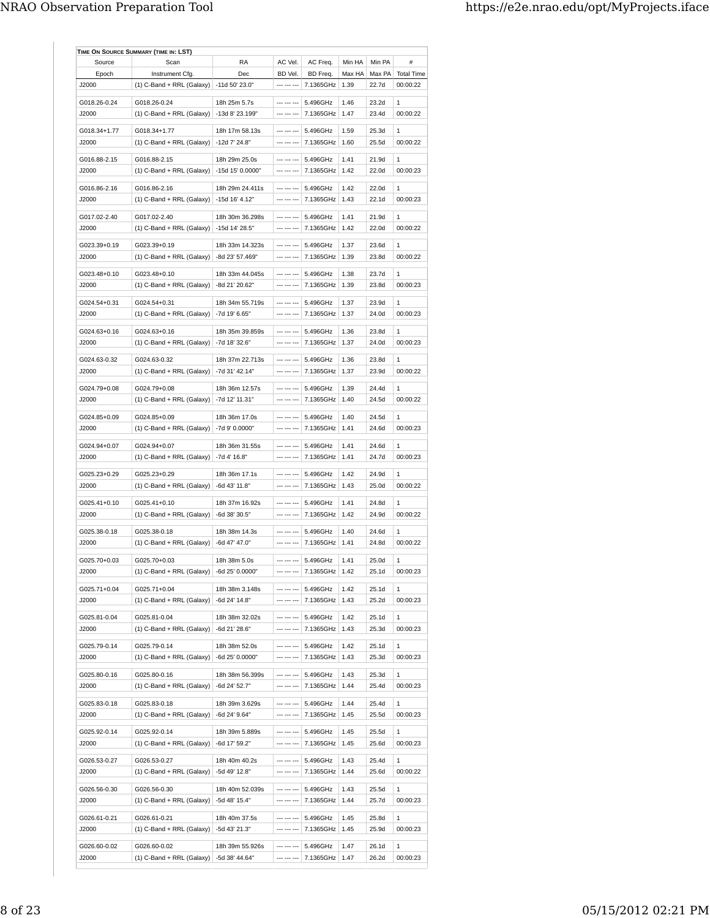| Source       | Scan                                        | <b>RA</b>        | AC Vel.     | AC Freq.               | Min HA | Min PA            | #                 |
|--------------|---------------------------------------------|------------------|-------------|------------------------|--------|-------------------|-------------------|
| Epoch        | Instrument Cfg.                             | Dec              | BD Vel.     | BD Freq.               | Max HA | Max PA            | <b>Total Time</b> |
| J2000        | $(1)$ C-Band + RRL (Galaxy)                 | -11d 50' 23.0"   | --- --- --- | 7.1365GHz              | 1.39   | 22.7d             | 00:00:22          |
| G018.26-0.24 | G018.26-0.24                                | 18h 25m 5.7s     | --- --- --- | 5.496GHz               | 1.46   | 23.2d             | 1                 |
| J2000        | $(1)$ C-Band + RRL (Galaxy)                 | -13d 8' 23.199"  | --- --- --- | 7.1365GHz              | 1.47   | 23.4d             | 00:00:22          |
|              |                                             |                  |             |                        |        |                   |                   |
| G018.34+1.77 | G018.34+1.77                                | 18h 17m 58.13s   | --- --- --- | 5.496GHz               | 1.59   | 25.3d             | $\mathbf{1}$      |
| ,12000       | (1) C-Band + RRL (Galaxy)                   | -12d 7' 24.8"    | --- --- --- | 7.1365GHz              | 1.60   | 25.5d             | 00:00:22          |
| G016.88-2.15 | G016.88-2.15                                | 18h 29m 25.0s    | --- --- --- | 5.496GHz               | 1.41   | 21.9d             | $\mathbf{1}$      |
| J2000        | $(1)$ C-Band + RRL (Galaxy)                 | -15d 15' 0.0000" | --- --- --- | 7.1365GHz              | 1.42   | 22.0d             | 00:00:23          |
|              |                                             |                  |             |                        |        |                   |                   |
| G016.86-2.16 | G016.86-2.16                                | 18h 29m 24.411s  | --- --- --- | 5.496GHz               | 1.42   | 22.0d             | 1                 |
| ,12000       | $(1)$ C-Band + RRL (Galaxy)                 | -15d 16' 4.12"   | --- --- --- | 7.1365GHz              | 1.43   | 22.1d             | 00:00:23          |
| G017.02-2.40 | G017.02-2.40                                | 18h 30m 36.298s  | --- --- --- | 5.496GHz               | 1.41   | 21.9d             | $\mathbf{1}$      |
| J2000        | $(1)$ C-Band + RRL (Galaxy)                 | -15d 14' 28.5"   | --- --- --- | 7.1365GHz              | 1.42   | 22.0d             | 00:00:22          |
|              |                                             |                  |             |                        |        |                   |                   |
| G023.39+0.19 | G023.39+0.19                                | 18h 33m 14.323s  | --- --- --- | 5.496GHz               | 1.37   | 23.6d             | 1                 |
| ,12000       | $(1)$ C-Band + RRL (Galaxy)                 | -8d 23' 57.469"  | --- --- --- | 7.1365GHz              | 1.39   | 23.8d             | 00:00:22          |
| G023.48+0.10 | G023.48+0.10                                | 18h 33m 44.045s  | --- --- --- | 5.496GHz               | 1.38   | 23.7d             | 1                 |
| J2000        | (1) C-Band + RRL (Galaxy)                   | -8d 21' 20.62"   | --- --- --- | 7.1365GHz              | 1.39   | 23.8d             | 00:00:23          |
|              |                                             |                  |             |                        |        |                   |                   |
| G024.54+0.31 | G024.54+0.31                                | 18h 34m 55.719s  | --- --- --- | 5.496GHz               | 1.37   | 23.9d             | 1                 |
| J2000        | $(1)$ C-Band + RRL (Galaxy)                 | -7d 19' 6.65"    | --- --- --- | 7.1365GHz              | 1.37   | 24.0d             | 00:00:23          |
| G024.63+0.16 | G024.63+0.16                                | 18h 35m 39.859s  | --- --- --- | 5.496GHz               | 1.36   | 23.8d             | $\mathbf{1}$      |
| J2000        | $(1)$ C-Band + RRL (Galaxy)                 | -7d 18' 32.6"    | --- --- --- | 7.1365GHz              | 1.37   | 24.0d             | 00:00:23          |
|              |                                             |                  |             |                        |        |                   |                   |
| G024.63-0.32 | G024.63-0.32                                | 18h 37m 22.713s  | --- --- --- | 5.496GHz               | 1.36   | 23.8d             | 1                 |
| J2000        | $(1)$ C-Band + RRL (Galaxy)                 | -7d 31' 42.14"   | --- --- --- | 7.1365GHz              | 1.37   | 23.9d             | 00:00:22          |
| G024.79+0.08 | G024.79+0.08                                | 18h 36m 12.57s   | --- --- --- | 5.496GHz               | 1.39   | 24.4d             | $\mathbf{1}$      |
| J2000        | (1) C-Band + RRL (Galaxy)                   | -7d 12' 11.31"   | --- --- --- | 7.1365GHz              | 1.40   | 24.5d             | 00:00:22          |
|              |                                             |                  |             |                        |        |                   |                   |
| G024.85+0.09 | G024.85+0.09                                | 18h 36m 17.0s    | --- --- --- | 5.496GHz               | 1.40   | 24.5d             | 1                 |
| J2000        | $(1)$ C-Band + RRL (Galaxy)                 | -7d 9' 0.0000"   | --- --- --- | 7.1365GHz              | 1.41   | 24.6d             | 00:00:23          |
| G024.94+0.07 | G024.94+0.07                                | 18h 36m 31.55s   | --- --- --- | 5.496GHz               | 1.41   | 24.6d             | $\mathbf{1}$      |
| J2000        | (1) C-Band + RRL (Galaxy)                   | -7d 4' 16.8"     | --- --- --- | 7.1365GHz              | 1.41   | 24.7d             | 00:00:23          |
|              |                                             |                  |             |                        |        |                   |                   |
| G025.23+0.29 | G025.23+0.29                                | 18h 36m 17.1s    | --- --- --- | 5.496GHz               | 1.42   | 24.9d             | 1                 |
| J2000        | $(1)$ C-Band + RRL (Galaxy)                 | -6d 43' 11.8"    | --- --- --- | 7.1365GHz              | 1.43   | 25.0d             | 00:00:22          |
| G025.41+0.10 | G025.41+0.10                                | 18h 37m 16.92s   | --- --- --- | 5.496GHz               | 1.41   | 24.8d             | $\mathbf{1}$      |
| J2000        | (1) C-Band + RRL (Galaxy)                   | -6d 38' 30.5"    | --- --- --- | 7.1365GHz              | 1.42   | 24.9d             | 00:00:22          |
|              |                                             |                  |             |                        |        |                   |                   |
| G025.38-0.18 | G025.38-0.18                                | 18h 38m 14.3s    | --- --- --- | 5.496GHz               | 1.40   | 24.6d             | 1                 |
| J2000        | $(1)$ C-Band + RRL (Galaxy)                 | -6d 47' 47.0"    | --- --- --- | 7.1365GHz              | 1.41   | 24.8d             | 00:00:22          |
| G025.70+0.03 | G025.70+0.03                                | 18h 38m 5.0s     |             | --- --- ---   5.496GHz | 1.41   | 25.0d             | 1                 |
| J2000        | (1) C-Band + RRL (Galaxy)                   | -6d 25' 0.0000"  | --- --- --- | 7.1365GHz   1.42       |        | 25.1d             | 00:00:23          |
|              |                                             |                  |             |                        |        |                   |                   |
| G025.71+0.04 | G025.71+0.04                                | 18h 38m 3.148s   | --- --- --- | 5.496GHz               | 1.42   | 25.1d             | 1                 |
| J2000        | $(1)$ C-Band + RRL (Galaxy)                 | -6d 24' 14.8"    | --- --- --- | 7.1365GHz              | 1.43   | 25.2d             | 00:00:23          |
|              |                                             |                  | --- --- --- |                        |        |                   |                   |
| G025.81-0.04 | G025.81-0.04                                | 18h 38m 32.02s   |             | 5.496GHz               | 1.42   | 25.1d             | 1                 |
| J2000        | (1) C-Band + RRL (Galaxy)                   | -6d 21' 28.6"    | --- --- --- | 7.1365GHz              | 1.43   | 25.3d             | 00:00:23          |
| G025.79-0.14 | G025.79-0.14                                | 18h 38m 52.0s    | --- --- --- | 5.496GHz               | 1.42   | 25.1 <sub>d</sub> | 1                 |
| J2000        | $(1)$ C-Band + RRL (Galaxy)                 | -6d 25' 0.0000"  | --- --- --- | 7.1365GHz              | 1.43   | 25.3d             | 00:00:23          |
|              |                                             |                  |             |                        |        |                   |                   |
| G025.80-0.16 | G025.80-0.16                                | 18h 38m 56.399s  | --- --- --- | 5.496GHz               | 1.43   | 25.3d             | 1                 |
| J2000        | (1) C-Band + RRL (Galaxy)                   | -6d 24' 52.7"    | --- --- --- | 7.1365GHz              | 1.44   | 25.4d             | 00:00:23          |
| G025.83-0.18 | G025.83-0.18                                | 18h 39m 3.629s   | --- --- --- | 5.496GHz               | 1.44   | 25.4d             | $\mathbf{1}$      |
| J2000        | $(1)$ C-Band + RRL (Galaxy)   -6d 24' 9.64" |                  | --- --- --- | 7.1365GHz              | 1.45   | 25.5d             | 00:00:23          |
|              |                                             |                  |             |                        |        |                   |                   |
| G025.92-0.14 | G025.92-0.14                                | 18h 39m 5.889s   | --- --- --- | 5.496GHz               | 1.45   | 25.5d             | 1                 |
| J2000        | (1) C-Band + RRL (Galaxy)                   | -6d 17' 59.2"    | --- --- --- | 7.1365GHz              | 1.45   | 25.6d             | 00:00:23          |
| G026.53-0.27 | G026.53-0.27                                | 18h 40m 40.2s    | --- --- --- | 5.496GHz               | 1.43   | 25.4d             | 1                 |
| J2000        | (1) C-Band + RRL (Galaxy)                   | -5d 49' 12.8"    | --- --- --- | 7.1365GHz              | 1.44   | 25.6d             | 00:00:22          |
|              |                                             |                  |             |                        |        |                   |                   |
| G026.56-0.30 | G026.56-0.30                                | 18h 40m 52.039s  | --- --- --- | 5.496GHz               | 1.43   | 25.5d             | 1                 |
| J2000        | (1) C-Band + RRL (Galaxy)                   | -5d 48' 15.4"    | --- --- --- | 7.1365GHz              | 1.44   | 25.7d             | 00:00:23          |
|              | G026.61-0.21                                |                  | --- --- --- | 5.496GHz               | 1.45   | 25.8d             | 1                 |
| G026.61-0.21 |                                             | 18h 40m 37.5s    | --- --- --- |                        |        |                   |                   |
| J2000        | (1) C-Band + RRL (Galaxy)                   | -5d 43' 21.3"    |             | 7.1365GHz              | 1.45   | 25.9d             | 00:00:23          |
| G026.60-0.02 | G026.60-0.02                                | 18h 39m 55.926s  | --- --- --- | 5.496GHz               | 1.47   | 26.1d             | 1                 |
| J2000        | (1) C-Band + RRL (Galaxy)                   | -5d 38' 44.64"   | --- --- --- | 7.1365GHz              | 1.47   | 26.2d             | 00:00:23          |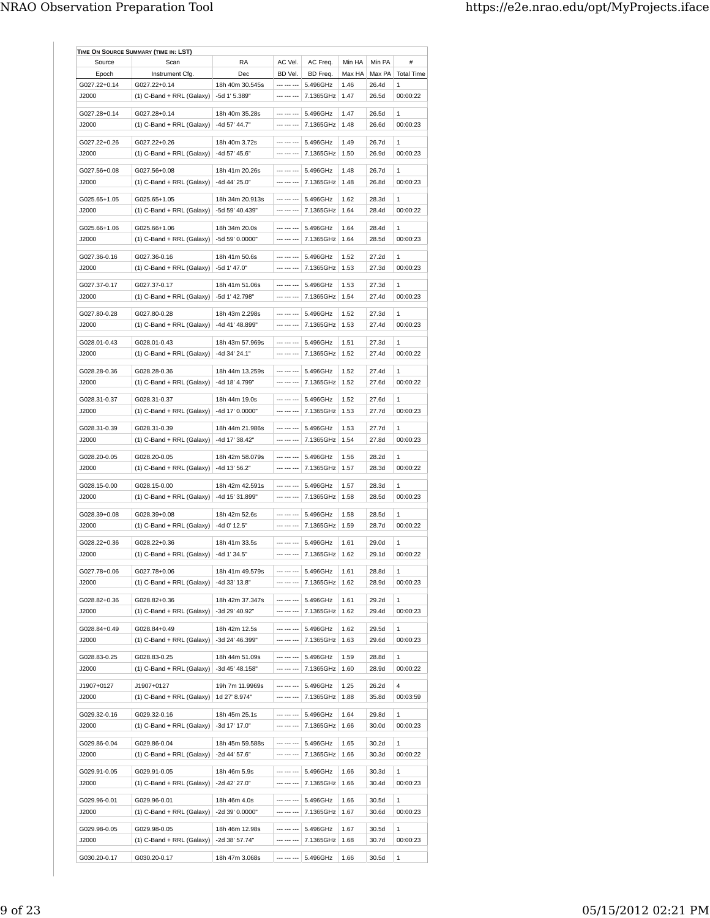| Source                 | Scan                        | RA                               | AC Vel.                    | AC Freq.         | Min HA       | Min PA | #                 |
|------------------------|-----------------------------|----------------------------------|----------------------------|------------------|--------------|--------|-------------------|
| Epoch                  | Instrument Cfg.             | Dec                              | BD Vel.                    | BD Freq.         | Max HA       | Max PA | <b>Total Time</b> |
| G027.22+0.14           | G027.22+0.14                | 18h 40m 30.545s                  | --- --- ---                | 5.496GHz         | 1.46         | 26.4d  | $\mathbf{1}$      |
| J2000                  | (1) C-Band + RRL (Galaxy)   | -5d 1' 5.389"                    | --- --- ---                | 7.1365GHz        | 1.47         | 26.5d  | 00:00:22          |
|                        |                             |                                  |                            |                  |              |        |                   |
| G027.28+0.14<br>,12000 | G027.28+0.14                | 18h 40m 35.28s                   | --- --- ---<br>--- --- --- | 5.496GHz         | 1.47<br>1.48 | 26.5d  | 1                 |
|                        | $(1)$ C-Band + RRL (Galaxy) | -4d 57' 44.7"                    |                            | 7.1365GHz        |              | 26.6d  | 00:00:23          |
| G027.22+0.26           | G027.22+0.26                | 18h 40m 3.72s                    | --- --- ---                | 5.496GHz         | 1.49         | 26.7d  | 1                 |
| J2000                  | $(1)$ C-Band + RRL (Galaxy) | -4d 57' 45.6"                    | --- --- ---                | 7.1365GHz        | 1.50         | 26.9d  | 00:00:23          |
|                        | G027.56+0.08                | 18h 41m 20.26s                   | --- --- ---                | 5.496GHz         |              | 26.7d  | $\mathbf{1}$      |
| G027.56+0.08<br>J2000  |                             | -4d 44' 25.0"                    | --- --- ---                | 7.1365GHz        | 1.48<br>1.48 | 26.8d  | 00:00:23          |
|                        | $(1)$ C-Band + RRL (Galaxy) |                                  |                            |                  |              |        |                   |
| G025.65+1.05           | G025.65+1.05                | 18h 34m 20.913s                  | --- --- ---                | 5.496GHz         | 1.62         | 28.3d  | $\mathbf{1}$      |
| J2000                  | $(1)$ C-Band + RRL (Galaxy) | -5d 59' 40.439"                  |                            | 7.1365GHz        | 1.64         | 28.4d  | 00:00:22          |
| G025.66+1.06           | G025.66+1.06                | 18h 34m 20.0s                    | --- --- ---                | 5.496GHz         | 1.64         | 28.4d  | $\mathbf{1}$      |
| J2000                  |                             | -5d 59' 0.0000"                  | --- --- ---                |                  | 1.64         | 28.5d  | 00:00:23          |
|                        | $(1)$ C-Band + RRL (Galaxy) |                                  |                            | 7.1365GHz        |              |        |                   |
| G027.36-0.16           | G027.36-0.16                | 18h 41m 50.6s                    | --- --- ---                | 5.496GHz         | 1.52         | 27.2d  | 1                 |
| J2000                  | $(1)$ C-Band + RRL (Galaxy) | -5d 1' 47.0"                     |                            | 7.1365GHz        | 1.53         | 27.3d  | 00:00:23          |
|                        |                             |                                  |                            |                  |              |        |                   |
| G027.37-0.17           | G027.37-0.17                | 18h 41m 51.06s<br>-5d 1' 42 798" | --- --- ---                | 5.496GHz         | 1.53         | 27.3d  | $\mathbf{1}$      |
| ,12000                 | $(1)$ C-Band + RRL (Galaxy) |                                  | --- --- ---                | 7.1365GHz        | 1.54         | 27.4d  | 00:00:23          |
| G027.80-0.28           | G027.80-0.28                | 18h 43m 2.298s                   | --- --- ---                | 5.496GHz         | 1.52         | 27.3d  | 1                 |
| J2000                  | $(1)$ C-Band + RRL (Galaxy) | -4d 41' 48.899"                  | --- --- ---                | 7.1365GHz        | 1.53         | 27.4d  | 00:00:23          |
|                        |                             |                                  |                            |                  |              |        |                   |
| G028.01-0.43           | G028.01-0.43                | 18h 43m 57.969s                  | --- --- ---                | 5.496GHz         | 1.51         | 27.3d  | $\mathbf{1}$      |
| J2000                  | (1) C-Band + RRL (Galaxy)   | -4d 34' 24.1"                    | --- --- ---                | 7.1365GHz        | 1.52         | 27.4d  | 00:00:22          |
| G028 28-0.36           | G028.28-0.36                | 18h 44m 13.259s                  | --- --- ---                | 5.496GHz         | 1.52         | 27.4d  | $\mathbf{1}$      |
| J2000                  | $(1)$ C-Band + RRL (Galaxy) | -4d 18' 4.799"                   | --- --- ---                | 7.1365GHz        | 1.52         | 27.6d  | 00:00:22          |
|                        |                             |                                  |                            |                  |              |        |                   |
| G028.31-0.37           | G028.31-0.37                | 18h 44m 19.0s                    |                            | 5.496GHz         | 1.52         | 27.6d  | 1                 |
| ,12000                 | $(1)$ C-Band + RRL (Galaxy) | -4d 17' 0.0000"                  | --- --- ---                | 7.1365GHz        | 1.53         | 27.7d  | 00:00:23          |
| G028.31-0.39           | G028.31-0.39                | 18h 44m 21.986s                  | --- --- ---                | 5.496GHz         | 1.53         | 27.7d  | $\mathbf{1}$      |
| J2000                  | $(1)$ C-Band + RRL (Galaxy) | -4d 17' 38.42"                   |                            | 7.1365GHz        | 1.54         | 27.8d  | 00:00:23          |
|                        |                             |                                  |                            |                  |              |        |                   |
| G028.20-0.05           | G028.20-0.05                | 18h 42m 58.079s                  | --- --- ---                | 5.496GHz         | 1.56         | 28.2d  | 1                 |
| ,12000                 | $(1)$ C-Band + RRL (Galaxy) | -4d 13' 56.2"                    | --- --- ---                | 7.1365GHz        | 1.57         | 28.3d  | 00:00:22          |
| G028.15-0.00           | G028.15-0.00                | 18h 42m 42.591s                  | --- --- ---                | 5.496GHz         | 1.57         | 28.3d  | 1                 |
| J2000                  | $(1)$ C-Band + RRL (Galaxy) | -4d 15' 31.899"                  | --- --- ---                | 7.1365GHz        | 1.58         | 28.5d  | 00:00:23          |
|                        |                             |                                  |                            |                  |              |        |                   |
| G028.39+0.08           | G028.39+0.08                | 18h 42m 52.6s                    | --- --- ---                | 5.496GHz         | 1.58         | 28.5d  | 1                 |
| J2000                  | $(1)$ C-Band + RRL (Galaxy) | -4d 0' 12.5"                     | --- --- ---                | 7.1365GHz        | 1.59         | 28.7d  | 00:00:22          |
| G028.22+0.36           | G028.22+0.36                | 18h 41m 33.5s                    | --- --- ---                | 5.496GHz         | 1.61         | 29.0d  | 1                 |
| J2000                  | $(1)$ C-Band + RRL (Galaxy) | -4d 1' 34.5"                     | --- --- ---                | 7.1365GHz        | 1.62         | 29.1d  | 00:00:22          |
|                        |                             |                                  |                            |                  |              |        |                   |
| G027.78+0.06           | G027.78+0.06                | 18h 41m 49.579s                  | --- --- ---                | 5.496GHz         | 1.61         | 28.8d  | 1                 |
| J2000                  | (1) C-Band + RRL (Galaxy)   | -4d 33' 13.8"                    | --- --- ---                | 7.1365GHz        | 1.62         | 28.9d  | 00:00:23          |
|                        | G028.82+0.36                |                                  | --- --- ---                | 5.496GHz         | 1.61         | 29.2d  | 1                 |
| G028.82+0.36           |                             | 18h 42m 37.347s                  | --- --- ---                |                  |              |        |                   |
| J2000                  | $(1)$ C-Band + RRL (Galaxy) | -3d 29' 40.92"                   |                            | 7.1365GHz   1.62 |              | 29.4d  | 00:00:23          |
| G028.84+0.49           | G028.84+0.49                | 18h 42m 12.5s                    | --- --- ---                | 5.496GHz         | 1.62         | 29.5d  | 1                 |
| J2000                  | $(1)$ C-Band + RRL (Galaxy) | -3d 24' 46.399"                  | --- --- ---                | 7.1365GHz   1.63 |              | 29.6d  | 00:00:23          |
|                        |                             |                                  | --- --- ---                |                  |              |        |                   |
| G028.83-0.25           | G028.83-0.25                | 18h 44m 51.09s                   | --- --- ---                | 5.496GHz         | 1.59         | 28.8d  | 1                 |
| J2000                  | $(1)$ C-Band + RRL (Galaxy) | -3d 45' 48.158"                  |                            | 7.1365GHz        | 1.60         | 28.9d  | 00:00:22          |
| J1907+0127             | J1907+0127                  | 19h 7m 11.9969s                  | --- --- ---                | 5.496GHz         | 1.25         | 26.2d  | 4                 |
| J2000                  | $(1)$ C-Band + RRL (Galaxy) | 1d 27' 8.974"                    | --- --- ---                | 7.1365GHz        | 1.88         | 35.8d  | 00:03:59          |
|                        |                             |                                  |                            |                  |              |        |                   |
| G029.32-0.16           | G029.32-0.16                | 18h 45m 25.1s                    | --- --- ---                | 5.496GHz         | 1.64         | 29.8d  | 1                 |
| J2000                  | $(1)$ C-Band + RRL (Galaxy) | -3d 17' 17.0"                    | --- --- ---                | 7.1365GHz        | 1.66         | 30.0d  | 00:00:23          |
| G029.86-0.04           | G029.86-0.04                | 18h 45m 59.588s                  | --- --- ---                | 5.496GHz         | 1.65         | 30.2d  | 1                 |
| J2000                  | (1) C-Band + RRL (Galaxy)   | -2d 44' 57.6"                    | --- --- ---                | 7.1365GHz        | 1.66         | 30.3d  | 00:00:22          |
|                        |                             |                                  |                            |                  |              |        |                   |
| G029.91-0.05           | G029.91-0.05                | 18h 46m 5.9s                     | --- --- ---                | 5.496GHz         | 1.66         | 30.3d  | 1                 |
| J2000                  | $(1)$ C-Band + RRL (Galaxy) | -2d 42' 27.0"                    | --- --- ---                | 7.1365GHz        | 1.66         | 30.4d  | 00:00:23          |
| G029.96-0.01           | G029.96-0.01                | 18h 46m 4.0s                     | --- --- ---                | 5.496GHz         | 1.66         | 30.5d  | $\mathbf{1}$      |
| J2000                  | (1) C-Band + RRL (Galaxy)   | -2d 39' 0.0000"                  | --- --- ---                | 7.1365GHz        | 1.67         | 30.6d  | 00:00:23          |
|                        |                             |                                  |                            |                  |              |        |                   |
| G029.98-0.05           | G029.98-0.05                | 18h 46m 12.98s                   | --- --- ---                | 5.496GHz         | 1.67         | 30.5d  | 1                 |
| J2000                  | (1) C-Band + RRL (Galaxy)   | -2d 38' 57.74"                   | --- --- ---                | 7.1365GHz        | 1.68         | 30.7d  | 00:00:23          |
|                        |                             |                                  |                            |                  |              |        |                   |
| G030.20-0.17           | G030.20-0.17                | 18h 47m 3.068s                   | --- --- ---                | 5.496GHz         | 1.66         | 30.5d  | 1                 |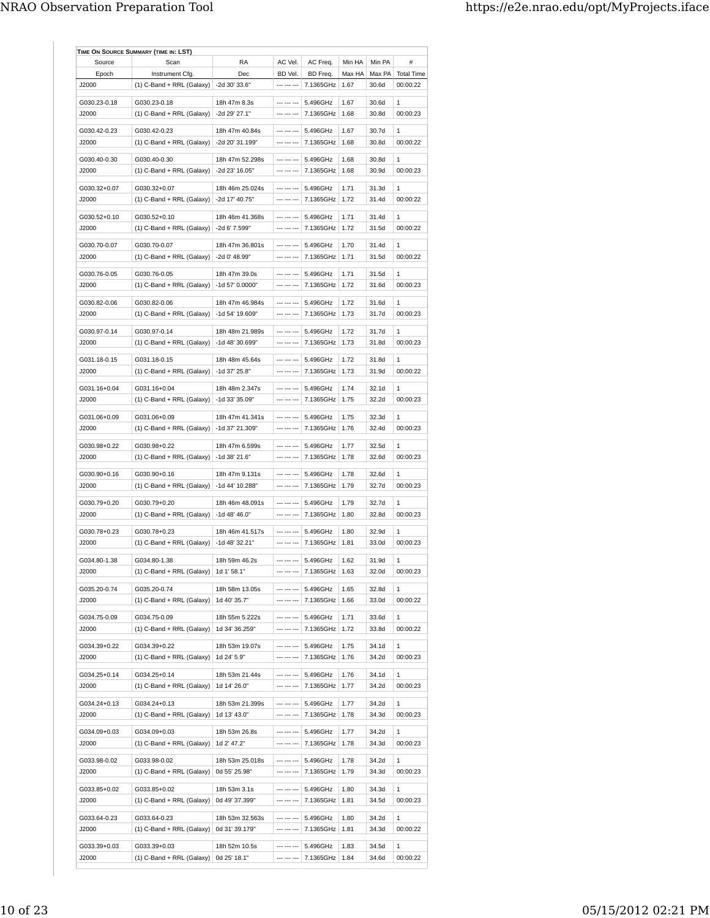| Source       | Scan                                      | RA              | AC Vel.     | AC Freq.         | Min HA | Min PA | #                 |
|--------------|-------------------------------------------|-----------------|-------------|------------------|--------|--------|-------------------|
| Epoch        | Instrument Cfg.                           | Dec             | BD Vel.     | BD Freq.         | Max HA | Max PA | <b>Total Time</b> |
| J2000        | $(1)$ C-Band + RRL (Galaxy)               | -2d 30' 33.6"   | --- --- --- | 7.1365GHz        | 1.67   | 30.6d  | 00:00:22          |
|              |                                           |                 |             |                  |        |        |                   |
| G030.23-0.18 | G030.23-0.18                              | 18h 47m 8.3s    | --- --- --- | 5.496GHz         | 1.67   | 30.6d  | 1                 |
| J2000        | $(1)$ C-Band + RRL (Galaxy)               | -2d 29' 27.1"   | --- --- --- | 7.1365GHz        | 1.68   | 30 8d  | 00:00:23          |
| G030.42-0.23 | G030.42-0.23                              | 18h 47m 40.84s  | --- --- --- | 5.496GHz         | 1.67   | 30.7d  | $\mathbf{1}$      |
|              |                                           |                 | --- --- --- |                  |        |        |                   |
| J2000        | $(1)$ C-Band + RRL (Galaxy)               | -2d 20' 31.199" |             | 7.1365GHz        | 1.68   | 30.8d  | 00:00:22          |
| G030.40-0.30 | G030.40-0.30                              | 18h 47m 52.298s | --- --- --- | 5.496GHz         | 1.68   | 30.8d  | 1                 |
| J2000        | $(1)$ C-Band + RRL (Galaxy)               | -2d 23' 16.05"  | --- --- --- | 7.1365GHz        | 1.68   | 30.9d  | 00:00:23          |
|              |                                           |                 |             |                  |        |        |                   |
| G030.32+0.07 | G030.32+0.07                              | 18h 46m 25.024s | --- --- --- | 5.496GHz         | 1.71   | 31.3d  | 1                 |
| J2000        | $(1)$ C-Band + RRL (Galaxy)               | -2d 17' 40.75"  | --- --- --- | 7.1365GHz        | 1.72   | 31.4d  | 00:00:22          |
|              |                                           |                 |             |                  |        |        |                   |
| G030.52+0.10 | G030.52+0.10                              | 18h 46m 41.368s | --- --- --- | 5.496GHz         | 1.71   | 31.4d  | 1                 |
| J2000        | $(1)$ C-Band + RRL (Galaxy)               | -2d 6' 7.599"   | --- --- --- | 7.1365GHz        | 1.72   | 31.5d  | 00:00:22          |
| G030.70-0.07 | G030.70-0.07                              | 18h 47m 36.801s | --- --- --- | 5.496GHz         | 1.70   | 31.4d  | $\mathbf{1}$      |
|              |                                           |                 |             |                  |        |        |                   |
| J2000        | $(1)$ C-Band + RRL (Galaxy)               | -2d 0' 48.99"   | --- --- --- | 7.1365GHz        | 1.71   | 31.5d  | 00:00:22          |
| G030.76-0.05 | G030.76-0.05                              | 18h 47m 39.0s   | --- --- --- | 5.496GHz         | 1.71   | 31.5d  | 1                 |
| J2000        | $(1)$ C-Band + RRL (Galaxy)               | -1d 57' 0.0000" |             | 7.1365GHz        | 1.72   | 31.6d  | 00:00:23          |
|              |                                           |                 |             |                  |        |        |                   |
| G030.82-0.06 | G030.82-0.06                              | 18h 47m 46.984s | --- --- --- | 5.496GHz         | 1.72   | 31.6d  | $\mathbf{1}$      |
| ,12000       | $(1)$ C-Band + RRL (Galaxy)               | -1d 54' 19.609" | --- --- --- | 7.1365GHz        | 1 73   | 31.7d  | 00:00:23          |
|              |                                           |                 |             |                  |        |        |                   |
| G030.97-0.14 | G030.97-0.14                              | 18h 48m 21.989s | --- --- --- | 5.496GHz         | 1.72   | 31.7d  | 1                 |
| J2000        | (1) C-Band + RRL (Galaxy)                 | -1d 48' 30.699" | --- --- --- | 7.1365GHz        | 1.73   | 31.8d  | 00:00:23          |
| G031.18-0.15 | G031.18-0.15                              | 18h 48m 45.64s  | --- --- --- | 5.496GHz         | 1.72   | 31.8d  | 1                 |
| ,12000       | $(1)$ C-Band + RRL (Galaxy)               | -1d 37' 25.8"   | --- --- --- | 7.1365GHz        | 1.73   | 31.9d  | 00:00:22          |
|              |                                           |                 |             |                  |        |        |                   |
| G031.16+0.04 | G031.16+0.04                              | 18h 48m 2.347s  | --- --- --- | 5.496GHz         | 1.74   | 32.1d  | 1                 |
| J2000        | $(1)$ C-Band + RRL (Galaxy)               | -1d 33' 35.09"  | --- --- --- | 7.1365GHz        | 1.75   | 32.2d  | 00:00:23          |
|              |                                           |                 |             |                  |        |        |                   |
| G031.06+0.09 | G031.06+0.09                              | 18h 47m 41.341s | --- --- --- | 5.496GHz         | 1.75   | 32.3d  | 1                 |
| J2000        | (1) C-Band + RRL (Galaxy)                 | -1d 37' 21.309" | --- --- --- | 7.1365GHz        | 1.76   | 32.4d  | 00:00:23          |
|              |                                           |                 |             |                  |        |        |                   |
| G030.98+0.22 | G030.98+0.22                              | 18h 47m 6.599s  | --- --- --- | 5.496GHz         | 1.77   | 32.5d  | $\mathbf{1}$      |
| J2000        | $(1)$ C-Band + RRL (Galaxy)               | $-1d$ 38' 21.6" | --- --- --- | 7.1365GHz        | 1.78   | 32.6d  | 00:00:23          |
| G030.90+0.16 | G030.90+0.16                              | 18h 47m 9.131s  | --- --- --- | 5.496GHz         | 1.78   | 32.6d  | 1                 |
| J2000        |                                           |                 | --- --- --- |                  | 1.79   | 32.7d  | 00:00:23          |
|              | $(1)$ C-Band + RRL (Galaxy)               | -1d 44' 10.288" |             | 7.1365GHz        |        |        |                   |
| G030.79+0.20 | G030.79+0.20                              | 18h 46m 48.091s | --- --- --- | 5.496GHz         | 1.79   | 32.7d  | 1                 |
| J2000        | (1) C-Band + RRL (Galaxy)                 | $-1d$ 48' 46.0" | --- --- --- | 7.1365GHz        | 1.80   | 32.8d  | 00:00:23          |
|              |                                           |                 |             |                  |        |        |                   |
| G030.78+0.23 | G030.78+0.23                              | 18h 46m 41.517s | --- --- --- | 5.496GHz         | 1.80   | 32.9d  | 1                 |
| J2000        | $(1)$ C-Band + RRL (Galaxy)               | -1d 48' 32.21"  | --- --- --- | 7.1365GHz        | 1.81   | 33.0d  | 00:00:23          |
|              |                                           |                 |             |                  |        |        |                   |
| G034.80-1.38 | G034.80-1.38                              | 18h 59m 46.2s   |             | $    -$ 5.496GHz | 1.62   | 31.9d  | $\mathbf{1}$      |
| J2000        | $(1)$ C-Band + RRL (Galaxy)   1d 1' 58.1" |                 | --- --- --- | 7.1365GHz   1.63 |        | 32.0d  | 00:00:23          |
| G035.20-0.74 | G035.20-0.74                              | 18h 58m 13.05s  | --- --- --- | 5.496GHz         | 1.65   | 32.8d  | 1                 |
| J2000        |                                           | 1d 40' 35.7"    | --- --- --- | 7.1365GHz        |        |        | 00:00:22          |
|              | $(1)$ C-Band + RRL (Galaxy)               |                 |             |                  | 1.66   | 33.0d  |                   |
| G034.75-0.09 | G034.75-0.09                              | 18h 55m 5.222s  | --- --- --- | 5.496GHz         | 1.71   | 33.6d  | 1                 |
| J2000        | $(1)$ C-Band + RRL (Galaxy)               | 1d 34' 36.259"  | --- --- --- | 7.1365GHz        | 1.72   | 33.8d  | 00:00:22          |
|              |                                           |                 |             |                  |        |        |                   |
| G034.39+0.22 | G034.39+0.22                              | 18h 53m 19.07s  | --- --- --- | 5.496GHz         | 1.75   | 34.1d  | 1                 |
| J2000        | (1) C-Band + RRL (Galaxy)                 | 1d 24' 5.9"     | --- --- --- | 7.1365GHz        | 1.76   | 34.2d  | 00:00:23          |
|              |                                           |                 |             |                  |        |        |                   |
| G034.25+0.14 | G034.25+0.14                              | 18h 53m 21.44s  | --- --- --- | 5.496GHz         | 1.76   | 34.1d  | 1                 |
| J2000        | $(1)$ C-Band + RRL (Galaxy)               | 1d 14' 26.0"    | --- --- --- | 7.1365GHz        | 1.77   | 34.2d  | 00:00:23          |
| G034.24+0.13 | G034.24+0.13                              | 18h 53m 21.399s | --- --- --- | 5.496GHz         | 1.77   | 34.2d  | 1                 |
| J2000        | (1) C-Band + RRL (Galaxy)                 | 1d 13' 43.0"    | --- --- --- | 7.1365GHz        | 1.78   | 34.3d  | 00:00:23          |
|              |                                           |                 |             |                  |        |        |                   |
| G034.09+0.03 | G034.09+0.03                              | 18h 53m 26.8s   | --- --- --- | 5.496GHz         | 1.77   | 34.2d  | 1                 |
| J2000        | (1) C-Band + RRL (Galaxy)                 | 1d 2' 47.2"     | --- --- --- | 7.1365GHz        | 1.78   | 34.3d  | 00:00:23          |
|              |                                           |                 |             |                  |        |        |                   |
| G033.98-0.02 | G033.98-0.02                              | 18h 53m 25.018s | --- --- --- | 5.496GHz         | 1.78   | 34.2d  | 1                 |
| J2000        | $(1)$ C-Band + RRL (Galaxy)               | 0d 55' 25.98"   | --- --- --- | 7.1365GHz        | 1.79   | 34.3d  | 00:00:23          |
|              |                                           |                 |             |                  |        |        |                   |
| G033.85+0.02 | G033.85+0.02                              | 18h 53m 3.1s    | --- --- --- | 5.496GHz         | 1.80   | 34.3d  | 1                 |
| J2000        | (1) C-Band + RRL (Galaxy)                 | 0d 49' 37.399"  | --- --- --- | 7.1365GHz        | 1.81   | 34.5d  | 00:00:23          |
|              |                                           |                 |             |                  |        |        |                   |
| G033.64-0.23 | G033.64-0.23                              | 18h 53m 32.563s | --- --- --- | 5.496GHz         | 1.80   | 34.2d  | 1                 |
| J2000        | $(1)$ C-Band + RRL (Galaxy)               | 0d 31' 39.179"  | --- --- --- | 7.1365GHz        | 1.81   | 34.3d  | 00:00:22          |
| G033.39+0.03 | G033.39+0.03                              | 18h 52m 10.5s   | --- --- --- | 5.496GHz         | 1.83   | 34.5d  | 1                 |
|              |                                           |                 |             |                  |        |        |                   |
| J2000        | (1) C-Band + RRL (Galaxy)                 | 0d 25' 18.1"    | --- --- --- | 7.1365GHz        | 1.84   | 34.6d  | 00:00:22          |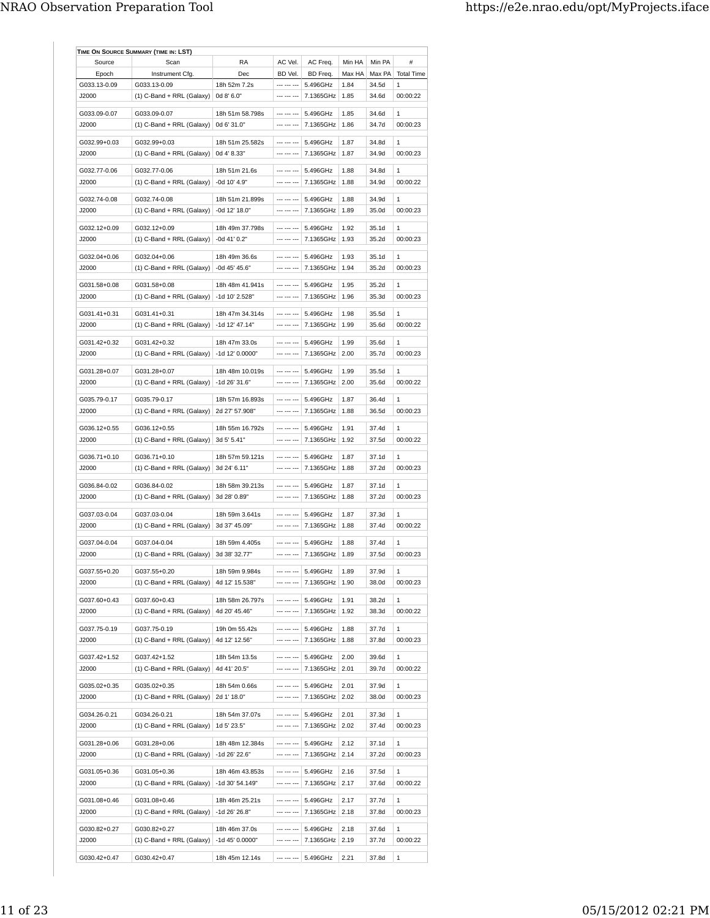| Source                | Scan                        | <b>RA</b>                         | AC Vel.     | AC Freq.         | Min HA | Min PA | #                 |
|-----------------------|-----------------------------|-----------------------------------|-------------|------------------|--------|--------|-------------------|
| Epoch                 | Instrument Cfg.             | Dec                               | BD Vel.     | BD Freq.         | Max HA | Max PA | <b>Total Time</b> |
| G033.13-0.09          | G033.13-0.09                | 18h 52m 7.2s                      | --- --- --- | 5.496GHz         | 1.84   | 34.5d  | 1                 |
| J2000                 | (1) C-Band + RRL (Galaxy)   | 0d 8' 6.0"                        | --- --- --- | 7.1365GHz        | 1.85   | 34.6d  | 00:00:22          |
| G033.09-0.07          | G033.09-0.07                | 18h 51m 58.798s                   | --- --- --- | 5.496GHz         | 1.85   | 34.6d  | $\mathbf{1}$      |
| J2000                 | $(1)$ C-Band + RRL (Galaxy) | 0d 6' 31.0"                       | --- --- --- | 7.1365GHz        | 1.86   | 34.7d  | 00:00:23          |
|                       |                             |                                   |             |                  |        |        |                   |
| G032.99+0.03          | G032.99+0.03                | 18h 51m 25.582s                   | --- --- --- | 5.496GHz         | 1.87   | 34.8d  | 1                 |
| J2000                 | (1) C-Band + RRL (Galaxy)   | 0d 4' 8.33"                       | --- --- --- | 7.1365GHz        | 1.87   | 34.9d  | 00:00:23          |
| G032.77-0.06          | G032.77-0.06                | 18h 51m 21.6s                     | --- --- --- | 5.496GHz         | 1.88   | 34.8d  | 1                 |
| ,12000                | $(1)$ C-Band + RRL (Galaxy) | -0d 10' 4.9"                      | --- --- --- | 7.1365GHz        | 1.88   | 34 9d  | 00:00:22          |
|                       |                             |                                   |             |                  |        |        |                   |
| G032.74-0.08          | G032.74-0.08                | 18h 51m 21.899s                   | --- --- --- | 5.496GHz         | 1.88   | 34.9d  | $\mathbf{1}$      |
| J2000                 | $(1)$ C-Band + RRL (Galaxy) | -0d 12' 18.0"                     | --- --- --- | 7.1365GHz        | 1.89   | 35.0d  | 00:00:23          |
| G032.12+0.09          | G032.12+0.09                | 18h 49m 37.798s                   | --- --- --- | 5.496GHz         | 1.92   | 35.1d  | 1                 |
| ,12000                | $(1)$ C-Band + RRL (Galaxy) | $-0d$ 41' $0.2"$                  | --- --- --- | 7.1365GHz        | 1.93   | 35.2d  | 00:00:23          |
|                       |                             |                                   |             |                  |        |        |                   |
| G032.04+0.06          | G032.04+0.06                | 18h 49m 36.6s                     | --- --- --- | 5.496GHz         | 1.93   | 35.1d  | 1                 |
| J2000                 | $(1)$ C-Band + RRL (Galaxy) | -0d 45' 45.6"                     | --- --- --- | 7.1365GHz        | 1.94   | 35.2d  | 00:00:23          |
| G031.58+0.08          | G031.58+0.08                | 18h 48m 41.941s                   | --- --- --- | 5.496GHz         | 1.95   | 35.2d  | 1                 |
| J2000                 | $(1)$ C-Band + RRL (Galaxy) | -1d 10' 2.528"                    |             | 7.1365GHz        | 1.96   | 35.3d  | 00:00:23          |
|                       |                             |                                   |             |                  |        |        |                   |
| G031.41+0.31          | G031.41+0.31                | 18h 47m 34.314s                   | --- --- --- | 5.496GHz         | 1.98   | 35.5d  | 1                 |
| J2000                 | $(1)$ C-Band + RRL (Galaxy) | -1d 12' 47.14"                    | --- --- --- | 7.1365GHz        | 1.99   | 35.6d  | 00:00:22          |
| G031.42+0.32          | G031.42+0.32                | 18h 47m 33.0s                     | --- --- --- | 5.496GHz         | 1.99   | 35.6d  | 1                 |
| J2000                 | (1) C-Band + RRL (Galaxy)   | -1d 12' 0.0000"                   | --- --- --- | 7.1365GHz        | 2.00   | 35.7d  | 00:00:23          |
|                       |                             |                                   |             |                  |        |        |                   |
| G031.28+0.07          | G031.28+0.07                | 18h 48m 10.019s                   | --- --- --- | 5.496GHz         | 1.99   | 35.5d  | 1                 |
| J2000                 | $(1)$ C-Band + RRL (Galaxy) | -1d 26' 31.6"                     | --- --- --- | 7.1365GHz        | 2.00   | 35.6d  | 00:00:22          |
|                       | G035.79-0.17                |                                   | --- --- --- | 5.496GHz         | 1.87   | 36.4d  | 1                 |
| G035.79-0.17<br>J2000 |                             | 18h 57m 16.893s<br>2d 27' 57.908" | --- --- --- | 7.1365GHz        | 1.88   | 36.5d  | 00:00:23          |
|                       | $(1)$ C-Band + RRL (Galaxy) |                                   |             |                  |        |        |                   |
| G036.12+0.55          | G036.12+0.55                | 18h 55m 16.792s                   |             | 5.496GHz         | 1.91   | 37.4d  | 1                 |
| J2000                 | $(1)$ C-Band + RRL (Galaxy) | 3d 5' 5.41"                       | --- --- --- | 7.1365GHz   1.92 |        | 37.5d  | 00:00:22          |
|                       |                             |                                   |             |                  |        |        |                   |
| G036.71+0.10          | G036.71+0.10                | 18h 57m 59.121s                   | --- --- --- | 5.496GHz         | 1.87   | 37.1d  | 1                 |
| J2000                 | $(1)$ C-Band + RRL (Galaxy) | 3d 24' 6.11"                      | --- --- --- | 7.1365GHz        | 1.88   | 37.2d  | 00:00:23          |
| G036.84-0.02          | G036.84-0.02                | 18h 58m 39.213s                   | --- --- --- | 5.496GHz         | 1.87   | 37.1d  | 1                 |
| ,12000                | $(1)$ C-Band + RRL (Galaxy) | 3d 28' 0.89"                      | --- --- --- | 7.1365GHz        | 1.88   | 37.2d  | 00:00:23          |
|                       |                             |                                   |             |                  |        |        |                   |
| G037.03-0.04          | G037.03-0.04                | 18h 59m 3.641s                    | --- --- --- | 5.496GHz         | 1.87   | 37.3d  | 1                 |
| J2000                 | $(1)$ C-Band + RRL (Galaxy) | 3d 37' 45.09"                     | --- --- --- | 7.1365GHz        | 1.88   | 37.4d  | 00:00:22          |
| G037.04-0.04          | G037.04-0.04                | 18h 59m 4.405s                    | --- --- --- | 5.496GHz         | 1.88   | 37.4d  | 1                 |
| J2000                 | $(1)$ C-Band + RRL (Galaxy) | 3d 38' 32.77"                     | --- --- --- | 7.1365GHz        | 1.89   | 37.5d  | 00:00:23          |
|                       |                             |                                   |             |                  |        |        |                   |
| G037.55+0.20          | G037.55+0.20                | 18h 59m 9.984s                    | --- --- --- | 5.496GHz         | 1.89   | 37.9d  | 1                 |
| J2000                 | $(1)$ C-Band + RRL (Galaxy) | 4d 12' 15.538"                    |             | 7.1365GHz        | 1.90   | 38.0d  | 00:00:23          |
| G037.60+0.43          | G037.60+0.43                | 18h 58m 26.797s                   | --- --- --- | 5.496GHz         | 1.91   | 38.2d  | 1                 |
| J2000                 | (1) C-Band + RRL (Galaxy)   | 4d 20' 45.46"                     | --- --- --- | 7.1365GHz        | 1.92   | 38.3d  | 00:00:22          |
|                       |                             |                                   |             |                  |        |        |                   |
| G037.75-0.19          | G037.75-0.19                | 19h 0m 55.42s                     | --- --- --- | 5.496GHz         | 1.88   | 37.7d  | 1                 |
| J2000                 | $(1)$ C-Band + RRL (Galaxy) | 4d 12' 12.56"                     | --- --- --- | 7.1365GHz        | 1.88   | 37.8d  | 00:00:23          |
| G037.42+1.52          | G037.42+1.52                | 18h 54m 13.5s                     | --- --- --- | 5.496GHz         | 2.00   | 39.6d  | 1                 |
| J2000                 | (1) C-Band + RRL (Galaxy)   | 4d 41' 20.5"                      | --- --- --- | 7.1365GHz   2.01 |        | 39.7d  | 00:00:22          |
|                       |                             |                                   |             |                  |        |        |                   |
| G035.02+0.35          | G035.02+0.35                | 18h 54m 0.66s                     | --- --- --- | 5.496GHz         | 2.01   | 37.9d  | 1                 |
| J2000                 | $(1)$ C-Band + RRL (Galaxy) | 2d 1' 18.0"                       | --- --- --- | 7.1365GHz   2.02 |        | 38.0d  | 00:00:23          |
| G034.26-0.21          | G034.26-0.21                | 18h 54m 37.07s                    | --- --- --- | 5.496GHz         | 2.01   | 37.3d  | 1                 |
| J2000                 | $(1)$ C-Band + RRL (Galaxy) | 1d 5' 23.5"                       | --- --- --- | 7.1365GHz        | 2.02   | 37.4d  | 00:00:23          |
|                       |                             |                                   |             |                  |        |        |                   |
| G031.28+0.06          | G031.28+0.06                | 18h 48m 12.384s                   | --- --- --- | 5.496GHz         | 2.12   | 37.1d  | 1                 |
| J2000                 | (1) C-Band + RRL (Galaxy)   | -1d 26' 22.6"                     | --- --- --- | 7.1365GHz        | 2.14   | 37.2d  | 00:00:23          |
|                       |                             |                                   |             |                  |        |        |                   |
| G031.05+0.36          | G031.05+0.36                | 18h 46m 43.853s                   | --- --- --- | 5.496GHz         | 2.16   | 37.5d  | 1                 |
| J2000                 | (1) C-Band + RRL (Galaxy)   | -1d 30' 54.149"                   | --- --- --- | 7.1365GHz        | 2.17   | 37.6d  | 00:00:22          |
| G031.08+0.46          | G031.08+0.46                | 18h 46m 25.21s                    | --- --- --- | 5.496GHz         | 2.17   | 37.7d  | 1                 |
| J2000                 | $(1)$ C-Band + RRL (Galaxy) | -1d 26' 26.8"                     | --- --- --- | 7.1365GHz        | 2.18   | 37.8d  | 00:00:23          |
|                       |                             |                                   |             |                  |        |        |                   |
| G030.82+0.27          | G030.82+0.27                | 18h 46m 37.0s                     | --- --- --- | 5.496GHz         | 2.18   | 37.6d  | 1                 |
| J2000                 | (1) C-Band + RRL (Galaxy)   | -1d 45' 0.0000"                   | --- --- --- | 7.1365GHz        | 2.19   | 37.7d  | 00:00:22          |
| G030.42+0.47          | G030.42+0.47                | 18h 45m 12.14s                    | --- --- --- | 5.496GHz         | 2.21   | 37.8d  | 1                 |
|                       |                             |                                   |             |                  |        |        |                   |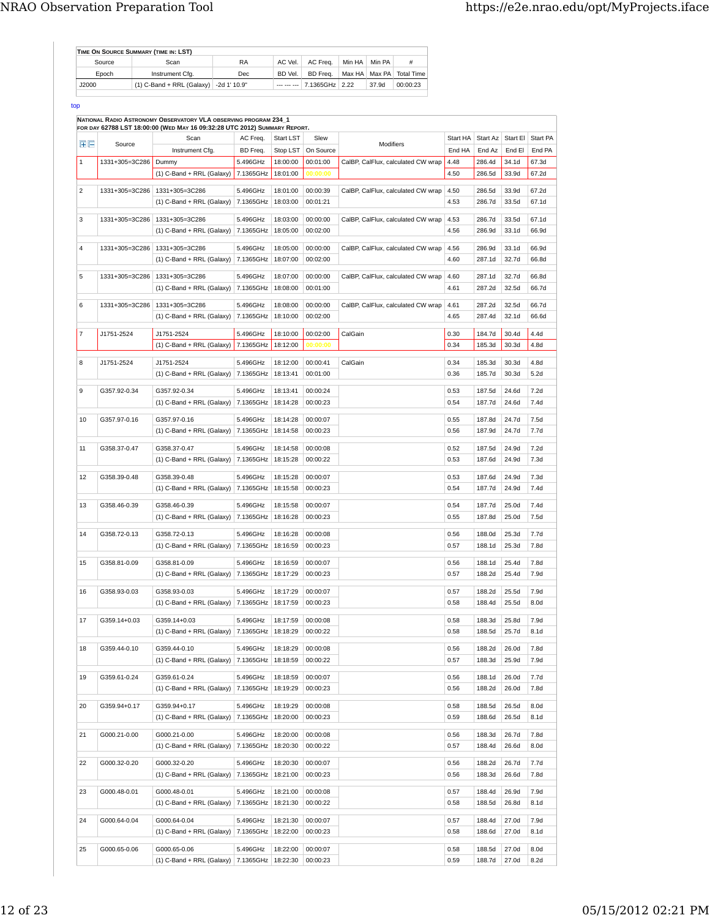|        | TIME ON SOURCE SUMMARY (TIME IN: LST)    |           |         |                |        |        |                              |
|--------|------------------------------------------|-----------|---------|----------------|--------|--------|------------------------------|
| Source | Scan                                     | <b>RA</b> | AC Vel. | AC Freq.       | Min HA | Min PA | #                            |
| Epoch  | Instrument Cfa.                          | Dec       | BD Vel. | BD Freq.       |        |        | Max HA   Max PA   Total Time |
| J2000  | $(1)$ C-Band + RRL (Galaxy) -2d 1' 10.9" |           |         | 7.1365GHz 2.22 |        | 37.9d  | 00:00:23                     |
|        |                                          |           |         |                |        |        |                              |

top

|              |                | FOR DAY 62788 LST 18:00:00 (WED MAY 16 09:32:28 UTC 2012) SUMMARY REPORT. |           |                  |           |                                    |          |                  |          |                  |
|--------------|----------------|---------------------------------------------------------------------------|-----------|------------------|-----------|------------------------------------|----------|------------------|----------|------------------|
| 田目           | Source         | Scan                                                                      | AC Freq.  | <b>Start LST</b> | Slew      | Modifiers                          | Start HA | Start Az         | Start El | <b>Start PA</b>  |
|              |                | Instrument Cfg.                                                           | BD Freq.  | Stop LST         | On Source |                                    | End HA   | End Az           | End El   | End PA           |
| $\mathbf{1}$ | 1331+305=3C286 | Dummy                                                                     | 5.496GHz  | 18:00:00         | 00:01:00  | CalBP, CalFlux, calculated CW wrap | 4.48     | 286.4d           | 34.1d    | 67.3d            |
|              |                | (1) C-Band + RRL (Galaxy)                                                 | 7.1365GHz | 18:01:00         | 00:00:00  |                                    | 4.50     | 286.5d           | 33.9d    | 67.2d            |
| 2            | 1331+305=3C286 | 1331+305=3C286                                                            | 5.496GHz  | 18:01:00         | 00:00:39  | CalBP, CalFlux, calculated CW wrap | 4.50     | 286.5d           | 33.9d    | 67.2d            |
|              |                | $(1)$ C-Band + RRL (Galaxy)                                               | 7.1365GHz | 18:03:00         | 00:01:21  |                                    | 4.53     | 286.7d           | 33.5d    | 67.1d            |
|              |                |                                                                           |           |                  |           |                                    |          |                  |          |                  |
| 3            | 1331+305=3C286 | 1331+305=3C286                                                            | 5.496GHz  | 18:03:00         | 00:00:00  | CalBP, CalFlux, calculated CW wrap | 4.53     | 286.7d           | 33.5d    | 67.1d            |
|              |                | $(1)$ C-Band + RRL (Galaxy)   7.1365GHz                                   |           | 18:05:00         | 00:02:00  |                                    | 4.56     | 286.9d           | 33.1d    | 66.9d            |
| 4            | 1331+305=3C286 | 1331+305=3C286                                                            | 5.496GHz  | 18:05:00         | 00:00:00  | CalBP, CalFlux, calculated CW wrap | 4.56     | 286.9d           | 33.1d    | 66.9d            |
|              |                | $(1)$ C-Band + RRL (Galaxy)                                               | 7.1365GHz | 18:07:00         | 00:02:00  |                                    | 4.60     | 287.1d           | 32.7d    | 66.8d            |
| 5            | 1331+305=3C286 | 1331+305=3C286                                                            | 5.496GHz  | 18:07:00         | 00:00:00  | CalBP, CalFlux, calculated CW wrap | 4.60     | 287.1d           | 32.7d    | 66.8d            |
|              |                | $(1)$ C-Band + RRL (Galaxy)                                               | 7.1365GHz | 18:08:00         | 00:01:00  |                                    | 4.61     | 287.2d           | 32.5d    | 66.7d            |
|              |                |                                                                           |           |                  |           |                                    |          |                  |          |                  |
| 6            | 1331+305=3C286 | 1331+305=3C286                                                            | 5.496GHz  | 18:08:00         | 00:00:00  | CalBP, CalFlux, calculated CW wrap | 4.61     | 287.2d           | 32.5d    | 66.7d            |
|              |                | $(1)$ C-Band + RRL (Galaxy)                                               | 7.1365GHz | 18:10:00         | 00:02:00  |                                    | 4.65     | 287.4d           | 32.1d    | 66.6d            |
| 7            | J1751-2524     | J1751-2524                                                                | 5.496GHz  | 18:10:00         | 00:02:00  | CalGain                            | 0.30     | 184.7d           | 30.4d    | 4.4d             |
|              |                | (1) C-Band + RRL (Galaxy)                                                 | 7.1365GHz | 18:12:00         | 00:00:00  |                                    | 0.34     | 185.3d           | 30.3d    | 4.8d             |
|              |                |                                                                           |           |                  |           |                                    |          |                  |          |                  |
| 8            | J1751-2524     | J1751-2524                                                                | 5.496GHz  | 18:12:00         | 00:00:41  | CalGain                            | 0.34     | 185.3d           | 30.3d    | 4.8d             |
|              |                | $(1)$ C-Band + RRL (Galaxy)                                               | 7.1365GHz | 18:13:41         | 00:01:00  |                                    | 0.36     | 185.7d           | 30.3d    | 5.2d             |
| 9            | G357.92-0.34   | G357.92-0.34                                                              | 5.496GHz  | 18:13:41         | 00:00:24  |                                    | 0.53     | 187.5d           | 24.6d    | 7.2d             |
|              |                | (1) C-Band + RRL (Galaxy) 7.1365GHz   18:14:28                            |           |                  | 00:00:23  |                                    | 0.54     | 187.7d           | 24.6d    | 7.4d             |
|              |                |                                                                           |           |                  | 00:00:07  |                                    |          |                  |          |                  |
| 10           | G357.97-0.16   | G357.97-0.16                                                              | 5.496GHz  | 18:14:28         |           |                                    | 0.55     | 187.8d           | 24.7d    | 7.5d             |
|              |                | $(1)$ C-Band + RRL (Galaxy)                                               | 7.1365GHz | 18:14:58         | 00:00:23  |                                    | 0.56     | 187.9d           | 24.7d    | 7.7d             |
| 11           | G358.37-0.47   | G358.37-0.47                                                              | 5.496GHz  | 18:14:58         | 00:00:08  |                                    | 0.52     | 187.5d           | 24.9d    | 7.2d             |
|              |                | $(1)$ C-Band + RRL (Galaxy)                                               | 7.1365GHz | 18:15:28         | 00:00:22  |                                    | 0.53     | 187.6d           | 24.9d    | 7.3d             |
| 12           | G358.39-0.48   | G358.39-0.48                                                              | 5.496GHz  | 18:15:28         | 00:00:07  |                                    | 0.53     | 187.6d           | 24.9d    | 7.3d             |
|              |                | $(1)$ C-Band + RRL (Galaxy)                                               | 7.1365GHz | 18:15:58         | 00:00:23  |                                    | 0.54     | 187.7d           | 24.9d    | 7.4d             |
|              |                |                                                                           |           |                  |           |                                    |          |                  |          |                  |
| 13           | G358.46-0.39   | G358.46-0.39                                                              | 5.496GHz  | 18:15:58         | 00:00:07  |                                    | 0.54     | 187.7d           | 25.0d    | 7.4d             |
|              |                | $(1)$ C-Band + RRL (Galaxy)                                               | 7.1365GHz | 18:16:28         | 00:00:23  |                                    | 0.55     | 187.8d           | 25.0d    | 7.5d             |
| 14           | G358.72-0.13   | G358.72-0.13                                                              | 5.496GHz  | 18:16:28         | 00:00:08  |                                    | 0.56     | 188.0d           | 25.3d    | 7.7d             |
|              |                | $(1)$ C-Band + RRL (Galaxy)                                               | 7.1365GHz | 18:16:59         | 00:00:23  |                                    | 0.57     | 188.1d           | 25.3d    | 7.8d             |
|              |                |                                                                           |           |                  |           |                                    |          |                  |          |                  |
| 15           | G358.81-0.09   | G358.81-0.09                                                              | 5.496GHz  | 18:16:59         | 00:00:07  |                                    | 0.56     | 188.1d           | 25.4d    | 7.8d             |
|              |                | $(1)$ C-Band + RRL (Galaxy)                                               | 7.1365GHz | 18:17:29         | 00:00:23  |                                    | 0.57     | 188.2d           | 25.4d    | 7.9d             |
| 16           | G358.93-0.03   | G358.93-0.03                                                              | 5.496GHz  | 18:17:29         | 00:00:07  |                                    | 0.57     | 188.2d           | 25.5d    | 7.9d             |
|              |                | $(1)$ C-Band + RRL (Galaxy)   7.1365GHz                                   |           | 18:17:59         | 00:00:23  |                                    | 0.58     | 188.4d           | 25.5d    | 8.0d             |
| 17           | G359.14+0.03   | G359.14+0.03                                                              | 5.496GHz  |                  | 00:00:08  |                                    | 0.58     |                  | 25.8d    | 7.9d             |
|              |                |                                                                           |           | 18:17:59         |           |                                    |          | 188.3d<br>188.5d |          | 8.1 <sub>d</sub> |
|              |                | (1) C-Band + RRL (Galaxy) 7.1365GHz 18:18:29 00:00:22                     |           |                  |           |                                    | 0.58     |                  | 25.7d    |                  |
| 18           | G359.44-0.10   | G359.44-0.10                                                              | 5.496GHz  | 18:18:29         | 00:00:08  |                                    | 0.56     | 188.2d           | 26.0d    | 7.8d             |
|              |                | (1) C-Band + RRL (Galaxy) 7.1365GHz   18:18:59                            |           |                  | 00:00:22  |                                    | 0.57     | 188.3d           | 25.9d    | 7.9d             |
| 19           | G359.61-0.24   | G359.61-0.24                                                              | 5.496GHz  | 18:18:59         | 00:00:07  |                                    | 0.56     | 188.1d           | 26.0d    | 7.7d             |
|              |                | (1) C-Band + RRL (Galaxy) 7.1365GHz   18:19:29                            |           |                  | 00:00:23  |                                    | 0.56     | 188.2d           | 26.0d    | 7.8d             |
|              |                |                                                                           |           |                  |           |                                    |          |                  |          |                  |
| 20           | G359.94+0.17   | G359.94+0.17                                                              | 5.496GHz  | 18:19:29         | 00:00:08  |                                    | 0.58     | 188.5d           | 26.5d    | 8.0d             |
|              |                | (1) C-Band + RRL (Galaxy) 7.1365GHz   18:20:00                            |           |                  | 00:00:23  |                                    | 0.59     | 188.6d           | 26.5d    | 8.1 <sub>d</sub> |
| 21           | G000.21-0.00   | G000.21-0.00                                                              | 5.496GHz  | 18:20:00         | 00:00:08  |                                    | 0.56     | 188.3d           | 26.7d    | 7.8d             |
|              |                | $(1)$ C-Band + RRL (Galaxy)   7.1365GHz                                   |           | 18:20:30         | 00:00:22  |                                    | 0.57     | 188.4d           | 26.6d    | 8.0d             |
|              |                |                                                                           |           |                  |           |                                    |          |                  |          |                  |
| 22           | G000.32-0.20   | G000.32-0.20                                                              | 5.496GHz  | 18:20:30         | 00:00:07  |                                    | 0.56     | 188.2d           | 26.7d    | 7.7d             |
|              |                | (1) C-Band + RRL (Galaxy)   7.1365GHz   18:21:00                          |           |                  | 00:00:23  |                                    | 0.56     | 188.3d           | 26.6d    | 7.8d             |
| 23           | G000.48-0.01   | G000.48-0.01                                                              | 5.496GHz  | 18:21:00         | 00:00:08  |                                    | 0.57     | 188.4d           | 26.9d    | 7.9d             |
|              |                | $(1)$ C-Band + RRL (Galaxy)   7.1365GHz                                   |           | 18:21:30         | 00:00:22  |                                    | 0.58     | 188.5d           | 26.8d    | 8.1d             |
|              |                |                                                                           |           |                  |           |                                    |          |                  |          |                  |
| 24           | G000.64-0.04   | G000.64-0.04                                                              | 5.496GHz  | 18:21:30         | 00:00:07  |                                    | 0.57     | 188.4d           | 27.0d    | 7.9d             |
|              |                | (1) C-Band + RRL (Galaxy) 7.1365GHz   18:22:00                            |           |                  | 00:00:23  |                                    | 0.58     | 188.6d           | 27.0d    | 8.1 <sub>d</sub> |
| 25           | G000.65-0.06   | G000.65-0.06                                                              | 5.496GHz  | 18:22:00         | 00:00:07  |                                    | 0.58     | 188.5d           | 27.0d    | 8.0d             |
|              |                |                                                                           |           |                  |           |                                    |          |                  |          |                  |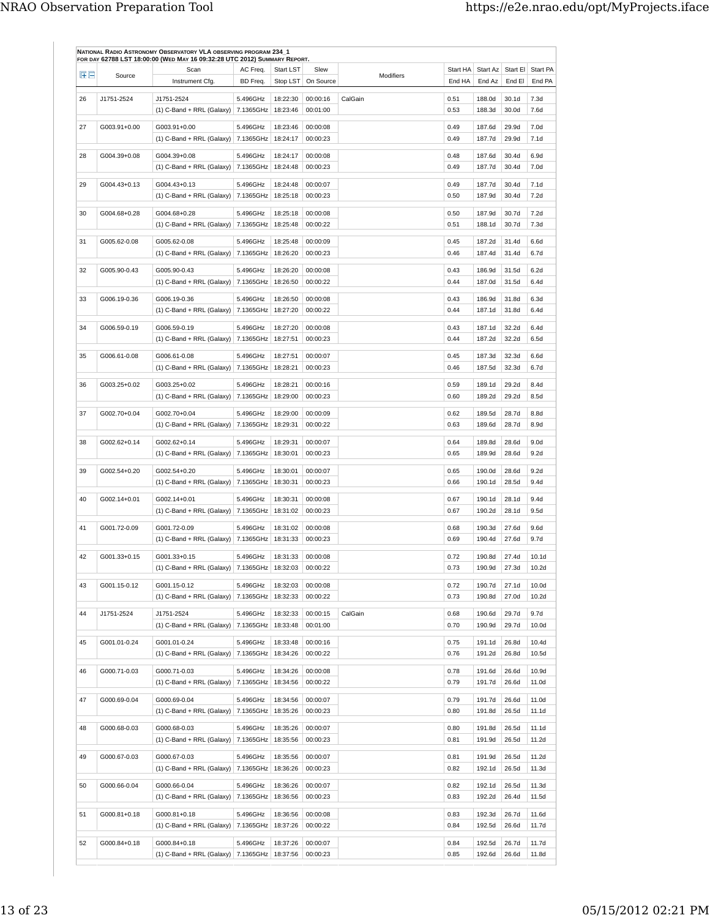|          |              | FOR DAY 62788 LST 18:00:00 (WED MAY 16 09:32:28 UTC 2012) SUMMARY REPORT.<br>Scan | AC Freq.  | <b>Start LST</b>     | Slew                 |           | Start HA     | Start Az         | Start El          | Start PA          |
|----------|--------------|-----------------------------------------------------------------------------------|-----------|----------------------|----------------------|-----------|--------------|------------------|-------------------|-------------------|
| $F =$    | Source       | Instrument Cfg.                                                                   | BD Freq.  | Stop LST             | On Source            | Modifiers | End HA       | End Az           | End El            | End PA            |
| 26       | J1751-2524   | J1751-2524                                                                        | 5.496GHz  |                      | 00:00:16             |           | 0.51         |                  | 30.1 <sub>d</sub> | 7.3d              |
|          |              | $(1)$ C-Band + RRL (Galaxy)                                                       | 7.1365GHz | 18:22:30<br>18:23:46 | 00:01:00             | CalGain   | 0.53         | 188.0d<br>188.3d | 30.0d             | 7.6d              |
|          |              |                                                                                   |           |                      |                      |           |              |                  |                   |                   |
| 27       | G003.91+0.00 | G003.91+0.00                                                                      | 5.496GHz  | 18:23:46             | 00:00:08             |           | 0.49         | 187.6d           | 29.9d             | 7.0 <sub>d</sub>  |
|          |              | $(1)$ C-Band + RRL (Galaxy)   7.1365GHz                                           |           | 18:24:17             | 00:00:23             |           | 0.49         | 187.7d           | 29.9d             | 7.1d              |
| 28       | G004.39+0.08 | G004.39+0.08                                                                      | 5.496GHz  | 18:24:17             | 00:00:08             |           | 0.48         | 187.6d           | 30.4d             | 6.9d              |
|          |              | $(1)$ C-Band + RRL (Galaxy)                                                       | 7.1365GHz | 18:24:48             | 00:00:23             |           | 0.49         | 187.7d           | 30.4d             | 7.0d              |
| 29       | G004.43+0.13 | G004.43+0.13                                                                      | 5.496GHz  | 18:24:48             | 00:00:07             |           | 0.49         | 187.7d           | 30.4d             | 7.1 <sub>d</sub>  |
|          |              | $(1)$ C-Band + RRL (Galaxy)   7.1365GHz                                           |           | 18:25:18             | 00:00:23             |           | 0.50         | 187.9d           | 30.4d             | 7.2d              |
|          |              |                                                                                   |           |                      |                      |           |              |                  |                   |                   |
| 30       | G004.68+0.28 | G004.68+0.28                                                                      | 5.496GHz  | 18:25:18             | 00:00:08             |           | 0.50         | 187.9d           | 30.7d             | 7.2d              |
|          |              | $(1)$ C-Band + RRL (Galaxy)                                                       | 7.1365GHz | 18:25:48             | 00:00:22             |           | 0.51         | 188.1d           | 30.7d             | 7.3d              |
| 31       | G005.62-0.08 | G005.62-0.08                                                                      | 5.496GHz  | 18:25:48             | 00:00:09             |           | 0.45         | 187.2d           | 31.4d             | 6.6d              |
|          |              | $(1)$ C-Band + RRL (Galaxy)                                                       | 7.1365GHz | 18:26:20             | 00:00:23             |           | 0.46         | 187.4d           | 31.4d             | 6.7d              |
|          |              |                                                                                   |           |                      |                      |           |              |                  |                   |                   |
| 32       | G005.90-0.43 | G005.90-0.43                                                                      | 5.496GHz  | 18:26:20             | 00:00:08             |           | 0.43         | 186.9d           | 31.5d             | 6.2d              |
|          |              | $(1)$ C-Band + RRL (Galaxy)                                                       | 7.1365GHz | 18:26:50             | 00:00:22             |           | 0.44         | 187.0d           | 31.5d             | 6.4d              |
| 33       | G006.19-0.36 | G006.19-0.36                                                                      | 5.496GHz  | 18:26:50             | 00:00:08             |           | 0.43         | 186.9d           | 31.8d             | 6.3d              |
|          |              | (1) C-Band + RRL (Galaxy)                                                         | 7.1365GHz | 18:27:20             | 00:00:22             |           | 0.44         | 187.1d           | 31.8d             | 6.4d              |
| 34       | G006.59-0.19 | G006.59-0.19                                                                      | 5.496GHz  | 18:27:20             | 00:00:08             |           | 0.43         | 187.1d           | 32.2d             | 6.4d              |
|          |              | $(1)$ C-Band + RRL (Galaxy)                                                       | 7.1365GHz | 18:27:51             | 00:00:23             |           | 0.44         | 187.2d           | 32.2d             | 6.5d              |
|          |              |                                                                                   |           |                      |                      |           |              |                  |                   |                   |
| 35       | G006.61-0.08 | G006.61-0.08                                                                      | 5.496GHz  | 18:27:51             | 00:00:07             |           | 0.45         | 187.3d           | 32.3d             | 6.6d              |
|          |              | $(1)$ C-Band + RRL (Galaxy)   7.1365GHz                                           |           | 18:28:21             | 00:00:23             |           | 0.46         | 187.5d           | 32.3d             | 6.7d              |
| 36       | G003.25+0.02 | G003.25+0.02                                                                      | 5.496GHz  | 18:28:21             | 00:00:16             |           | 0.59         | 189.1d           | 29.2d             | 8.4d              |
|          |              | $(1)$ C-Band + RRL (Galaxy)                                                       | 7.1365GHz | 18:29:00             | 00:00:23             |           | 0.60         | 189.2d           | 29.2d             | 8.5d              |
|          |              |                                                                                   |           |                      |                      |           |              |                  |                   |                   |
| 37       | G002.70+0.04 | G002.70+0.04                                                                      | 5.496GHz  | 18:29:00             | 00:00:09             |           | 0.62         | 189.5d           | 28.7d             | 8.8d              |
|          |              | $(1)$ C-Band + RRL (Galaxy)   7.1365GHz                                           |           | 18:29:31             | 00:00:22             |           | 0.63         | 189.6d           | 28.7d             | 8.9d              |
| 38       | G002.62+0.14 | G002.62+0.14                                                                      | 5.496GHz  | 18:29:31             | 00:00:07             |           | 0.64         | 189.8d           | 28.6d             | 9.0 <sub>d</sub>  |
|          |              | $(1)$ C-Band + RRL (Galaxy)   7.1365GHz                                           |           | 18:30:01             | 00:00:23             |           | 0.65         | 189.9d           | 28.6d             | 9.2d              |
|          |              |                                                                                   |           |                      |                      |           |              |                  |                   |                   |
| 39       | G002.54+0.20 | G002.54+0.20                                                                      | 5.496GHz  | 18:30:01             | 00:00:07             |           | 0.65         | 190.0d           | 28.6d             | 9.2d              |
|          |              | $(1)$ C-Band + RRL (Galaxy)                                                       | 7.1365GHz | 18:30:31             | 00:00:23             |           | 0.66         | 190.1d           | 28.5d             | 9.4d              |
| 40       | G002.14+0.01 | G002.14+0.01                                                                      | 5.496GHz  | 18:30:31             | 00:00:08             |           | 0.67         | 190.1d           | 28.1d             | 9.4d              |
|          |              | $(1)$ C-Band + RRL (Galaxy)   7.1365GHz                                           |           | 18:31:02             | 00:00:23             |           | 0.67         | 190.2d           | 28.1d             | 9.5d              |
| 41       | G001.72-0.09 | G001.72-0.09                                                                      | 5.496GHz  | 18:31:02             | 00:00:08             |           | 0.68         | 190.3d           | 27.6d             | 9.6d              |
|          |              | $(1)$ C-Band + RRL (Galaxy)                                                       | 7.1365GHz | 18:31:33             | 00:00:23             |           | 0.69         | 190.4d           | 27.6d             | 9.7d              |
|          |              |                                                                                   |           |                      |                      |           |              |                  |                   |                   |
| 42       | G001.33+0.15 | G001.33+0.15                                                                      | 5.496GHz  | 18:31:33             | 00:00:08             |           | 0.72         | 190.8d           | 27.4d             | 10.1d             |
|          |              | (1) C-Band + RRL (Galaxy)   7.1365GHz   18:32:03   00:00:22                       |           |                      |                      |           | 0.73         | 190.9d           | 27.3d             | 10.2d             |
| 43       | G001.15-0.12 | G001.15-0.12                                                                      | 5.496GHz  | 18:32:03             | 00:00:08             |           | 0.72         | 190.7d           | 27.1d             | 10.0 <sub>d</sub> |
|          |              | (1) C-Band + RRL (Galaxy) 7.1365GHz 18:32:33                                      |           |                      | 00:00:22             |           | 0.73         | 190.8d           | 27.0d             | 10.2d             |
|          |              |                                                                                   |           |                      |                      |           |              |                  |                   |                   |
| 44       | J1751-2524   | J1751-2524                                                                        | 5.496GHz  | 18:32:33             | 00:00:15             | CalGain   | 0.68         | 190.6d           | 29.7d             | 9.7d              |
|          |              | (1) C-Band + RRL (Galaxy) 7.1365GHz 18:33:48                                      |           |                      | 00:01:00             |           | 0.70         | 190.9d           | 29.7d             | 10.0d             |
| 45       | G001.01-0.24 | G001.01-0.24                                                                      | 5.496GHz  | 18:33:48             | 00:00:16             |           | 0.75         | 191.1d           | 26.8d             | 10.4d             |
|          |              | $(1)$ C-Band + RRL (Galaxy)   7.1365GHz                                           |           | 18:34:26             | 00:00:22             |           | 0.76         | 191.2d           | 26.8d             | 10.5d             |
|          |              |                                                                                   |           |                      |                      |           |              |                  |                   |                   |
| 46       | G000.71-0.03 | G000.71-0.03                                                                      | 5.496GHz  | 18:34:26             | 00:00:08             |           | 0.78         | 191.6d           | 26.6d             | 10.9d             |
|          |              | (1) C-Band + RRL (Galaxy) 7.1365GHz   18:34:56                                    |           |                      | 00:00:22             |           | 0.79         | 191.7d           | 26.6d             | 11.0d             |
| 47       | G000.69-0.04 | G000.69-0.04                                                                      | 5.496GHz  | 18:34:56             | 00:00:07             |           | 0.79         | 191.7d           | 26.6d             | 11.0d             |
|          |              | $(1)$ C-Band + RRL (Galaxy)   7.1365GHz                                           |           | 18:35:26             | 00:00:23             |           | 0.80         | 191.8d           | 26.5d             | 11.1d             |
|          |              |                                                                                   |           |                      |                      |           |              |                  |                   |                   |
| 48       | G000.68-0.03 | G000.68-0.03                                                                      | 5.496GHz  | 18:35:26             | 00:00:07             |           | 0.80         | 191.8d           | 26.5d             | 11.1d             |
|          |              | $(1)$ C-Band + RRL (Galaxy)   7.1365GHz                                           |           | 18:35:56             | 00:00:23             |           | 0.81         | 191.9d           | 26.5d             | 11.2d             |
|          |              |                                                                                   |           | 18:35:56             | 00:00:07             |           | 0.81         | 191.9d           | 26.5d             | 11.2d             |
| 49       | G000.67-0.03 | G000.67-0.03                                                                      | 5.496GHz  |                      |                      |           |              |                  |                   |                   |
|          |              | $(1)$ C-Band + RRL (Galaxy)   7.1365GHz                                           |           | 18:36:26             | 00:00:23             |           | 0.82         | 192.1d           | 26.5d             | 11.3d             |
|          |              |                                                                                   |           |                      |                      |           |              |                  |                   |                   |
| 50       | G000.66-0.04 | G000.66-0.04                                                                      | 5.496GHz  | 18:36:26             | 00:00:07             |           | 0.82         | 192.1d           | 26.5d             | 11.3d             |
|          |              | (1) C-Band + RRL (Galaxy) 7.1365GHz   18:36:56                                    |           |                      | 00:00:23             |           | 0.83         | 192.2d           | 26.4d             | 11.5d             |
|          | G000.81+0.18 | G000.81+0.18                                                                      | 5.496GHz  | 18:36:56             | 00:00:08             |           | 0.83         | 192.3d           | 26.7d             | 11.6d             |
|          |              | (1) C-Band + RRL (Galaxy) 7.1365GHz   18:37:26                                    |           |                      | 00:00:22             |           | 0.84         | 192.5d           | 26.6d             | 11.7d             |
|          |              |                                                                                   |           |                      |                      |           |              |                  |                   |                   |
| 51<br>52 | G000.84+0.18 | G000.84+0.18<br>(1) C-Band + RRL (Galaxy)   7.1365GHz   18:37:56                  | 5.496GHz  | 18:37:26             | 00:00:07<br>00:00:23 |           | 0.84<br>0.85 | 192.5d<br>192.6d | 26.7d<br>26.6d    | 11.7d<br>11.8d    |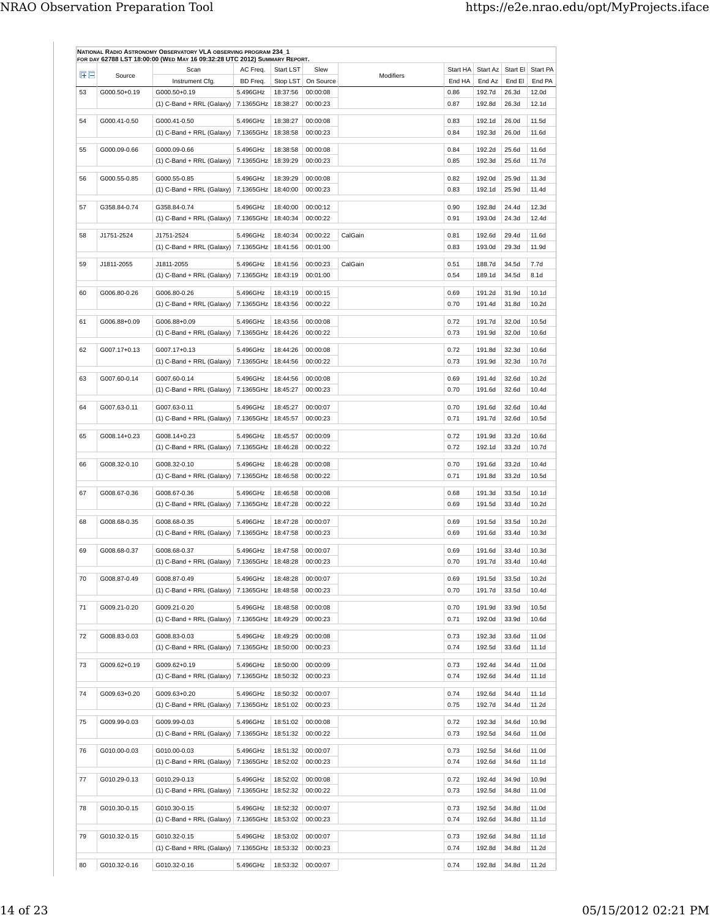| 田田 | Source       | Scan                                                           | AC Freq.              | Start LST            | Slew                 | Modifiers | Start HA     | Start Az               | Start El       | Start PA         |
|----|--------------|----------------------------------------------------------------|-----------------------|----------------------|----------------------|-----------|--------------|------------------------|----------------|------------------|
|    |              | Instrument Cfg.                                                | BD Freq.              | Stop LST             | On Source            |           | End HA       | End Az                 | End El         | End PA           |
| 53 | G000.50+0.19 | G000.50+0.19<br>$(1)$ C-Band + RRL (Galaxy)                    | 5.496GHz<br>7.1365GHz | 18:37:56<br>18:38:27 | 00:00:08<br>00:00:23 |           | 0.86<br>0.87 | 192.7d<br>192.8d       | 26.3d<br>26.3d | 12.0d<br>12.1d   |
|    |              |                                                                |                       |                      |                      |           |              |                        |                |                  |
| 54 | G000.41-0.50 | G000.41-0.50<br>$(1)$ C-Band + RRL (Galaxy)                    | 5.496GHz<br>7.1365GHz | 18:38:27<br>18:38:58 | 00:00:08<br>00:00:23 |           | 0.83<br>0.84 | 192.1d<br>192.3d       | 26.0d<br>26.0d | 11.5d<br>11.6d   |
| 55 | G000.09-0.66 | G000.09-0.66                                                   | 5.496GHz              | 18:38:58             | 00:00:08             |           | 0.84         | 192.2d                 | 25.6d          | 11.6d            |
|    |              | $(1)$ C-Band + RRL (Galaxy)   7.1365GHz                        |                       | 18:39:29             | 00:00:23             |           | 0.85         | 192.3d                 | 25.6d          | 11.7d            |
| 56 | G000.55-0.85 | G000.55-0.85                                                   | 5.496GHz              | 18:39:29             | 00:00:08             |           | 0.82         | 192.0d                 | 25.9d          | 11.3d            |
|    |              | $(1)$ C-Band + RRL (Galaxy) 7.1365GHz                          |                       | 18:40:00             | 00:00:23             |           | 0.83         | 192.1d                 | 25.9d          | 11.4d            |
| 57 | G358.84-0.74 | G358.84-0.74                                                   | 5.496GHz              | 18:40:00             | 00:00:12             |           | 0.90         | 192.8d                 | 24.4d          | 12.3d            |
|    |              | $(1)$ C-Band + RRL (Galaxy)                                    | 7.1365GHz             | 18:40:34             | 00:00:22             |           | 0.91         | 193.0d                 | 24.3d          | 12.4d            |
| 58 | J1751-2524   | J1751-2524                                                     | 5.496GHz              | 18:40:34             | 00:00:22             | CalGain   | 0.81         | 192.6d                 | 29.4d          | 11.6d            |
|    |              | $(1)$ C-Band + RRL (Galaxy)   7.1365GHz                        |                       | 18:41:56             | 00:01:00             |           | 0.83         | 193.0d                 | 29.3d          | 11.9d            |
| 59 | J1811-2055   | J1811-2055                                                     | 5.496GHz              | 18:41:56             | 00:00:23             | CalGain   | 0.51         | 188.7d                 | 34.5d          | 7.7d             |
|    |              | $(1)$ C-Band + RRL (Galaxy)                                    | 7.1365GHz             | 18:43:19             | 00:01:00             |           | 0.54         | 189.1d                 | 34.5d          | 8.1 <sub>d</sub> |
|    |              |                                                                |                       |                      |                      |           |              |                        |                |                  |
| 60 | G006.80-0.26 | G006.80-0.26<br>$(1)$ C-Band + RRL (Galaxy)                    | 5.496GHz<br>7.1365GHz | 18:43:19<br>18:43:56 | 00:00:15<br>00:00:22 |           | 0.69<br>0.70 | 191.2d<br>191.4d       | 31.9d<br>31.8d | 10.1d<br>10.2d   |
|    |              |                                                                |                       |                      |                      |           |              |                        |                |                  |
| 61 | G006.88+0.09 | G006.88+0.09                                                   | 5.496GHz              | 18:43:56             | 00:00:08             |           | 0.72         | 191.7d                 | 32.0d          | 10.5d            |
|    |              | $(1)$ C-Band + RRL (Galaxy)                                    | 7.1365GHz             | 18:44:26             | 00:00:22             |           | 0.73         | 191.9d                 | 32.0d          | 10.6d            |
| 62 | G007.17+0.13 | G007.17+0.13                                                   | 5.496GHz              | 18:44:26             | 00:00:08             |           | 0.72         | 191.8d                 | 32.3d          | 10.6d            |
|    |              | $(1)$ C-Band + RRL (Galaxy)                                    | 7.1365GHz   18:44:56  |                      | 00:00:22             |           | 0.73         | 191.9d                 | 32.3d          | 10.7d            |
| 63 | G007.60-0.14 | G007.60-0.14                                                   | 5.496GHz              | 18:44:56             | 00:00:08             |           | 0.69         | 191.4d                 | 32.6d          | 10.2d            |
|    |              | $(1)$ C-Band + RRL (Galaxy)                                    | 7.1365GHz             | 18:45:27             | 00:00:23             |           | 0.70         | 191.6d                 | 32.6d          | 10.4d            |
| 64 | G007.63-0.11 | G007.63-0.11                                                   | 5.496GHz              | 18:45:27             | 00:00:07             |           | 0.70         | 191.6d                 | 32.6d          | 10.4d            |
|    |              | $(1)$ C-Band + RRL (Galaxy)   7.1365GHz                        |                       | 18:45:57             | 00:00:23             |           | 0.71         | 191.7d                 | 32.6d          | 10.5d            |
| 65 | G008.14+0.23 | G008.14+0.23                                                   | 5.496GHz              | 18:45:57             | 00:00:09             |           | 0.72         | 191.9d                 | 33.2d          | 10.6d            |
|    |              | $(1)$ C-Band + RRL (Galaxy)                                    | 7.1365GHz             | 18:46:28             | 00:00:22             |           | 0.72         | 192.1d                 | 33.2d          | 10.7d            |
| 66 | G008.32-0.10 | G008.32-0.10                                                   | 5.496GHz              | 18:46:28             | 00:00:08             |           | 0.70         | 191.6d                 | 33.2d          | 10.4d            |
|    |              | $(1)$ C-Band + RRL (Galaxy)                                    | 7.1365GHz             | 18:46:58             | 00:00:22             |           | 0.71         | 191.8d                 | 33.2d          | 10.5d            |
| 67 | G008.67-0.36 | G008.67-0.36                                                   | 5.496GHz              | 18:46:58             | 00:00:08             |           | 0.68         | 191.3d                 | 33.5d          | 10.1d            |
|    |              | $(1)$ C-Band + RRL (Galaxy)                                    | 7.1365GHz             | 18:47:28             | 00:00:22             |           | 0.69         | 191.5d                 | 33.4d          | 10.2d            |
|    |              |                                                                |                       |                      |                      |           |              |                        |                |                  |
| 68 | G008.68-0.35 | G008.68-0.35<br>(1) C-Band + RRL (Galaxy)                      | 5.496GHz<br>7.1365GHz | 18:47:28<br>18:47:58 | 00:00:07<br>00:00:23 |           | 0.69<br>0.69 | 191.5d<br>191.6d       | 33.5d<br>33.4d | 10.2d<br>10.3d   |
|    |              |                                                                |                       |                      | 00:00:07             |           |              |                        |                |                  |
| 69 | G008.68-0.37 | G008.68-0.37<br>(1) C-Band + RRL (Galaxy) 7.1365GHz   18:48:28 | 5.496GHz              | 18:47:58             | 00:00:23             |           | 0.69<br>0.70 | 191.6d<br>191.7d 33.4d | 33.4d          | 10.3d<br>10.4d   |
|    |              |                                                                |                       |                      |                      |           |              |                        |                |                  |
| 70 | G008.87-0.49 | G008.87-0.49                                                   | 5.496GHz              | 18:48:28             | 00:00:07             |           | 0.69         | 191.5d                 | 33.5d          | 10.2d            |
|    |              | (1) C-Band + RRL (Galaxy) 7.1365GHz 18:48:58                   |                       |                      | 00:00:23             |           | 0.70         | 191.7d                 | 33.5d          | 10.4d            |
| 71 | G009.21-0.20 | G009.21-0.20                                                   | 5.496GHz              | 18:48:58             | 00:00:08             |           | 0.70         | 191.9d                 | 33.9d          | 10.5d            |
|    |              | (1) C-Band + RRL (Galaxy)   7.1365GHz   18:49:29               |                       |                      | 00:00:23             |           | 0.71         | 192.0d                 | 33.9d          | 10.6d            |
| 72 | G008.83-0.03 | G008.83-0.03                                                   | 5.496GHz              | 18:49:29             | 00:00:08             |           | 0.73         | 192.3d                 | 33.6d          | 11.0d            |
|    |              | (1) C-Band + RRL (Galaxy) 7.1365GHz   18:50:00                 |                       |                      | 00:00:23             |           | 0.74         | 192.5d                 | 33.6d          | 11.1d            |
| 73 | G009.62+0.19 | G009.62+0.19                                                   | 5.496GHz              | 18:50:00             | 00:00:09             |           | 0.73         | 192.4d                 | 34.4d          | 11.0d            |
|    |              | (1) C-Band + RRL (Galaxy)   7.1365GHz   18:50:32               |                       |                      | 00:00:23             |           | 0.74         | 192.6d                 | 34.4d          | 11.1d            |
| 74 | G009.63+0.20 | G009.63+0.20                                                   | 5.496GHz              | 18:50:32             | 00:00:07             |           | 0.74         | 192.6d                 | 34.4d          | 11.1d            |
|    |              | $(1)$ C-Band + RRL (Galaxy)                                    | 7.1365GHz             | 18:51:02             | 00:00:23             |           | 0.75         | 192.7d                 | 34.4d          | 11.2d            |
| 75 | G009.99-0.03 | G009.99-0.03                                                   | 5.496GHz              | 18:51:02             | 00:00:08             |           | 0.72         | 192.3d                 | 34.6d          | 10.9d            |
|    |              | (1) C-Band + RRL (Galaxy)   7.1365GHz   18:51:32               |                       |                      | 00:00:22             |           | 0.73         | 192.5d                 | 34.6d          | 11.0d            |
|    | G010.00-0.03 | G010.00-0.03                                                   | 5.496GHz              | 18:51:32             | 00:00:07             |           | 0.73         | 192.5d                 | 34.6d          | 11.0d            |
| 76 |              | $(1)$ C-Band + RRL (Galaxy)                                    | 7.1365GHz             | 18:52:02             | 00:00:23             |           | 0.74         | 192.6d                 | 34.6d          | 11.1d            |
|    |              |                                                                |                       |                      |                      |           |              |                        |                |                  |
| 77 | G010.29-0.13 | G010.29-0.13<br>$(1)$ C-Band + RRL (Galaxy)   7.1365GHz        | 5.496GHz              | 18:52:02<br>18:52:32 | 00:00:08<br>00:00:22 |           | 0.72<br>0.73 | 192.4d<br>192.5d       | 34.9d<br>34.8d | 10.9d<br>11.0d   |
|    |              |                                                                |                       |                      |                      |           |              |                        |                |                  |
| 78 | G010.30-0.15 | G010.30-0.15                                                   | 5.496GHz              | 18:52:32             | 00:00:07             |           | 0.73         | 192.5d                 | 34.8d          | 11.0d            |
|    |              | $(1)$ C-Band + RRL (Galaxy)                                    | 7.1365GHz             | 18:53:02             | 00:00:23             |           | 0.74         | 192.6d                 | 34.8d          | 11.1d            |
| 79 | G010.32-0.15 | G010.32-0.15                                                   | 5.496GHz              | 18:53:02             | 00:00:07             |           | 0.73         | 192.6d                 | 34.8d          | 11.1d            |
|    |              | (1) C-Band + RRL (Galaxy) 7.1365GHz   18:53:32                 |                       |                      | 00:00:23             |           | 0.74         | 192.8d                 | 34.8d          | 11.2d            |
| 80 | G010.32-0.16 | G010.32-0.16                                                   | 5.496GHz              | 18:53:32 00:00:07    |                      |           | 0.74         | 192.8d                 | 34.8d          | 11.2d            |
|    |              |                                                                |                       |                      |                      |           |              |                        |                |                  |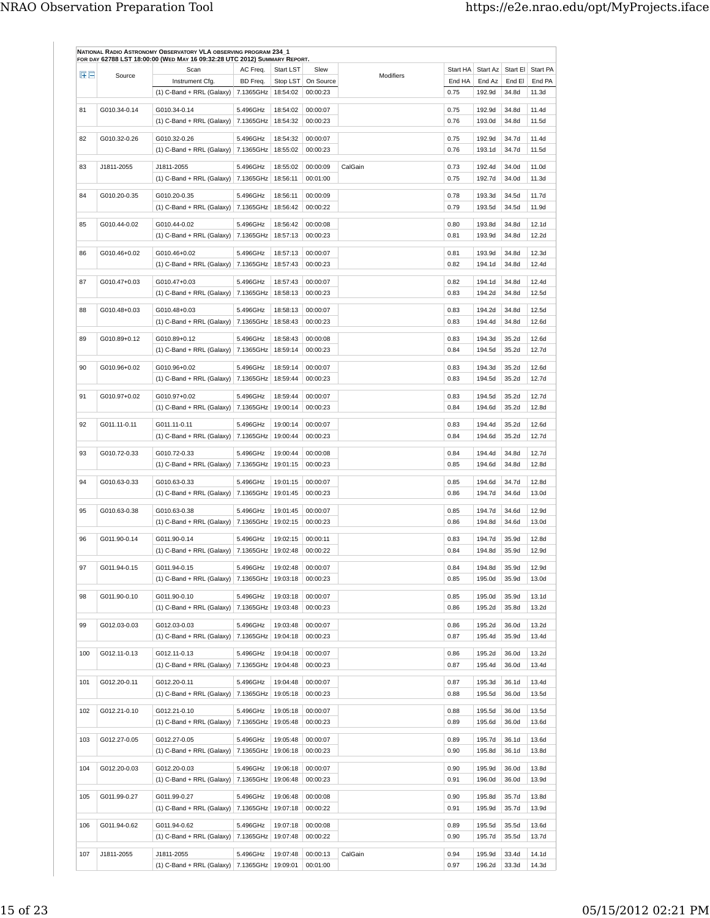| ŒΕ  | Source       | Scan                                             | AC Freq.              | Start LST            | Slew                 | Modifiers | Start HA     | Start Az         | Start El       | Start PA       |
|-----|--------------|--------------------------------------------------|-----------------------|----------------------|----------------------|-----------|--------------|------------------|----------------|----------------|
|     |              | Instrument Cfg.                                  | BD Freq.              | Stop LST             | On Source            |           | End HA       | End Az           | End El         | End PA         |
|     |              | $(1)$ C-Band + RRL (Galaxy)                      | 7.1365GHz             | 18:54:02             | 00:00:23             |           | 0.75         | 192.9d           | 34.8d          | 11.3d          |
| 81  | G010.34-0.14 | G010.34-0.14                                     | 5.496GHz              | 18:54:02             | 00:00:07             |           | 0.75         | 192.9d           | 34.8d          | 11.4d          |
|     |              | $(1)$ C-Band + RRL (Galaxy)                      | 7.1365GHz             | 18:54:32             | 00:00:23             |           | 0.76         | 193.0d           | 34.8d          | 11.5d          |
| 82  | G010.32-0.26 | G010.32-0.26                                     | 5.496GHz              | 18:54:32             | 00:00:07             |           | 0.75         | 192.9d           | 34.7d          | 11.4d          |
|     |              | $(1)$ C-Band + RRL (Galaxy)                      | 7.1365GHz             | 18:55:02             | 00:00:23             |           | 0.76         | 193.1d           | 34.7d          | 11.5d          |
|     |              |                                                  |                       |                      |                      |           |              |                  |                |                |
| 83  | J1811-2055   | J1811-2055<br>$(1)$ C-Band + RRL (Galaxy)        | 5.496GHz<br>7.1365GHz | 18:55:02<br>18:56:11 | 00:00:09<br>00:01:00 | CalGain   | 0.73<br>0.75 | 192.4d<br>192.7d | 34.0d<br>34.0d | 11.0d<br>11.3d |
|     |              |                                                  |                       |                      |                      |           |              |                  |                |                |
| 84  | G010.20-0.35 | G010.20-0.35                                     | 5.496GHz              | 18:56:11             | 00:00:09             |           | 0.78         | 193.3d           | 34.5d          | 11.7d          |
|     |              | (1) C-Band + RRL (Galaxy)                        | 7.1365GHz             | 18:56:42             | 00:00:22             |           | 0.79         | 193.5d           | 34.5d          | 11.9d          |
| 85  | G010.44-0.02 | G010.44-0.02                                     | 5.496GHz              | 18:56:42             | 00:00:08             |           | 0.80         | 193.8d           | 34.8d          | 12.1d          |
|     |              | (1) C-Band + RRL (Galaxy)                        | 7.1365GHz             | 18:57:13             | 00:00:23             |           | 0.81         | 193.9d           | 34.8d          | 12.2d          |
|     |              |                                                  |                       |                      |                      |           |              |                  |                |                |
| 86  | G010.46+0.02 | G010.46+0.02                                     | 5.496GHz              | 18:57:13             | 00:00:07             |           | 0.81         | 193.9d           | 34.8d          | 12.3d          |
|     |              | (1) C-Band + RRL (Galaxy)                        | 7.1365GHz             | 18:57:43             | 00:00:23             |           | 0.82         | 194.1d           | 34.8d          | 12.4d          |
| 87  | G010.47+0.03 | G010.47+0.03                                     | 5.496GHz              | 18:57:43             | 00:00:07             |           | 0.82         | 194.1d           | 34.8d          | 12.4d          |
|     |              | $(1)$ C-Band + RRL (Galaxy)                      | 7.1365GHz             | 18:58:13             | 00:00:23             |           | 0.83         | 194.2d           | 34.8d          | 12.5d          |
| 88  | G010.48+0.03 | G010.48+0.03                                     | 5.496GHz              | 18:58:13             | 00:00:07             |           | 0.83         | 194.2d           | 34.8d          | 12.5d          |
|     |              | $(1)$ C-Band + RRL (Galaxy)                      | 7.1365GHz             | 18:58:43             | 00:00:23             |           | 0.83         | 194.4d           | 34.8d          | 12.6d          |
|     |              |                                                  |                       |                      |                      |           |              |                  |                |                |
| 89  | G010.89+0.12 | G010.89+0.12                                     | 5.496GHz              | 18:58:43             | 00:00:08             |           | 0.83         | 194.3d           | 35.2d          | 12.6d          |
|     |              | (1) C-Band + RRL (Galaxy)                        | 7.1365GHz             | 18:59:14             | 00:00:23             |           | 0.84         | 194.5d           | 35.2d          | 12.7d          |
| 90  | G010.96+0.02 | G010.96+0.02                                     | 5.496GHz              | 18:59:14             | 00:00:07             |           | 0.83         | 194.3d           | 35.2d          | 12.6d          |
|     |              | $(1)$ C-Band + RRL (Galaxy)                      | 7.1365GHz             | 18:59:44             | 00:00:23             |           | 0.83         | 194.5d           | 35.2d          | 12.7d          |
| 91  | G010.97+0.02 | G010.97+0.02                                     | 5.496GHz              | 18:59:44             | 00:00:07             |           | 0.83         | 194.5d           | 35.2d          | 12.7d          |
|     |              | (1) C-Band + RRL (Galaxy)                        | 7.1365GHz             | 19:00:14             | 00:00:23             |           | 0.84         | 194.6d           | 35.2d          | 12.8d          |
|     |              |                                                  |                       |                      |                      |           |              |                  |                |                |
| 92  | G011.11-0.11 | G011.11-0.11                                     | 5.496GHz              | 19:00:14             | 00:00:07             |           | 0.83         | 194.4d           | 35.2d          | 12.6d          |
|     |              | $(1)$ C-Band + RRL (Galaxy)                      | 7.1365GHz             | 19:00:44             | 00:00:23             |           | 0.84         | 194.6d           | 35.2d          | 12.7d          |
| 93  | G010.72-0.33 | G010.72-0.33                                     | 5.496GHz              | 19:00:44             | 00:00:08             |           | 0.84         | 194.4d           | 34.8d          | 12.7d          |
|     |              | $(1)$ C-Band + RRL (Galaxy)                      | 7.1365GHz             | 19:01:15             | 00:00:23             |           | 0.85         | 194.6d           | 34.8d          | 12.8d          |
| 94  | G010.63-0.33 | G010.63-0.33                                     | 5.496GHz              | 19:01:15             | 00:00:07             |           | 0.85         | 194.6d           | 34.7d          | 12.8d          |
|     |              | $(1)$ C-Band + RRL (Galaxy)                      | 7.1365GHz             | 19:01:45             | 00:00:23             |           | 0.86         | 194.7d           | 34.6d          | 13.0d          |
|     |              |                                                  |                       |                      |                      |           |              |                  |                |                |
| 95  | G010.63-0.38 | G010.63-0.38                                     | 5.496GHz              | 19:01:45             | 00:00:07             |           | 0.85         | 194.7d           | 34.6d          | 12.9d          |
|     |              | (1) C-Band + RRL (Galaxy)   $7.1365$ GHz         |                       | 19:02:15             | 00:00:23             |           | 0.86         | 194.8d           | 34.6d          | 13.0d          |
| 96  | G011.90-0.14 | G011.90-0.14                                     | 5.496GHz              | 19:02:15             | 00:00:11             |           | 0.83         | 194.7d           | 35.9d          | 12.8d          |
|     |              | $(1)$ C-Band + RRL (Galaxy)                      | 7.1365GHz             | 19:02:48             | 00:00:22             |           | 0.84         | 194.8d           | 35.9d          | 12.9d          |
| 97  | G011.94-0.15 | G011.94-0.15                                     | 5.496GHz              | 19:02:48             | 00:00:07             |           | 0.84         | 194.8d           | 35.9d          | 12.9d          |
|     |              | (1) C-Band + RRL (Galaxy) 7.1365GHz   19:03:18   |                       |                      | 00:00:23             |           | 0.85         | 195.0d           | 35.9d          | 13.0d          |
|     |              |                                                  |                       |                      |                      |           |              |                  |                |                |
| 98  | G011.90-0.10 | G011.90-0.10                                     | 5.496GHz              | 19:03:18             | 00:00:07             |           | 0.85         | 195.0d           | 35.9d          | 13.1d          |
|     |              | (1) C-Band + RRL (Galaxy)   7.1365GHz   19:03:48 |                       |                      | 00:00:23             |           | 0.86         | 195.2d           | 35.8d          | 13.2d          |
| 99  | G012.03-0.03 | G012.03-0.03                                     | 5.496GHz              | 19:03:48             | 00:00:07             |           | 0.86         | 195.2d           | 36.0d          | 13.2d          |
|     |              | $(1)$ C-Band + RRL (Galaxy)                      | 7.1365GHz             | 19:04:18             | 00:00:23             |           | 0.87         | 195.4d           | 35.9d          | 13.4d          |
| 100 | G012.11-0.13 | G012.11-0.13                                     | 5.496GHz              | 19:04:18             | 00:00:07             |           | 0.86         | 195.2d           | 36.0d          | 13.2d          |
|     |              | (1) C-Band + RRL (Galaxy)   7.1365GHz   19:04:48 |                       |                      | 00:00:23             |           | 0.87         | 195.4d           | 36.0d          | 13.4d          |
|     |              |                                                  |                       |                      |                      |           |              |                  |                |                |
| 101 | G012.20-0.11 | G012.20-0.11                                     | 5.496GHz              | 19:04:48             | 00:00:07             |           | 0.87         | 195.3d           | 36.1d          | 13.4d          |
|     |              | $(1)$ C-Band + RRL (Galaxy)   7.1365GHz          |                       | 19:05:18             | 00:00:23             |           | 0.88         | 195.5d           | 36.0d          | 13.5d          |
| 102 | G012.21-0.10 | G012.21-0.10                                     | 5.496GHz              | 19:05:18             | 00:00:07             |           | 0.88         | 195.5d           | 36.0d          | 13.5d          |
|     |              | $(1)$ C-Band + RRL (Galaxy)   7.1365GHz          |                       | 19:05:48             | 00:00:23             |           | 0.89         | 195.6d           | 36.0d          | 13.6d          |
|     |              |                                                  |                       |                      |                      |           |              |                  |                |                |
| 103 | G012.27-0.05 | G012.27-0.05<br>(1) C-Band + RRL (Galaxy)        | 5.496GHz<br>7.1365GHz | 19:05:48<br>19:06:18 | 00:00:07<br>00:00:23 |           | 0.89<br>0.90 | 195.7d<br>195.8d | 36.1d<br>36.1d | 13.6d<br>13.8d |
|     |              |                                                  |                       |                      |                      |           |              |                  |                |                |
| 104 | G012.20-0.03 | G012.20-0.03                                     | 5.496GHz              | 19:06:18             | 00:00:07             |           | 0.90         | 195.9d           | 36.0d          | 13.8d          |
|     |              | (1) C-Band + RRL (Galaxy) 7.1365GHz   19:06:48   |                       |                      | 00:00:23             |           | 0.91         | 196.0d           | 36.0d          | 13.9d          |
| 105 | G011.99-0.27 | G011.99-0.27                                     | 5.496GHz              | 19:06:48             | 00:00:08             |           | 0.90         | 195.8d           | 35.7d          | 13.8d          |
|     |              | $(1)$ C-Band + RRL (Galaxy)   7.1365GHz          |                       | 19:07:18             | 00:00:22             |           | 0.91         | 195.9d           | 35.7d          | 13.9d          |
|     |              |                                                  |                       |                      |                      |           |              |                  |                |                |
| 106 | G011.94-0.62 | G011.94-0.62                                     | 5.496GHz              | 19:07:18             | 00:00:08             |           | 0.89         | 195.5d           | 35.5d          | 13.6d          |
|     |              | (1) C-Band + RRL (Galaxy)   7.1365GHz   19:07:48 |                       |                      | 00:00:22             |           | 0.90         | 195.7d           | 35.5d          | 13.7d          |
| 107 | J1811-2055   | J1811-2055                                       | 5.496GHz              | 19:07:48             | 00:00:13             | CalGain   | 0.94         | 195.9d           | 33.4d          | 14.1d          |
|     |              |                                                  |                       |                      |                      |           |              |                  |                |                |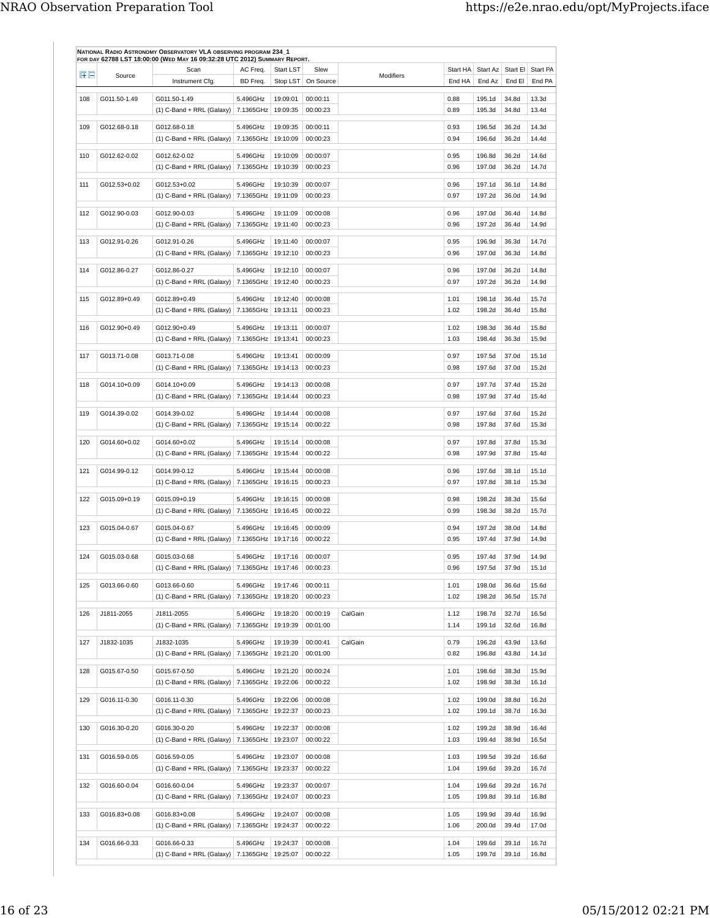| 田田  | Source       | Scan                                                               | AC Freq.              | Start LST            | Slew                 | Modifiers | Start HA     | Start Az         | Start El       | Start PA       |
|-----|--------------|--------------------------------------------------------------------|-----------------------|----------------------|----------------------|-----------|--------------|------------------|----------------|----------------|
|     |              | Instrument Cfg.                                                    | BD Freq.              | Stop LST             | On Source            |           | End HA       | End Az           | End El         | End PA         |
| 108 | G011.50-1.49 | G011.50-1.49                                                       | 5.496GHz              | 19:09:01             | 00:00:11             |           | 0.88         | 195.1d           | 34.8d          | 13.3d          |
|     |              | $(1)$ C-Band + RRL (Galaxy)                                        | 7.1365GHz             | 19:09:35             | 00:00:23             |           | 0.89         | 195.3d           | 34.8d          | 13.4d          |
| 109 | G012.68-0.18 | G012.68-0.18                                                       | 5.496GHz              | 19:09:35             | 00:00:11             |           | 0.93         | 196.5d           | 36.2d          | 14.3d          |
|     |              | $(1)$ C-Band + RRL (Galaxy)   7.1365GHz                            |                       | 19:10:09             | 00:00:23             |           | 0.94         | 196.6d           | 36.2d          | 14.4d          |
| 110 | G012.62-0.02 | G012.62-0.02                                                       | 5.496GHz              | 19:10:09             | 00:00:07             |           | 0.95         | 196.8d           | 36.2d          | 14.6d          |
|     |              | $(1)$ C-Band + RRL (Galaxy)                                        | 7.1365GHz             | 19:10:39             | 00:00:23             |           | 0.96         | 197.0d           | 36.2d          | 14.7d          |
| 111 | G012.53+0.02 | G012.53+0.02                                                       | 5.496GHz              | 19:10:39             | 00:00:07             |           | 0.96         | 197.1d           | 36.1d          | 14.8d          |
|     |              | $(1)$ C-Band + RRL (Galaxy)   7.1365GHz                            |                       | 19:11:09             | 00:00:23             |           | 0.97         | 197.2d           | 36.0d          | 14.9d          |
|     |              |                                                                    |                       |                      |                      |           |              |                  |                |                |
| 112 | G012.90-0.03 | G012.90-0.03<br>$(1)$ C-Band + RRL (Galaxy)                        | 5.496GHz<br>7.1365GHz | 19:11:09<br>19:11:40 | 00:00:08<br>00:00:23 |           | 0.96<br>0.96 | 197.0d<br>197.2d | 36.4d<br>36.4d | 14.8d<br>14.9d |
|     |              |                                                                    |                       |                      |                      |           |              |                  |                |                |
| 113 | G012.91-0.26 | G012.91-0.26                                                       | 5.496GHz<br>7.1365GHz | 19:11:40<br>19:12:10 | 00:00:07<br>00:00:23 |           | 0.95<br>0.96 | 196.9d<br>197.0d | 36.3d<br>36.3d | 14.7d<br>14.8d |
|     |              | $(1)$ C-Band + RRL (Galaxy)                                        |                       |                      |                      |           |              |                  |                |                |
| 114 | G012.86-0.27 | G012.86-0.27                                                       | 5.496GHz              | 19:12:10             | 00:00:07             |           | 0.96         | 197.0d           | 36.2d          | 14.8d          |
|     |              | $(1)$ C-Band + RRL (Galaxy)                                        | 7.1365GHz             | 19:12:40             | 00:00:23             |           | 0.97         | 197.2d           | 36.2d          | 14.9d          |
| 115 | G012.89+0.49 | G012.89+0.49                                                       | 5.496GHz              | 19:12:40             | 00:00:08             |           | 1.01         | 198.1d           | 36.4d          | 15.7d          |
|     |              | $(1)$ C-Band + RRL (Galaxy)                                        | 7.1365GHz             | 19:13:11             | 00:00:23             |           | 1.02         | 198.2d           | 36.4d          | 15.8d          |
| 116 | G012.90+0.49 | G012.90+0.49                                                       | 5.496GHz              | 19:13:11             | 00:00:07             |           | 1.02         | 198.3d           | 36.4d          | 15.8d          |
|     |              | $(1)$ C-Band + RRL (Galaxy)                                        | 7.1365GHz             | 19:13:41             | 00:00:23             |           | 1.03         | 198.4d           | 36.3d          | 15.9d          |
| 117 | G013.71-0.08 | G013.71-0.08                                                       | 5.496GHz              | 19:13:41             | 00:00:09             |           | 0.97         | 197.5d           | 37.0d          | 15.1d          |
|     |              | $(1)$ C-Band + RRL (Galaxy)                                        | 7.1365GHz             | 19:14:13             | 00:00:23             |           | 0.98         | 197.6d           | 37.0d          | 15.2d          |
|     |              |                                                                    |                       |                      |                      |           |              |                  |                |                |
| 118 | G014.10+0.09 | G014.10+0.09                                                       | 5.496GHz              | 19:14:13<br>19:14:44 | 00:00:08<br>00:00:23 |           | 0.97<br>0.98 | 197.7d<br>197.9d | 37.4d<br>37.4d | 15.2d<br>15.4d |
|     |              | $(1)$ C-Band + RRL (Galaxy)   7.1365GHz                            |                       |                      |                      |           |              |                  |                |                |
| 119 | G014.39-0.02 | G014.39-0.02                                                       | 5.496GHz              | 19:14:44             | 00:00:08             |           | 0.97         | 197.6d           | 37.6d          | 15.2d          |
|     |              | $(1)$ C-Band + RRL (Galaxy)                                        | 7.1365GHz             | 19:15:14             | 00:00:22             |           | 0.98         | 197.8d           | 37.6d          | 15.3d          |
| 120 | G014.60+0.02 | G014.60+0.02                                                       | 5.496GHz              | 19:15:14             | 00:00:08             |           | 0.97         | 197.8d           | 37.8d          | 15.3d          |
|     |              | $(1)$ C-Band + RRL (Galaxy)                                        | 7.1365GHz             | 19:15:44             | 00:00:22             |           | 0.98         | 197.9d           | 37.8d          | 15.4d          |
| 121 | G014.99-0.12 | G014.99-0.12                                                       | 5.496GHz              | 19:15:44             | 00:00:08             |           | 0.96         | 197.6d           | 38.1d          | 15.1d          |
|     |              | $(1)$ C-Band + RRL (Galaxy)                                        | 7.1365GHz             | 19:16:15             | 00:00:23             |           | 0.97         | 197.8d           | 38.1d          | 15.3d          |
| 122 | G015.09+0.19 | G015.09+0.19                                                       | 5.496GHz              | 19:16:15             | 00:00:08             |           | 0.98         | 198.2d           | 38.3d          | 15.6d          |
|     |              | $(1)$ C-Band + RRL (Galaxy)                                        | 7.1365GHz             | 19:16:45             | 00:00:22             |           | 0.99         | 198.3d           | 38.2d          | 15.7d          |
| 123 | G015.04-0.67 | G015.04-0.67                                                       | 5.496GHz              | 19:16:45             | 00:00:09             |           | 0.94         | 197.2d           | 38.0d          | 14.8d          |
|     |              | $(1)$ C-Band + RRL (Galaxy)                                        | 7.1365GHz             | 19:17:16             | 00:00:22             |           | 0.95         | 197.4d           | 37.9d          | 14.9d          |
| 124 | G015.03-0.68 | G015.03-0.68                                                       | 5.496GHz              | 19:17:16             | 00:00:07             |           | 0.95         | 197.4d           | 37.9d          | 14.9d          |
|     |              | (1) C-Band + RRL (Galaxy) 7.1365GHz 19:17:46                       |                       |                      | 00:00:23             |           | 0.96         | 197.5d           | 37.9d          | 15.1d          |
|     |              |                                                                    |                       |                      |                      |           |              |                  |                |                |
| 125 | G013.66-0.60 | G013.66-0.60                                                       | 5.496GHz              | 19:17:46             | 00:00:11<br>00:00:23 |           | 1.01         | 198.0d           | 36.6d<br>36.5d | 15.6d<br>15.7d |
|     |              | (1) C-Band + RRL (Galaxy)   7.1365GHz   19:18:20                   |                       |                      |                      |           | 1.02         | 198.2d           |                |                |
| 126 | J1811-2055   | J1811-2055                                                         | 5.496GHz              | 19:18:20             | 00:00:19             | CalGain   | 1.12         | 198.7d           | 32.7d          | 16.5d          |
|     |              | (1) C-Band + RRL (Galaxy) 7.1365GHz 19:19:39                       |                       |                      | 00:01:00             |           | 1.14         | 199.1d           | 32.6d          | 16.8d          |
| 127 | J1832-1035   | J1832-1035                                                         | 5.496GHz              | 19:19:39             | 00:00:41             | CalGain   | 0.79         | 196.2d           | 43.9d          | 13.6d          |
|     |              | (1) C-Band + RRL (Galaxy)   7.1365GHz   19:21:20                   |                       |                      | 00:01:00             |           | 0.82         | 196.8d           | 43.8d          | 14.1d          |
| 128 | G015.67-0.50 | G015.67-0.50                                                       | 5.496GHz              | 19:21:20             | 00:00:24             |           | 1.01         | 198.6d           | 38.3d          | 15.9d          |
|     |              | (1) C-Band + RRL (Galaxy) 7.1365GHz   19:22:06                     |                       |                      | 00:00:22             |           | 1.02         | 198.9d           | 38.3d          | 16.1d          |
| 129 | G016.11-0.30 | G016.11-0.30                                                       | 5.496GHz              | 19:22:06             | 00:00:08             |           | 1.02         | 199.0d           | 38.8d          | 16.2d          |
|     |              | (1) C-Band + RRL (Galaxy) 7.1365GHz   19:22:37                     |                       |                      | 00:00:23             |           | 1.02         | 199.1d           | 38.7d          | 16.3d          |
| 130 | G016.30-0.20 | G016.30-0.20                                                       | 5.496GHz              | 19:22:37             | 00:00:08             |           | 1.02         | 199.2d           | 38.9d          | 16.4d          |
|     |              | (1) C-Band + RRL (Galaxy)   7.1365GHz   19:23:07                   |                       |                      | 00:00:22             |           | 1.03         | 199.4d           | 38.9d          | 16.5d          |
|     |              |                                                                    |                       |                      |                      |           |              |                  |                |                |
| 131 | G016.59-0.05 | G016.59-0.05<br>$(1)$ C-Band + RRL (Galaxy)   7.1365GHz   19:23:37 | 5.496GHz              | 19:23:07             | 00:00:08<br>00:00:22 |           | 1.03<br>1.04 | 199.5d<br>199.6d | 39.2d<br>39.2d | 16.6d<br>16.7d |
|     |              |                                                                    |                       |                      |                      |           |              |                  |                |                |
| 132 | G016.60-0.04 | G016.60-0.04                                                       | 5.496GHz              | 19:23:37             | 00:00:07             |           | 1.04         | 199.6d           | 39.2d          | 16.7d          |
|     |              | (1) C-Band + RRL (Galaxy) 7.1365GHz   19:24:07                     |                       |                      | 00:00:23             |           | 1.05         | 199.8d           | 39.1d          | 16.8d          |
| 133 | G016.83+0.08 | G016.83+0.08                                                       | 5.496GHz              | 19:24:07             | 00:00:08             |           | 1.05         | 199.9d           | 39.4d          | 16.9d          |
|     |              | (1) C-Band + RRL (Galaxy) 7.1365GHz   19:24:37                     |                       |                      | 00:00:22             |           | 1.06         | 200.0d           | 39.4d          | 17.0d          |
| 134 | G016.66-0.33 | G016.66-0.33                                                       | 5.496GHz              | 19:24:37             | 00:00:08             |           | 1.04         | 199.6d           | 39.1d          | 16.7d          |
|     |              | (1) C-Band + RRL (Galaxy)   7.1365GHz   19:25:07                   |                       |                      | 00:00:22             |           | 1.05         | 199.7d           | 39.1d          | 16.8d          |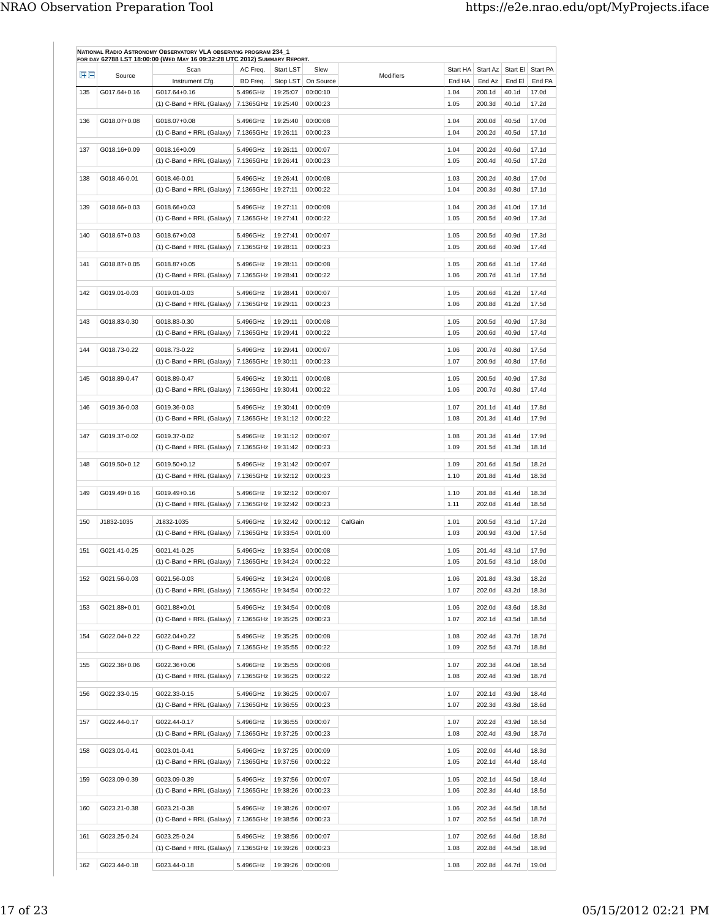| 田田  | Source       | Scan                                                                  | AC Freq.              | <b>Start LST</b>     | Slew                 | Modifiers | Start HA     | Start Az         | Start El Start PA         |                |
|-----|--------------|-----------------------------------------------------------------------|-----------------------|----------------------|----------------------|-----------|--------------|------------------|---------------------------|----------------|
|     |              | Instrument Cfg.                                                       | BD Freq.              | Stop LST             | On Source            |           | End HA       | End Az           | End El                    | End PA         |
| 135 | G017.64+0.16 | G017.64+0.16<br>$(1)$ C-Band + RRL (Galaxy)                           | 5.496GHz<br>7.1365GHz | 19:25:07<br>19:25:40 | 00:00:10<br>00:00:23 |           | 1.04<br>1.05 | 200.1d<br>200.3d | 40.1d<br>40.1d            | 17.0d<br>17.2d |
| 136 | G018.07+0.08 | G018.07+0.08                                                          | 5.496GHz              | 19:25:40             | 00:00:08             |           | 1.04         | 200.0d           | 40.5d                     | 17.0d          |
|     |              | $(1)$ C-Band + RRL (Galaxy)   7.1365GHz                               |                       | 19:26:11             | 00:00:23             |           | 1.04         | 200.2d           | 40.5d                     | 17.1d          |
| 137 | G018.16+0.09 | G018.16+0.09                                                          | 5.496GHz              | 19:26:11             | 00:00:07             |           | 1.04         | 200.2d           | 40.6d                     | 17.1d          |
|     |              | $(1)$ C-Band + RRL (Galaxy)                                           | 7.1365GHz             | 19:26:41             | 00:00:23             |           | 1.05         | 200.4d           | 40.5d                     | 17.2d          |
| 138 | G018.46-0.01 | G018.46-0.01                                                          | 5.496GHz              | 19:26:41             | 00:00:08             |           | 1.03         | 200.2d           | 40.8d                     | 17.0d          |
|     |              | $(1)$ C-Band + RRL (Galaxy)   7.1365GHz                               |                       | 19:27:11             | 00:00:22             |           | 1.04         | 200.3d           | 40.8d                     | 17.1d          |
| 139 | G018.66+0.03 | G018.66+0.03                                                          | 5.496GHz              | 19:27:11             | 00:00:08             |           | 1.04         | 200.3d           | 41.0d                     | 17.1d          |
|     |              | $(1)$ C-Band + RRL (Galaxy)                                           | 7.1365GHz             | 19:27:41             | 00:00:22             |           | 1.05         | 200.5d           | 40.9d                     | 17.3d          |
| 140 | G018.67+0.03 | G018.67+0.03                                                          | 5.496GHz              | 19:27:41             | 00:00:07             |           | 1.05         | 200.5d           | 40.9d                     | 17.3d          |
|     |              | $(1)$ C-Band + RRL (Galaxy)   7.1365GHz                               |                       | 19:28:11             | 00:00:23             |           | 1.05         | 200.6d           | 40.9d                     | 17.4d          |
| 141 | G018.87+0.05 | G018.87+0.05                                                          | 5.496GHz              | 19:28:11             | 00:00:08             |           | 1.05         | 200.6d           | 41.1d                     | 17.4d          |
|     |              | $(1)$ C-Band + RRL (Galaxy)                                           | 7.1365GHz             | 19:28:41             | 00:00:22             |           | 1.06         | 200.7d           | 41.1d                     | 17.5d          |
| 142 | G019.01-0.03 | G019.01-0.03                                                          | 5.496GHz              | 19:28:41             | 00:00:07             |           | 1.05         | 200.6d           | 41.2d                     | 17.4d          |
|     |              | $(1)$ C-Band + RRL (Galaxy)                                           | 7.1365GHz             | 19:29:11             | 00:00:23             |           | 1.06         | 200.8d           | 41.2d                     | 17.5d          |
| 143 | G018.83-0.30 | G018.83-0.30                                                          | 5.496GHz              | 19:29:11             | 00:00:08             |           | 1.05         | 200.5d           | 40.9d                     | 17.3d          |
|     |              | $(1)$ C-Band + RRL (Galaxy)                                           | 7.1365GHz             | 19:29:41             | 00:00:22             |           | 1.05         | 200.6d           | 40.9d                     | 17.4d          |
| 144 | G018.73-0.22 | G018.73-0.22                                                          | 5.496GHz              | 19:29:41             | 00:00:07             |           | 1.06         | 200.7d           | 40.8d                     | 17.5d          |
|     |              | (1) C-Band + RRL (Galaxy)   7.1365GHz   19:30:11                      |                       |                      | 00:00:23             |           | 1.07         | 200.9d           | 40.8d                     | 17.6d          |
| 145 | G018.89-0.47 | G018.89-0.47                                                          | 5.496GHz              | 19:30:11             | 00:00:08             |           | 1.05         | 200.5d           | 40.9d                     | 17.3d          |
|     |              | $(1)$ C-Band + RRL (Galaxy)                                           | 7.1365GHz   19:30:41  |                      | 00:00:22             |           | 1.06         | 200.7d           | 40.8d                     | 17.4d          |
| 146 | G019.36-0.03 | G019.36-0.03                                                          | 5.496GHz              | 19:30:41             | 00:00:09             |           | 1.07         | 201.1d           | 41.4d                     | 17.8d          |
|     |              | $(1)$ C-Band + RRL (Galaxy)   7.1365GHz   19:31:12                    |                       |                      | 00:00:22             |           | 1.08         | 201.3d           | 41.4d                     | 17.9d          |
| 147 | G019.37-0.02 | G019.37-0.02                                                          | 5.496GHz              | 19:31:12             | 00:00:07             |           | 1.08         | 201.3d           | 41.4d                     | 17.9d          |
|     |              | $(1)$ C-Band + RRL (Galaxy)   7.1365GHz                               |                       | 19:31:42             | 00:00:23             |           | 1.09         | 201.5d           | 41.3d                     | 18.1d          |
| 148 | G019.50+0.12 | G019.50+0.12                                                          | 5.496GHz              | 19:31:42             | 00:00:07             |           | 1.09         | 201.6d           | 41.5d                     | 18.2d          |
|     |              | $(1)$ C-Band + RRL (Galaxy)                                           | 7.1365GHz             | 19:32:12             | 00:00:23             |           | 1.10         | 201.8d           | 41.4d                     | 18.3d          |
|     | G019.49+0.16 | G019.49+0.16                                                          | 5.496GHz              | 19:32:12             | 00:00:07             |           |              | 201.8d           | 41.4d                     |                |
| 149 |              | $(1)$ C-Band + RRL (Galaxy)   7.1365GHz                               |                       | 19:32:42             | 00:00:23             |           | 1.10<br>1.11 | 202.0d           | 41.4d                     | 18.3d<br>18.5d |
|     |              |                                                                       |                       |                      |                      |           |              |                  |                           |                |
| 150 | J1832-1035   | J1832-1035<br>$(1)$ C-Band + RRL (Galaxy)                             | 5.496GHz<br>7.1365GHz | 19:32:42<br>19:33:54 | 00:00:12<br>00:01:00 | CalGain   | 1.01<br>1.03 | 200.5d<br>200.9d | 43.1d<br>43.0d            | 17.2d<br>17.5d |
|     |              |                                                                       |                       |                      |                      |           |              |                  |                           |                |
| 151 | G021.41-0.25 | G021.41-0.25<br>(1) C-Band + RRL (Galaxy) 7.1365GHz 19:34:24          | 5.496GHz              | 19:33:54             | 00:00:08<br>00:00:22 |           | 1.05<br>1.05 | 201.4d<br>201.5d | 43.1d<br>$43.1\mathrm{d}$ | 17.9d<br>18.0d |
|     |              |                                                                       |                       |                      |                      |           |              |                  |                           |                |
| 152 | G021.56-0.03 | G021.56-0.03<br>(1) C-Band + RRL (Galaxy)   $7.1365$ GHz   $19:34:54$ | 5.496GHz              | 19:34:24             | 00:00:08<br>00:00:22 |           | 1.06<br>1.07 | 201.8d<br>202.0d | 43.3d<br>43.2d            | 18.2d<br>18.3d |
|     |              |                                                                       |                       |                      |                      |           |              |                  |                           |                |
| 153 | G021.88+0.01 | G021.88+0.01                                                          | 5.496GHz              | 19:34:54             | 00:00:08<br>00:00:23 |           | 1.06<br>1.07 | 202.0d<br>202.1d | 43.6d<br>43.5d            | 18.3d<br>18.5d |
|     |              | (1) C-Band + RRL (Galaxy) 7.1365GHz   19:35:25                        |                       |                      |                      |           |              |                  |                           |                |
| 154 | G022.04+0.22 | G022.04+0.22                                                          | 5.496GHz              | 19:35:25             | 00:00:08             |           | 1.08         | 202.4d           | 43.7d                     | 18.7d          |
|     |              | $(1)$ C-Band + RRL (Galaxy)   7.1365GHz   19:35:55                    |                       |                      | 00:00:22             |           | 1.09         | 202.5d           | 43.7d                     | 18.8d          |
| 155 | G022.36+0.06 | G022.36+0.06                                                          | 5.496GHz              | 19:35:55             | 00:00:08             |           | 1.07         | 202.3d           | 44.0d                     | 18.5d          |
|     |              | (1) C-Band + RRL (Galaxy) 7.1365GHz   19:36:25                        |                       |                      | 00:00:22             |           | 1.08         | 202.4d           | 43.9d                     | 18.7d          |
| 156 | G022.33-0.15 | G022.33-0.15                                                          | 5.496GHz              | 19:36:25             | 00:00:07             |           | 1.07         | 202.1d           | 43.9d                     | 18.4d          |
|     |              | $(1)$ C-Band + RRL (Galaxy)   7.1365GHz                               |                       | 19:36:55             | 00:00:23             |           | 1.07         | 202.3d           | 43.8d                     | 18.6d          |
| 157 | G022.44-0.17 | G022.44-0.17                                                          | 5.496GHz              | 19:36:55             | 00:00:07             |           | 1.07         | 202.2d           | 43.9d                     | 18.5d          |
|     |              | $(1)$ C-Band + RRL (Galaxy)   7.1365GHz                               |                       | 19:37:25             | 00:00:23             |           | 1.08         | 202.4d           | 43.9d                     | 18.7d          |
| 158 | G023.01-0.41 | G023.01-0.41                                                          | 5.496GHz              | 19:37:25             | 00:00:09             |           | 1.05         | 202.0d           | 44.4d                     | 18.3d          |
|     |              | (1) C-Band + RRL (Galaxy)   7.1365GHz   19:37:56                      |                       |                      | 00:00:22             |           | 1.05         | 202.1d           | 44.4d                     | 18.4d          |
| 159 | G023.09-0.39 | G023.09-0.39                                                          | 5.496GHz              | 19:37:56             | 00:00:07             |           | 1.05         | 202.1d           | 44.5d                     | 18.4d          |
|     |              | (1) C-Band + RRL (Galaxy)   7.1365GHz   19:38:26                      |                       |                      | 00:00:23             |           | 1.06         | 202.3d           | 44.4d                     | 18.5d          |
| 160 | G023.21-0.38 | G023.21-0.38                                                          | 5.496GHz              | 19:38:26             | 00:00:07             |           | 1.06         | 202.3d           | 44.5d                     | 18.5d          |
|     |              | (1) C-Band + RRL (Galaxy)   $7.1365$ GHz   $19.38.56$                 |                       |                      | 00:00:23             |           | 1.07         | 202.5d           | 44.5d                     | 18.7d          |
| 161 | G023.25-0.24 | G023.25-0.24                                                          | 5.496GHz              | 19:38:56             | 00:00:07             |           | 1.07         | 202.6d           | 44.6d                     | 18.8d          |
|     |              | $(1)$ C-Band + RRL (Galaxy)                                           | 7.1365GHz   19:39:26  |                      | 00:00:23             |           | 1.08         | 202.8d           | 44.5d                     | 18.9d          |
|     |              |                                                                       |                       |                      |                      |           |              |                  |                           |                |
| 162 | G023.44-0.18 | G023.44-0.18                                                          | 5.496GHz              | 19:39:26             | 00:00:08             |           | 1.08         | 202.8d           | 44.7d                     | 19.0d          |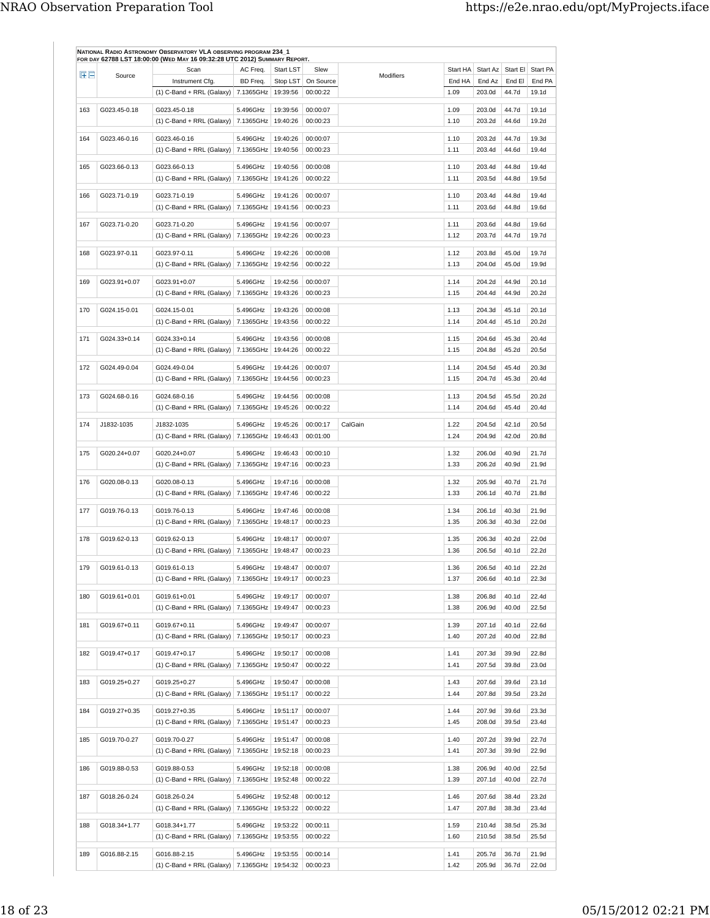| $H \Box$ | Source       | Scan                                                               | AC Freq.                         | Start LST | Slew                 | Modifiers | Start HA     | Start Az         |                | Start El Start PA |
|----------|--------------|--------------------------------------------------------------------|----------------------------------|-----------|----------------------|-----------|--------------|------------------|----------------|-------------------|
|          |              | Instrument Cfg.                                                    | BD Freq.                         | Stop LST  | On Source            |           | End HA       | End Az           | End El         | End PA            |
|          |              | $(1)$ C-Band + RRL (Galaxy)   7.1365GHz                            |                                  | 19:39:56  | 00:00:22             |           | 1.09         | 203.0d           | 44.7d          | 19.1d             |
| 163      | G023.45-0.18 | G023.45-0.18                                                       | 5.496GHz                         | 19:39:56  | 00:00:07             |           | 1.09         | 203.0d           | 44.7d          | 19.1d             |
|          |              | $(1)$ C-Band + RRL (Galaxy)                                        | 7.1365GHz                        | 19:40:26  | 00:00:23             |           | 1.10         | 203.2d           | 44.6d          | 19.2d             |
| 164      | G023.46-0.16 | G023.46-0.16                                                       | 5.496GHz                         | 19:40:26  | 00:00:07             |           | 1.10         | 203.2d           | 44.7d          | 19.3d             |
|          |              | $(1)$ C-Band + RRL (Galaxy)                                        | 7.1365GHz                        | 19:40:56  | 00:00:23             |           | 1.11         | 203.4d           | 44.6d          | 19.4d             |
| 165      | G023.66-0.13 | G023.66-0.13                                                       | 5.496GHz                         | 19:40:56  | 00:00:08             |           | 1.10         | 203.4d           | 44.8d          | 19.4d             |
|          |              | $(1)$ C-Band + RRL (Galaxy)                                        | 7.1365GHz                        | 19:41:26  | 00:00:22             |           | 1.11         | 203.5d           | 44.8d          | 19.5d             |
|          |              |                                                                    |                                  |           |                      |           |              |                  |                |                   |
| 166      | G023.71-0.19 | G023.71-0.19                                                       | 5.496GHz                         | 19:41:26  | 00:00:07             |           | 1.10         | 203.4d           | 44.8d          | 19.4d             |
|          |              | $(1)$ C-Band + RRL (Galaxy)   7.1365GHz                            |                                  | 19:41:56  | 00:00:23             |           | 1.11         | 203.6d           | 44.8d          | 19.6d             |
| 167      | G023.71-0.20 | G023.71-0.20                                                       | 5.496GHz                         | 19:41:56  | 00:00:07             |           | 1.11         | 203.6d           | 44.8d          | 19.6d             |
|          |              | $(1)$ C-Band + RRL (Galaxy)                                        | 7.1365GHz   19:42:26             |           | 00:00:23             |           | 1.12         | 203.7d           | 44.7d          | 19.7d             |
| 168      | G023.97-0.11 | G023.97-0.11                                                       | 5.496GHz                         | 19:42:26  | 00:00:08             |           | 1.12         | 203.8d           | 45.0d          | 19.7d             |
|          |              | (1) C-Band + RRL (Galaxy)                                          | 7.1365GHz                        | 19:42:56  | 00:00:22             |           | 1.13         | 204.0d           | 45.0d          | 19.9d             |
|          | G023.91+0.07 | G023.91+0.07                                                       |                                  |           |                      |           |              | 204.2d           |                |                   |
| 169      |              | (1) C-Band + RRL (Galaxy)                                          | 5.496GHz<br>7.1365GHz   19:43:26 | 19:42:56  | 00:00:07<br>00:00:23 |           | 1.14<br>1.15 | 204.4d           | 44.9d<br>44.9d | 20.1d<br>20.2d    |
|          |              |                                                                    |                                  |           |                      |           |              |                  |                |                   |
| 170      | G024.15-0.01 | G024.15-0.01                                                       | 5.496GHz                         | 19:43:26  | 00:00:08             |           | 1.13         | 204.3d           | 45.1d          | 20.1d             |
|          |              | $(1)$ C-Band + RRL (Galaxy)                                        | 7.1365GHz                        | 19:43:56  | 00:00:22             |           | 1.14         | 204.4d           | 45.1d          | 20.2d             |
| 171      | G024.33+0.14 | G024.33+0.14                                                       | 5.496GHz                         | 19:43:56  | 00:00:08             |           | 1.15         | 204.6d           | 45.3d          | 20.4d             |
|          |              | $(1)$ C-Band + RRL (Galaxy)                                        | 7.1365GHz                        | 19:44:26  | 00:00:22             |           | 1.15         | 204.8d           | 45.2d          | 20.5d             |
| 172      | G024.49-0.04 | G024.49-0.04                                                       | 5.496GHz                         | 19:44:26  | 00:00:07             |           | 1.14         | 204.5d           | 45.4d          | 20.3d             |
|          |              | $(1)$ C-Band + RRL (Galaxy)                                        | 7.1365GHz                        | 19:44:56  | 00:00:23             |           | 1.15         | 204.7d           | 45.3d          | 20.4d             |
|          |              |                                                                    |                                  |           |                      |           |              |                  |                |                   |
| 173      | G024.68-0.16 | G024.68-0.16                                                       | 5.496GHz                         | 19:44:56  | 00:00:08             |           | 1.13         | 204.5d           | 45.5d          | 20.2d             |
|          |              | $(1)$ C-Band + RRL (Galaxy)                                        | 7.1365GHz                        | 19:45:26  | 00:00:22             |           | 1.14         | 204.6d           | 45.4d          | 20.4d             |
| 174      | J1832-1035   | J1832-1035                                                         | 5.496GHz                         | 19:45:26  | 00:00:17             | CalGain   | 1.22         | 204.5d           | 42.1d          | 20.5d             |
|          |              | $(1)$ C-Band + RRL (Galaxy)                                        | 7.1365GHz                        | 19:46:43  | 00:01:00             |           | 1.24         | 204.9d           | 42.0d          | 20.8d             |
| 175      | G020.24+0.07 | G020.24+0.07                                                       | 5.496GHz                         | 19:46:43  | 00:00:10             |           | 1.32         | 206.0d           | 40.9d          | 21.7d             |
|          |              | $(1)$ C-Band + RRL (Galaxy)   7.1365GHz                            |                                  | 19:47:16  | 00:00:23             |           | 1.33         | 206.2d           | 40.9d          | 21.9d             |
| 176      | G020.08-0.13 | G020.08-0.13                                                       | 5.496GHz                         | 19:47:16  | 00:00:08             |           | 1.32         | 205.9d           | 40.7d          | 21.7d             |
|          |              | $(1)$ C-Band + RRL (Galaxy)                                        | 7.1365GHz                        | 19:47:46  | 00:00:22             |           | 1.33         | 206.1d           | 40.7d          | 21.8d             |
|          |              |                                                                    |                                  |           |                      |           |              |                  |                |                   |
| 177      | G019.76-0.13 | G019.76-0.13                                                       | 5.496GHz                         | 19:47:46  | 00:00:08             |           | 1.34         | 206.1d           | 40.3d          | 21.9d             |
|          |              | (1) C-Band + RRL (Galaxy)   7.1365GHz   19:48:17                   |                                  |           | 00:00:23             |           | 1.35         | 206.3d           | 40.3d          | 22.0d             |
| 178      | G019.62-0.13 | G019.62-0.13                                                       | 5.496GHz                         | 19:48:17  | 00:00:07             |           | 1.35         | 206.3d           | 40.2d          | 22.0d             |
|          |              | $(1)$ C-Band + RRL (Galaxy)                                        | 7.1365GHz   19:48:47             |           | 00:00:23             |           | 1.36         | 206.5d           | 40.1d          | 22.2d             |
| 179      | G019.61-0.13 | G019.61-0.13                                                       | 5.496GHz                         | 19:48:47  | 00:00:07             |           | 1.36         | 206.5d           | 40.1d          | 22.2d             |
|          |              | (1) C-Band + RRL (Galaxy) 7.1365GHz   19:49:17                     |                                  |           | 00:00:23             |           | 1.37         | 206.6d           | 40.1d          | 22.3d             |
|          |              |                                                                    |                                  |           |                      |           |              |                  |                |                   |
| 180      | G019.61+0.01 | G019.61+0.01<br>(1) C-Band + RRL (Galaxy)   7.1365GHz   19:49:47   | 5.496GHz                         | 19:49:17  | 00:00:07<br>00:00:23 |           | 1.38<br>1.38 | 206.8d<br>206.9d | 40.1d<br>40.0d | 22.4d<br>22.5d    |
|          |              |                                                                    |                                  |           |                      |           |              |                  |                |                   |
| 181      | G019.67+0.11 | G019.67+0.11                                                       | 5.496GHz                         | 19:49:47  | 00:00:07             |           | 1.39         | 207.1d           | 40.1d          | 22.6d             |
|          |              | $(1)$ C-Band + RRL (Galaxy)                                        | 7.1365GHz                        | 19:50:17  | 00:00:23             |           | 1.40         | 207.2d           | 40.0d          | 22.8d             |
| 182      | G019.47+0.17 | G019.47+0.17                                                       | 5.496GHz                         | 19:50:17  | 00:00:08             |           | 1.41         | 207.3d           | 39.9d          | 22.8d             |
|          |              | (1) C-Band + RRL (Galaxy)   7.1365GHz   19:50:47                   |                                  |           | 00:00:22             |           | 1.41         | 207.5d           | 39.8d          | 23.0d             |
| 183      | G019.25+0.27 | G019.25+0.27                                                       | 5.496GHz                         | 19:50:47  | 00:00:08             |           | 1.43         | 207.6d           | 39.6d          | 23.1d             |
|          |              | $(1)$ C-Band + RRL (Galaxy)   7.1365GHz                            |                                  | 19:51:17  | 00:00:22             |           | 1.44         | 207.8d           | 39.5d          | 23.2d             |
|          |              |                                                                    |                                  |           |                      |           |              |                  |                |                   |
| 184      | G019.27+0.35 | G019.27+0.35                                                       | 5.496GHz                         | 19:51:17  | 00:00:07             |           | 1.44         | 207.9d           | 39.6d          | 23.3d             |
|          |              | (1) C-Band + RRL (Galaxy) 7.1365GHz   19:51:47                     |                                  |           | 00:00:23             |           | 1.45         | 208.0d           | 39.5d          | 23.4d             |
| 185      | G019.70-0.27 | G019.70-0.27                                                       | 5.496GHz                         | 19:51:47  | 00:00:08             |           | 1.40         | 207.2d           | 39.9d          | 22.7d             |
|          |              | (1) C-Band + RRL (Galaxy)   7.1365GHz   19:52:18                   |                                  |           | 00:00:23             |           | 1.41         | 207.3d           | 39.9d          | 22.9d             |
| 186      | G019.88-0.53 | G019.88-0.53                                                       | 5.496GHz                         | 19:52:18  | 00:00:08             |           | 1.38         | 206.9d           | 40.0d          | 22.5d             |
|          |              | (1) C-Band + RRL (Galaxy) 7.1365GHz 19:52:48                       |                                  |           | 00:00:22             |           | 1.39         | 207.1d           | 40.0d          | 22.7d             |
|          |              |                                                                    |                                  |           |                      |           |              |                  |                |                   |
| 187      | G018.26-0.24 | G018.26-0.24<br>$(1)$ C-Band + RRL (Galaxy)   7.1365GHz   19:53:22 | 5.496GHz                         | 19:52:48  | 00:00:12<br>00:00:22 |           | 1.46<br>1.47 | 207.6d<br>207.8d | 38.4d<br>38.3d | 23.2d<br>23.4d    |
|          |              |                                                                    |                                  |           |                      |           |              |                  |                |                   |
| 188      | G018.34+1.77 | G018.34+1.77                                                       | 5.496GHz                         | 19:53:22  | 00:00:11             |           | 1.59         | 210.4d           | 38.5d          | 25.3d             |
|          |              | (1) C-Band + RRL (Galaxy) 7.1365GHz 19:53:55                       |                                  |           | 00:00:22             |           | 1.60         | 210.5d           | 38.5d          | 25.5d             |
| 189      | G016.88-2.15 | G016.88-2.15                                                       | 5.496GHz                         | 19:53:55  | 00:00:14             |           | 1.41         | 205.7d           | 36.7d          | 21.9d             |
|          |              | (1) C-Band + RRL (Galaxy) 7.1365GHz   19:54:32                     |                                  |           | 00:00:23             |           | 1.42         | 205.9d           | 36.7d          | 22.0d             |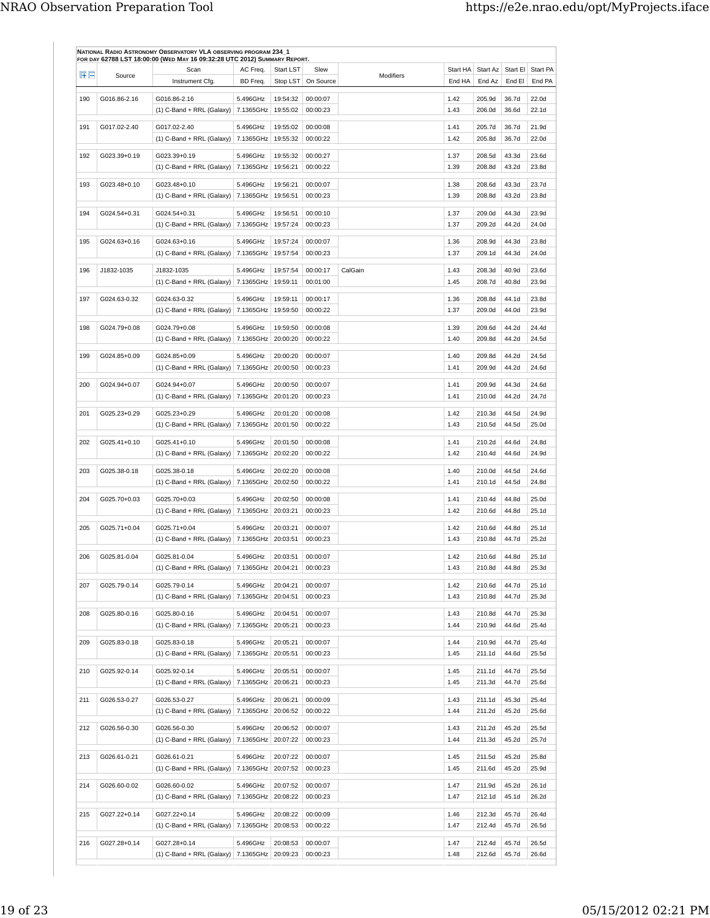| EE  | Source       | Scan                                             | AC Freq.              | Start LST            | Slew                 | Modifiers | Start HA     | Start Az         | Start El       | Start PA       |
|-----|--------------|--------------------------------------------------|-----------------------|----------------------|----------------------|-----------|--------------|------------------|----------------|----------------|
|     |              | Instrument Cfg.                                  | BD Freq.              | Stop LST             | On Source            |           | End HA       | End Az           | End El         | End PA         |
| 190 | G016.86-2.16 | G016.86-2.16                                     | 5.496GHz              | 19:54:32             | 00:00:07             |           | 1.42         | 205.9d           | 36.7d          | 22.0d          |
|     |              | $(1)$ C-Band + RRL (Galaxy)                      | 7.1365GHz             | 19:55:02             | 00:00:23             |           | 1.43         | 206.0d           | 36.6d          | 22.1d          |
| 191 | G017.02-2.40 | G017.02-2.40                                     | 5.496GHz              | 19:55:02             | 00:00:08             |           | 1.41         | 205.7d           | 36.7d          | 21.9d          |
|     |              | (1) C-Band + RRL (Galaxy)   7.1365GHz   19:55:32 |                       |                      | 00:00:22             |           | 1.42         | 205.8d           | 36.7d          | 22.0d          |
|     |              |                                                  |                       | 19:55:32             |                      |           |              |                  |                |                |
| 192 | G023.39+0.19 | G023.39+0.19<br>$(1)$ C-Band + RRL (Galaxy)      | 5.496GHz<br>7.1365GHz | 19:56:21             | 00:00:27<br>00:00:22 |           | 1.37<br>1.39 | 208.5d<br>208.8d | 43.3d<br>43.2d | 23.6d<br>23.8d |
|     |              |                                                  |                       |                      |                      |           |              |                  |                |                |
| 193 | G023.48+0.10 | G023.48+0.10                                     | 5.496GHz              | 19:56:21             | 00:00:07             |           | 1.38         | 208.6d           | 43.3d          | 23.7d          |
|     |              | (1) C-Band + RRL (Galaxy)   $7.1365$ GHz         |                       | 19:56:51             | 00:00:23             |           | 1.39         | 208.8d           | 43.2d          | 23.8d          |
| 194 | G024.54+0.31 | G024.54+0.31                                     | 5.496GHz              | 19:56:51             | 00:00:10             |           | 1.37         | 209.0d           | 44.3d          | 23.9d          |
|     |              | $(1)$ C-Band + RRL (Galaxy)   7.1365GHz          |                       | 19:57:24             | 00:00:23             |           | 1.37         | 209.2d           | 44.2d          | 24.0d          |
|     |              |                                                  |                       |                      |                      |           |              |                  |                |                |
| 195 | G024.63+0.16 | G024.63+0.16                                     | 5.496GHz              | 19:57:24             | 00:00:07             |           | 1.36         | 208.9d           | 44.3d          | 23.8d          |
|     |              | $(1)$ C-Band + RRL (Galaxy)                      | 7.1365GHz             | 19:57:54             | 00:00:23             |           | 1.37         | 209.1d           | 44.3d          | 24.0d          |
| 196 | J1832-1035   | J1832-1035                                       | 5.496GHz              | 19:57:54             | 00:00:17             | CalGain   | 1.43         | 208.3d           | 40.9d          | 23.6d          |
|     |              | $(1)$ C-Band + RRL (Galaxy)                      | 7.1365GHz             | 19:59:11             | 00:01:00             |           | 1.45         | 208.7d           | 40.8d          | 23.9d          |
|     |              |                                                  |                       |                      |                      |           |              |                  |                |                |
| 197 | G024.63-0.32 | G024.63-0.32<br>$(1)$ C-Band + RRL (Galaxy)      | 5.496GHz<br>7.1365GHz | 19:59:11<br>19:59:50 | 00:00:17<br>00:00:22 |           | 1.36<br>1.37 | 208.8d<br>209.0d | 44.1d<br>44.0d | 23.8d<br>23.9d |
|     |              |                                                  |                       |                      |                      |           |              |                  |                |                |
| 198 | G024.79+0.08 | G024.79+0.08                                     | 5.496GHz              | 19:59:50             | 00:00:08             |           | 1.39         | 209.6d           | 44.2d          | 24.4d          |
|     |              | (1) C-Band + RRL (Galaxy)                        | 7.1365GHz             | 20:00:20             | 00:00:22             |           | 1.40         | 209.8d           | 44.2d          | 24.5d          |
| 199 | G024.85+0.09 | G024.85+0.09                                     | 5.496GHz              | 20:00:20             | 00:00:07             |           | 1.40         | 209.8d           | 44.2d          | 24.5d          |
|     |              | $(1)$ C-Band + RRL (Galaxy)                      | 7.1365GHz             | 20:00:50             | 00:00:23             |           | 1.41         | 209.9d           | 44.2d          | 24.6d          |
|     |              |                                                  |                       |                      |                      |           |              |                  |                |                |
| 200 | G024.94+0.07 | G024.94+0.07                                     | 5.496GHz              | 20:00:50             | 00:00:07             |           | 1.41         | 209.9d           | 44.3d          | 24.6d          |
|     |              | $(1)$ C-Band + RRL (Galaxy)   7.1365GHz          |                       | 20:01:20             | 00:00:23             |           | 1.41         | 210.0d           | 44.2d          | 24.7d          |
| 201 | G025.23+0.29 | G025.23+0.29                                     | 5.496GHz              | 20:01:20             | 00:00:08             |           | 1.42         | 210.3d           | 44.5d          | 24.9d          |
|     |              | $(1)$ C-Band + RRL (Galaxy)                      | 7.1365GHz             | 20:01:50             | 00:00:22             |           | 1.43         | 210.5d           | 44.5d          | 25.0d          |
|     |              |                                                  |                       |                      |                      |           |              |                  |                |                |
| 202 | G025.41+0.10 | G025.41+0.10                                     | 5.496GHz              | 20:01:50             | 00:00:08             |           | 1.41         | 210.2d           | 44.6d          | 24.8d          |
|     |              | $(1)$ C-Band + RRL (Galaxy)   7.1365GHz          |                       | 20:02:20             | 00:00:22             |           | 1.42         | 210.4d           | 44.6d          | 24.9d          |
| 203 | G025.38-0.18 | G025.38-0.18                                     | 5.496GHz              | 20:02:20             | 00:00:08             |           | 1.40         | 210.0d           | 44.5d          | 24.6d          |
|     |              | $(1)$ C-Band + RRL (Galaxy)   7.1365GHz          |                       | 20:02:50             | 00:00:22             |           | 1.41         | 210.1d           | 44.5d          | 24.8d          |
|     |              |                                                  |                       |                      |                      |           |              |                  |                |                |
| 204 | G025.70+0.03 | G025.70+0.03                                     | 5.496GHz              | 20:02:50             | 00:00:08             |           | 1.41         | 210.4d           | 44.8d          | 25.0d          |
|     |              | $(1)$ C-Band + RRL (Galaxy)   7.1365GHz          |                       | 20:03:21             | 00:00:23             |           | 1.42         | 210.6d           | 44.8d          | 25.1d          |
| 205 | G025.71+0.04 | G025.71+0.04                                     | 5.496GHz              | 20:03:21             | 00:00:07             |           | 1.42         | 210.6d           | 44.8d          | 25.1d          |
|     |              | $(1)$ C-Band + RRL (Galaxy)                      | 7.1365GHz             | 20:03:51             | 00:00:23             |           | 1.43         | 210.8d           | 44.7d          | 25.2d          |
|     |              |                                                  |                       |                      |                      |           |              |                  |                |                |
| 206 | G025.81-0.04 | G025.81-0.04                                     | 5.496GHz              | 20:03:51             | 00:00:07             |           | 1.42         | 210.6d           | 44.8d          | 25.1d          |
|     |              | (1) C-Band + RRL (Galaxy) 7.1365GHz   20:04:21   |                       |                      | 00:00:23             |           | 1.43         | 210.8d           | 44.8d          | 25.3d          |
| 207 | G025.79-0.14 | G025.79-0.14                                     | 5.496GHz              | 20:04:21             | 00:00:07             |           | 1.42         | 210.6d           | 44.7d          | 25.1d          |
|     |              | $(1)$ C-Band + RRL (Galaxy)   7.1365GHz          |                       | 20:04:51             | 00:00:23             |           | 1.43         | 210.8d           | 44.7d          | 25.3d          |
|     | G025.80-0.16 | G025.80-0.16                                     | 5.496GHz              | 20:04:51             | 00:00:07             |           | 1.43         | 210.8d           | 44.7d          | 25.3d          |
| 208 |              | (1) C-Band + RRL (Galaxy) 7.1365GHz 20:05:21     |                       |                      | 00:00:23             |           | 1.44         | 210.9d           | 44.6d          | 25.4d          |
|     |              |                                                  |                       |                      |                      |           |              |                  |                |                |
| 209 | G025.83-0.18 | G025.83-0.18                                     | 5.496GHz              | 20:05:21             | 00:00:07             |           | 1.44         | 210.9d           | 44.7d          | 25.4d          |
|     |              | (1) C-Band + RRL (Galaxy)   7.1365GHz   20:05:51 |                       |                      | 00:00:23             |           | 1.45         | 211.1d           | 44.6d          | 25.5d          |
| 210 | G025.92-0.14 | G025.92-0.14                                     | 5.496GHz              | 20:05:51             | 00:00:07             |           | 1.45         | 211.1d           | 44.7d          | 25.5d          |
|     |              | (1) C-Band + RRL (Galaxy) 7.1365GHz 20:06:21     |                       |                      | 00:00:23             |           | 1.45         | 211.3d           | 44.7d          | 25.6d          |
|     |              |                                                  |                       |                      |                      |           |              |                  |                |                |
| 211 | G026.53-0.27 | G026.53-0.27                                     | 5.496GHz              | 20:06:21             | 00:00:09             |           | 1.43         | 211.1d           | 45.3d          | 25.4d          |
|     |              | (1) C-Band + RRL (Galaxy) 7.1365GHz 20:06:52     |                       |                      | 00:00:22             |           | 1.44         | 211.2d           | 45.2d          | 25.6d          |
| 212 | G026.56-0.30 | G026.56-0.30                                     | 5.496GHz              | 20:06:52             | 00:00:07             |           | 1.43         | 211.2d           | 45.2d          | 25.5d          |
|     |              | $(1)$ C-Band + RRL (Galaxy)   7.1365GHz          |                       | 20:07:22             | 00:00:23             |           | 1.44         | 211.3d           | 45.2d          | 25.7d          |
|     |              |                                                  |                       |                      |                      |           |              |                  |                |                |
| 213 | G026.61-0.21 | G026.61-0.21                                     | 5.496GHz              | 20:07:22             | 00:00:07             |           | 1.45         | 211.5d           | 45.2d          | 25.8d          |
|     |              | $(1)$ C-Band + RRL (Galaxy)   7.1365GHz          |                       | 20:07:52             | 00:00:23             |           | 1.45         | 211.6d           | 45.2d          | 25.9d          |
| 214 | G026.60-0.02 | G026.60-0.02                                     | 5.496GHz              | 20:07:52             | 00:00:07             |           | 1.47         | 211.9d           | 45.2d          | 26.1d          |
|     |              | (1) C-Band + RRL (Galaxy) 7.1365GHz 20:08:22     |                       |                      | 00:00:23             |           | 1.47         | 212.1d           | 45.1d          | 26.2d          |
|     |              |                                                  |                       |                      |                      |           |              |                  |                |                |
| 215 | G027.22+0.14 | G027.22+0.14                                     | 5.496GHz              | 20:08:22             | 00:00:09             |           | 1.46         | 212.3d           | 45.7d          | 26.4d          |
|     |              | (1) C-Band + RRL (Galaxy) 7.1365GHz 20:08:53     |                       |                      | 00:00:22             |           | 1.47         | 212.4d           | 45.7d          | 26.5d          |
| 216 | G027.28+0.14 | G027.28+0.14                                     | 5.496GHz              | 20:08:53             | 00:00:07             |           | 1.47         | 212.4d           | 45.7d          | 26.5d          |
|     |              | (1) C-Band + RRL (Galaxy)   7.1365GHz   20:09:23 |                       |                      | 00:00:23             |           | 1.48         | 212.6d           | 45.7d          | 26.6d          |
|     |              |                                                  |                       |                      |                      |           |              |                  |                |                |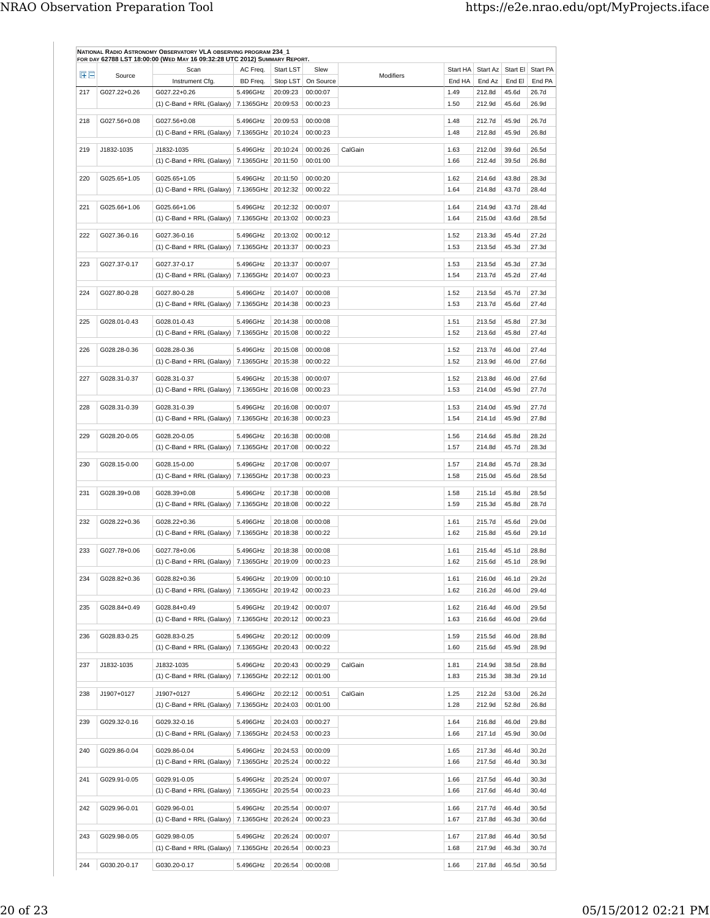| 田田  | Source       | Scan                                                               | AC Freq.              | <b>Start LST</b>     | Slew                 | Modifiers | Start HA     | Start Az         | Start El Start PA |                            |
|-----|--------------|--------------------------------------------------------------------|-----------------------|----------------------|----------------------|-----------|--------------|------------------|-------------------|----------------------------|
|     |              | Instrument Cfg.                                                    | BD Freq.              | Stop LST             | On Source            |           | End HA       | End Az           | End El            | End PA                     |
| 217 | G027.22+0.26 | G027.22+0.26<br>$(1)$ C-Band + RRL (Galaxy)                        | 5.496GHz<br>7.1365GHz | 20:09:23<br>20:09:53 | 00:00:07<br>00:00:23 |           | 1.49<br>1.50 | 212.8d<br>212.9d | 45.6d<br>45.6d    | 26.7d<br>26.9d             |
| 218 | G027.56+0.08 | G027.56+0.08                                                       | 5.496GHz              | 20:09:53             | 00:00:08             |           | 1.48         | 212.7d           | 45.9d             | 26.7d                      |
|     |              | $(1)$ C-Band + RRL (Galaxy)   7.1365GHz                            |                       | 20:10:24             | 00:00:23             |           | 1.48         | 212.8d           | 45.9d             | 26.8d                      |
| 219 | J1832-1035   | J1832-1035                                                         | 5.496GHz              | 20:10:24             | 00:00:26             | CalGain   | 1.63         | 212.0d           | 39.6d             | 26.5d                      |
|     |              | $(1)$ C-Band + RRL (Galaxy)   7.1365GHz                            |                       | 20:11:50             | 00:01:00             |           | 1.66         | 212.4d           | 39.5d             | 26.8d                      |
| 220 | G025.65+1.05 | G025.65+1.05                                                       | 5.496GHz              | 20:11:50             | 00:00:20             |           | 1.62         | 214.6d           | 43.8d             | 28.3d                      |
|     |              | $(1)$ C-Band + RRL (Galaxy) 7.1365GHz                              |                       | 20:12:32             | 00:00:22             |           | 1.64         | 214.8d           | 43.7d             | 28.4d                      |
| 221 | G025.66+1.06 | G025.66+1.06                                                       | 5.496GHz              | 20:12:32             | 00:00:07             |           | 1.64         | 214.9d           | 43.7d             | 28.4d                      |
|     |              | $(1)$ C-Band + RRL (Galaxy)                                        | 7.1365GHz             | 20:13:02             | 00:00:23             |           | 1.64         | 215.0d           | 43.6d             | 28.5d                      |
| 222 | G027.36-0.16 | G027.36-0.16                                                       | 5.496GHz              | 20:13:02             | 00:00:12             |           | 1.52         | 213.3d           | 45.4d             | 27.2d                      |
|     |              | $(1)$ C-Band + RRL (Galaxy)   7.1365GHz                            |                       | 20:13:37             | 00:00:23             |           | 1.53         | 213.5d           | 45.3d             | 27.3d                      |
| 223 | G027.37-0.17 | G027.37-0.17                                                       | 5.496GHz              | 20:13:37             | 00:00:07             |           | 1.53         | 213.5d           | 45.3d             | 27.3d                      |
|     |              | $(1)$ C-Band + RRL (Galaxy)                                        | 7.1365GHz             | 20:14:07             | 00:00:23             |           | 1.54         | 213.7d           | 45.2d             | 27.4d                      |
| 224 | G027.80-0.28 | G027.80-0.28                                                       | 5.496GHz              | 20:14:07             | 00:00:08             |           | 1.52         | 213.5d           | 45.7d             | 27.3d                      |
|     |              | $(1)$ C-Band + RRL (Galaxy)                                        | 7.1365GHz             | 20:14:38             | 00:00:23             |           | 1.53         | 213.7d           | 45.6d             | 27.4d                      |
|     |              |                                                                    |                       |                      |                      |           |              |                  |                   |                            |
| 225 | G028.01-0.43 | G028.01-0.43<br>$(1)$ C-Band + RRL (Galaxy)                        | 5.496GHz<br>7.1365GHz | 20:14:38<br>20:15:08 | 00:00:08<br>00:00:22 |           | 1.51<br>1.52 | 213.5d<br>213.6d | 45.8d<br>45.8d    | 27.3d<br>27.4d             |
| 226 | G028.28-0.36 | G028.28-0.36                                                       | 5.496GHz              | 20:15:08             | 00:00:08             |           | 1.52         |                  | 46.0d             | 27.4d                      |
|     |              | $(1)$ C-Band + RRL (Galaxy)   7.1365GHz                            |                       | 20:15:38             | 00:00:22             |           | 1.52         | 213.7d<br>213.9d | 46.0d             | 27.6d                      |
|     |              |                                                                    |                       |                      |                      |           |              |                  |                   |                            |
| 227 | G028.31-0.37 | G028.31-0.37<br>$(1)$ C-Band + RRL (Galaxy)                        | 5.496GHz<br>7.1365GHz | 20:15:38<br>20:16:08 | 00:00:07<br>00:00:23 |           | 1.52<br>1.53 | 213.8d<br>214.0d | 46.0d<br>45.9d    | 27.6d<br>27.7d             |
|     |              |                                                                    |                       |                      |                      |           |              |                  |                   |                            |
| 228 | G028.31-0.39 | G028.31-0.39<br>$(1)$ C-Band + RRL (Galaxy)   7.1365GHz            | 5.496GHz              | 20:16:08<br>20:16:38 | 00:00:07<br>00:00:23 |           | 1.53<br>1.54 | 214.0d<br>214.1d | 45.9d<br>45.9d    | 27.7d<br>27.8d             |
|     |              |                                                                    |                       |                      |                      |           |              |                  |                   |                            |
| 229 | G028.20-0.05 | G028.20-0.05<br>$(1)$ C-Band + RRL (Galaxy)   7.1365GHz            | 5.496GHz              | 20:16:38<br>20:17:08 | 00:00:08<br>00:00:22 |           | 1.56<br>1.57 | 214.6d<br>214.8d | 45.8d<br>45.7d    | 28.2d<br>28.3d             |
|     |              |                                                                    |                       |                      |                      |           |              |                  |                   |                            |
| 230 | G028.15-0.00 | G028.15-0.00<br>$(1)$ C-Band + RRL (Galaxy)                        | 5.496GHz<br>7.1365GHz | 20:17:08<br>20:17:38 | 00:00:07<br>00:00:23 |           | 1.57<br>1.58 | 214.8d<br>215.0d | 45.7d<br>45.6d    | 28.3d<br>28.5d             |
|     |              |                                                                    |                       |                      |                      |           |              |                  |                   |                            |
| 231 | G028.39+0.08 | G028.39+0.08<br>$(1)$ C-Band + RRL (Galaxy)   7.1365GHz            | 5.496GHz              | 20:17:38<br>20:18:08 | 00:00:08<br>00:00:22 |           | 1.58<br>1.59 | 215.1d<br>215.3d | 45.8d<br>45.8d    | 28.5d<br>28.7d             |
| 232 | G028.22+0.36 | G028.22+0.36                                                       | 5.496GHz              | 20:18:08             | 00:00:08             |           | 1.61         | 215.7d           | 45.6d             | 29.0d                      |
|     |              | $(1)$ C-Band + RRL (Galaxy)                                        | 7.1365GHz             | 20:18:38             | 00:00:22             |           | 1.62         | 215.8d           | 45.6d             | 29.1d                      |
| 233 | G027.78+0.06 | G027.78+0.06                                                       | 5.496GHz              | 20:18:38             | 00:00:08             |           | 1.61         | 215.4d           | 45.1d             | 28.8d                      |
|     |              | (1) C-Band + RRL (Galaxy) 7.1365GHz 20:19:09                       |                       |                      | 00:00:23             |           | 1.62         | 215.6d           | $45.1\mathrm{d}$  | 28.9d                      |
|     |              |                                                                    |                       |                      |                      |           |              |                  |                   |                            |
| 234 | G028.82+0.36 | G028.82+0.36<br>$(1)$ C-Band + RRL (Galaxy)   7.1365GHz            | 5.496GHz              | 20:19:09<br>20:19:42 | 00:00:10<br>00:00:23 |           | 1.61<br>1.62 | 216.0d<br>216.2d | 46.1d<br>46.0d    | 29.2d<br>29.4d             |
|     |              |                                                                    |                       |                      |                      |           |              |                  |                   |                            |
| 235 | G028.84+0.49 | G028.84+0.49<br>(1) C-Band + RRL (Galaxy) 7.1365GHz 20:20:12       | 5.496GHz              | 20:19:42             | 00:00:07<br>00:00:23 |           | 1.62<br>1.63 | 216.4d<br>216.6d | 46.0d<br>46.0d    | 29.5d<br>29.6d             |
|     |              |                                                                    |                       |                      |                      |           |              |                  |                   |                            |
| 236 | G028.83-0.25 | G028.83-0.25<br>$(1)$ C-Band + RRL (Galaxy)   7.1365GHz   20:20:43 | 5.496GHz              | 20:20:12             | 00:00:09<br>00:00:22 |           | 1.59<br>1.60 | 215.5d<br>215.6d | 46.0d<br>45.9d    | 28.8d<br>28.9d             |
|     |              |                                                                    |                       |                      |                      |           |              |                  |                   |                            |
| 237 | J1832-1035   | J1832-1035<br>(1) C-Band + RRL (Galaxy)   $7.1365$ GHz             | 5.496GHz              | 20:20:43<br>20:22:12 | 00:00:29<br>00:01:00 | CalGain   | 1.81<br>1.83 | 214.9d<br>215.3d | 38.5d<br>38.3d    | 28.8d<br>29.1d             |
|     |              |                                                                    |                       |                      |                      |           |              |                  |                   |                            |
| 238 | J1907+0127   | J1907+0127<br>$(1)$ C-Band + RRL (Galaxy)   7.1365GHz              | 5.496GHz              | 20:22:12<br>20:24:03 | 00:00:51<br>00:01:00 | CalGain   | 1.25<br>1.28 | 212.2d<br>212.9d | 53.0d<br>52.8d    | 26.2d<br>26.8d             |
|     |              |                                                                    |                       |                      |                      |           |              |                  |                   |                            |
| 239 | G029.32-0.16 | G029.32-0.16<br>(1) C-Band + RRL (Galaxy)   $7.1365$ GHz           | 5.496GHz              | 20:24:03<br>20:24:53 | 00:00:27<br>00:00:23 |           | 1.64<br>1.66 | 216.8d<br>217.1d | 46.0d<br>45.9d    | 29.8d<br>30.0d             |
|     |              |                                                                    |                       |                      |                      |           |              |                  |                   |                            |
| 240 | G029.86-0.04 | G029.86-0.04                                                       | 5.496GHz              | 20:24:53<br>20:25:24 | 00:00:09<br>00:00:22 |           | 1.65<br>1.66 | 217.3d<br>217.5d | 46.4d<br>46.4d    | 30.2 <sub>d</sub><br>30.3d |
|     |              | $(1)$ C-Band + RRL (Galaxy)   7.1365GHz                            |                       |                      |                      |           |              |                  |                   |                            |
| 241 | G029.91-0.05 | G029.91-0.05                                                       | 5.496GHz              | 20:25:24             | 00:00:07             |           | 1.66         | 217.5d           | 46.4d             | 30.3d                      |
|     |              | $(1)$ C-Band + RRL (Galaxy)   7.1365GHz                            |                       | 20:25:54             | 00:00:23             |           | 1.66         | 217.6d           | 46.4d             | 30.4d                      |
| 242 | G029.96-0.01 | G029.96-0.01                                                       | 5.496GHz              | 20:25:54             | 00:00:07             |           | 1.66         | 217.7d           | 46.4d             | 30.5d                      |
|     |              | $(1)$ C-Band + RRL (Galaxy)   7.1365GHz                            |                       | 20:26:24             | 00:00:23             |           | 1.67         | 217.8d           | 46.3d             | 30.6d                      |
| 243 | G029.98-0.05 | G029.98-0.05                                                       | 5.496GHz              | 20:26:24             | 00:00:07             |           | 1.67         | 217.8d           | 46.4d             | 30.5d                      |
|     |              | (1) C-Band + RRL (Galaxy)                                          | 7.1365GHz             | 20:26:54             | 00:00:23             |           | 1.68         | 217.9d           | 46.3d             | 30.7d                      |
| 244 | G030.20-0.17 | G030.20-0.17                                                       | 5.496GHz              | 20:26:54             | 00:00:08             |           | 1.66         | 217.8d           | 46.5d             | 30.5d                      |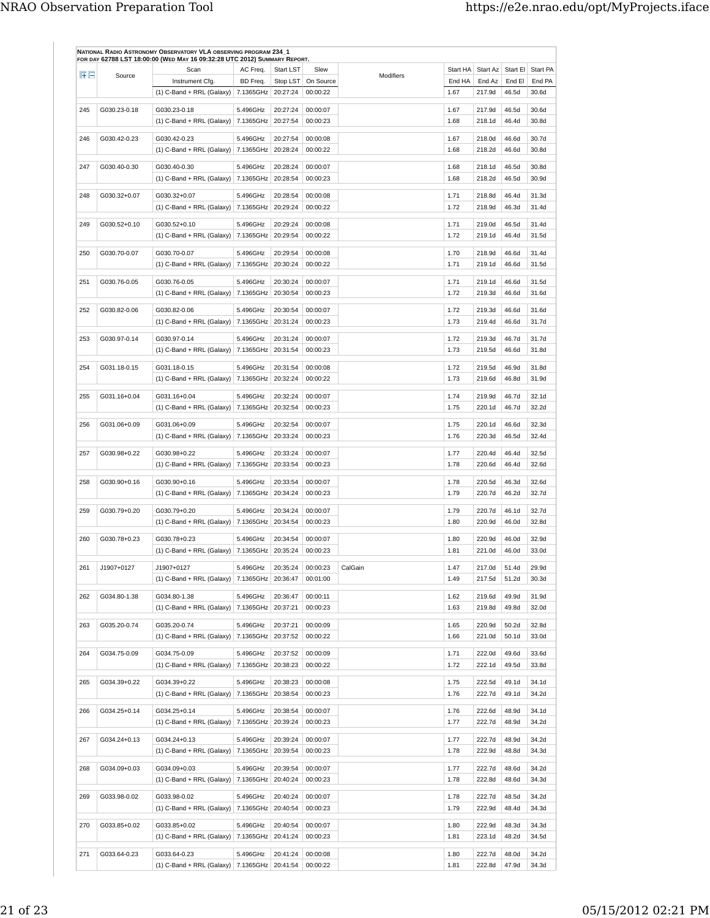| $H \Box$ | Source       | Scan                                             | AC Freq.           | Start LST                                    | Slew                 | Modifiers | Start HA     | Start Az         |                | Start El Start PA |
|----------|--------------|--------------------------------------------------|--------------------|----------------------------------------------|----------------------|-----------|--------------|------------------|----------------|-------------------|
|          |              | Instrument Cfg.                                  | BD Freq.           | Stop LST                                     | On Source            |           | End HA       | End Az           | End El         | End PA            |
|          |              | $(1)$ C-Band + RRL (Galaxy)   7.1365GHz          |                    | 20:27:24                                     | 00:00:22             |           | 1.67         | 217.9d           | 46.5d          | 30.6d             |
| 245      | G030.23-0.18 | G030.23-0.18                                     | 5.496GHz           | 20:27:24                                     | 00:00:07             |           | 1.67         | 217.9d           | 46.5d          | 30.6d             |
|          |              | $(1)$ C-Band + RRL (Galaxy)                      | 7.1365GHz          | 20:27:54                                     | 00:00:23             |           | 1.68         | 218.1d           | 46.4d          | 30.8d             |
| 246      | G030.42-0.23 | G030.42-0.23                                     | 5.496GHz           | 20:27:54                                     | 00:00:08             |           | 1.67         | 218.0d           | 46.6d          | 30.7d             |
|          |              | (1) C-Band + RRL (Galaxy) $  7.1365$ GHz         |                    | 20:28:24                                     | 00:00:22             |           | 1.68         | 218.2d           | 46.6d          | 30.8d             |
|          |              | G030.40-0.30                                     | 5.496GHz           | 20:28:24                                     |                      |           |              |                  |                |                   |
| 247      | G030.40-0.30 | $(1)$ C-Band + RRL (Galaxy)                      | 7.1365GHz          | 20:28:54                                     | 00:00:07<br>00:00:23 |           | 1.68<br>1.68 | 218.1d<br>218.2d | 46.5d<br>46.5d | 30.8d<br>30.9d    |
|          |              |                                                  |                    |                                              |                      |           |              |                  |                |                   |
| 248      | G030.32+0.07 | G030.32+0.07                                     | 5.496GHz           | 20:28:54                                     | 00:00:08             |           | 1.71         | 218.8d           | 46.4d          | 31.3d             |
|          |              | $(1)$ C-Band + RRL (Galaxy)   7.1365GHz          |                    | 20:29:24                                     | 00:00:22             |           | 1.72         | 218.9d           | 46.3d          | 31.4d             |
| 249      | G030.52+0.10 | G030.52+0.10                                     | 5.496GHz           | 20:29:24                                     | 00:00:08             |           | 1.71         | 219.0d           | 46.5d          | 31.4d             |
|          |              | $(1)$ C-Band + RRL (Galaxy)                      | 7.1365GHz          | 20:29:54                                     | 00:00:22             |           | 1.72         | 219.1d           | 46.4d          | 31.5d             |
|          |              |                                                  |                    |                                              |                      |           |              |                  |                |                   |
| 250      | G030.70-0.07 | G030.70-0.07                                     | 5.496GHz           | 20:29:54                                     | 00:00:08<br>00:00:22 |           | 1.70         | 218.9d           | 46.6d          | 31.4d<br>31.5d    |
|          |              | $(1)$ C-Band + RRL (Galaxy)                      | 7.1365GHz          | 20:30:24                                     |                      |           | 1.71         | 219.1d           | 46.6d          |                   |
| 251      | G030.76-0.05 | G030.76-0.05                                     | 5.496GHz           | 20:30:24                                     | 00:00:07             |           | 1.71         | 219.1d           | 46.6d          | 31.5d             |
|          |              | (1) C-Band + RRL (Galaxy)                        | 7.1365GHz 20:30:54 |                                              | 00:00:23             |           | 1.72         | 219.3d           | 46.6d          | 31.6d             |
| 252      | G030.82-0.06 | G030.82-0.06                                     | 5.496GHz           | 20:30:54                                     | 00:00:07             |           | 1.72         | 219.3d           | 46.6d          | 31.6d             |
|          |              | $(1)$ C-Band + RRL (Galaxy)                      | 7.1365GHz          | 20:31:24                                     | 00:00:23             |           | 1.73         | 219.4d           | 46.6d          | 31.7d             |
|          |              |                                                  |                    |                                              |                      |           |              |                  |                |                   |
| 253      | G030.97-0.14 | G030.97-0.14                                     | 5.496GHz           | 20:31:24                                     | 00:00:07             |           | 1.72         | 219.3d           | 46.7d          | 31.7d             |
|          |              | $(1)$ C-Band + RRL (Galaxy)                      | 7.1365GHz          | 20:31:54                                     | 00:00:23             |           | 1.73         | 219.5d           | 46.6d          | 31.8d             |
| 254      | G031.18-0.15 | G031.18-0.15                                     | 5.496GHz           | 20:31:54                                     | 00:00:08             |           | 1.72         | 219.5d           | 46.9d          | 31.8d             |
|          |              | $(1)$ C-Band + RRL (Galaxy)                      | 7.1365GHz          | 20:32:24                                     | 00:00:22             |           | 1.73         | 219.6d           | 46.8d          | 31.9d             |
| 255      | G031.16+0.04 | G031.16+0.04                                     | 5.496GHz           | 20:32:24                                     | 00:00:07             |           | 1.74         | 219.9d           | 46.7d          | 32.1d             |
|          |              | $(1)$ C-Band + RRL (Galaxy)   7.1365GHz          |                    | 20:32:54                                     | 00:00:23             |           | 1.75         | 220.1d           | 46.7d          | 32.2d             |
|          |              |                                                  |                    |                                              |                      |           |              |                  |                |                   |
| 256      | G031.06+0.09 | G031.06+0.09                                     | 5.496GHz           | 20:32:54                                     | 00:00:07             |           | 1.75         | 220.1d           | 46.6d          | 32.3d             |
|          |              | $(1)$ C-Band + RRL (Galaxy)                      | 7.1365GHz          | 20:33:24                                     | 00:00:23             |           | 1.76         | 220.3d           | 46.5d          | 32.4d             |
| 257      | G030.98+0.22 | G030.98+0.22                                     | 5.496GHz           | 20:33:24                                     | 00:00:07             |           | 1.77         | 220.4d           | 46.4d          | 32.5d             |
|          |              | $(1)$ C-Band + RRL (Galaxy)   7.1365GHz          |                    | 20:33:54                                     | 00:00:23             |           | 1.78         | 220.6d           | 46.4d          | 32.6d             |
| 258      | G030.90+0.16 | G030.90+0.16                                     | 5.496GHz           | 20:33:54                                     | 00:00:07             |           | 1.78         | 220.5d           | 46.3d          | 32.6d             |
|          |              | $(1)$ C-Band + RRL (Galaxy)                      | 7.1365GHz          | 20:34:24                                     | 00:00:23             |           | 1.79         | 220.7d           | 46.2d          | 32.7d             |
|          |              |                                                  |                    |                                              |                      |           |              |                  |                |                   |
| 259      | G030.79+0.20 | G030.79+0.20                                     | 5.496GHz           | 20:34:24                                     | 00:00:07             |           | 1.79         | 220.7d           | 46.1d          | 32.7d             |
|          |              | $(1)$ C-Band + RRL (Galaxy)   7.1365GHz          |                    | 20:34:54                                     | 00:00:23             |           | 1.80         | 220.9d           | 46.0d          | 32.8d             |
| 260      | G030.78+0.23 | G030.78+0.23                                     | 5.496GHz           | 20:34:54                                     | 00:00:07             |           | 1.80         | 220.9d           | 46.0d          | 32.9d             |
|          |              | $(1)$ C-Band + RRL (Galaxy)                      | 7.1365GHz          | 20:35:24                                     | 00:00:23             |           | 1.81         | 221.0d           | 46.0d          | 33.0d             |
| 261      | J1907+0127   | J1907+0127                                       | 5.496GHz           | 20:35:24                                     | 00:00:23             | CalGain   | 1.47         | 217.0d           | 51.4d          | 29.9d             |
|          |              | $(1)$ C-Band + RRL (Galaxy) 7.1365GHz            |                    | 20:36:47                                     | 00:01:00             |           | 1.49         | 217.5d           | 51.2d          | 30.3d             |
|          |              |                                                  |                    |                                              |                      |           |              |                  |                |                   |
| 262      | G034.80-1.38 | G034.80-1.38                                     | 5.496GHz           | 20:36:47                                     | 00:00:11             |           | 1.62         | 219.6d           | 49.9d          | 31.9d             |
|          |              | $(1)$ C-Band + RRL (Galaxy)   7.1365GHz          |                    | 20:37:21                                     | 00:00:23             |           | 1.63         | 219.8d           | 49.8d          | 32.0d             |
| 263      | G035.20-0.74 | G035.20-0.74                                     | 5.496GHz           | 20:37:21                                     | 00:00:09             |           | 1.65         | 220.9d           | 50.2d          | 32.8d             |
|          |              | $(1)$ C-Band + RRL (Galaxy)                      | 7.1365GHz          | 20:37:52                                     | 00:00:22             |           | 1.66         | 221.0d           | 50.1d          | 33.0d             |
| 264      | G034.75-0.09 | G034.75-0.09                                     | 5.496GHz           | 20:37:52                                     | 00:00:09             |           | 1.71         | 222.0d           | 49.6d          | 33.6d             |
|          |              | (1) C-Band + RRL (Galaxy)   7.1365GHz   20:38:23 |                    |                                              | 00:00:22             |           | 1.72         | 222.1d           | 49.5d          | 33.8d             |
|          |              |                                                  |                    |                                              |                      |           |              |                  |                |                   |
| 265      | G034.39+0.22 | G034.39+0.22                                     | 5.496GHz           | 20:38:23                                     | 00:00:08             |           | 1.75         | 222.5d           | 49.1d          | 34.1d             |
|          |              | $(1)$ C-Band + RRL (Galaxy)   7.1365GHz          |                    | 20:38:54                                     | 00:00:23             |           | 1.76         | 222.7d           | 49.1d          | 34.2d             |
| 266      | G034.25+0.14 | G034.25+0.14                                     | 5.496GHz           | 20:38:54                                     | 00:00:07             |           | 1.76         | 222.6d           | 48.9d          | 34.1d             |
|          |              | $(1)$ C-Band + RRL (Galaxy)   7.1365GHz          |                    | 20:39:24                                     | 00:00:23             |           | 1.77         | 222.7d           | 48.9d          | 34.2d             |
| 267      | G034.24+0.13 | G034.24+0.13                                     | 5.496GHz           | 20:39:24                                     | 00:00:07             |           | 1.77         | 222.7d           | 48.9d          | 34.2d             |
|          |              |                                                  |                    | 20:39:54                                     | 00:00:23             |           |              | 222.9d           | 48.8d          | 34.3d             |
|          |              | $(1)$ C-Band + RRL (Galaxy)   7.1365GHz          |                    |                                              |                      |           | 1.78         |                  |                |                   |
| 268      | G034.09+0.03 | G034.09+0.03                                     | 5.496GHz           | 20:39:54                                     | 00:00:07             |           | 1.77         | 222.7d           | 48.6d          | 34.2d             |
|          |              | (1) C-Band + RRL (Galaxy)   7.1365GHz   20:40:24 |                    |                                              | 00:00:23             |           | 1.78         | 222.8d           | 48.6d          | 34.3d             |
| 269      | G033.98-0.02 | G033.98-0.02                                     | 5.496GHz           | 20:40:24                                     | 00:00:07             |           | 1.78         | 222.7d           | 48.5d          | 34.2d             |
|          |              | $(1)$ C-Band + RRL (Galaxy)   7.1365GHz          |                    | 20:40:54                                     | 00:00:23             |           | 1.79         | 222.9d           | 48.4d          | 34.3d             |
|          |              |                                                  |                    |                                              |                      |           |              |                  |                |                   |
| 270      | G033.85+0.02 | G033.85+0.02                                     | 5.496GHz           | 20:40:54                                     | 00:00:07             |           | 1.80         | 222.9d           | 48.3d          | 34.3d             |
|          |              | (1) C-Band + RRL (Galaxy)   7.1365GHz   20:41:24 |                    |                                              | 00:00:23             |           | 1.81         | 223.1d           | 48.2d          | 34.5d             |
| 271      | G033.64-0.23 | G033.64-0.23                                     | 5.496GHz           | 20:41:24                                     | 00:00:08             |           | 1.80         | 222.7d           | 48.0d          | 34.2d             |
|          |              |                                                  |                    | (1) C-Band + RRL (Galaxy) 7.1365GHz 20:41:54 | 00:00:22             |           | 1.81         | 222.8d           | 47.9d          | 34.3d             |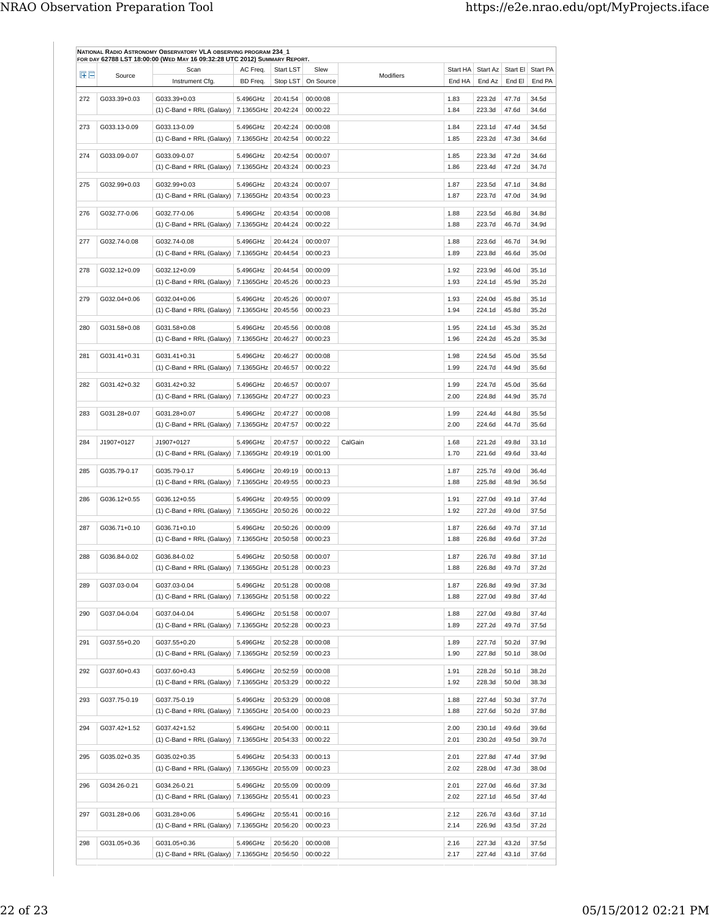| 田田  | Source       | Scan                                                    | AC Freq.              | <b>Start LST</b>     | Slew                 | Modifiers | Start HA     | Start Az         | Start El       | Start PA       |
|-----|--------------|---------------------------------------------------------|-----------------------|----------------------|----------------------|-----------|--------------|------------------|----------------|----------------|
|     |              | Instrument Cfg.                                         | BD Freq.              | Stop LST             | On Source            |           | End HA       | End Az           | End El         | End PA         |
| 272 | G033.39+0.03 | G033.39+0.03                                            | 5.496GHz              | 20:41:54             | 00:00:08             |           | 1.83         | 223.2d           | 47.7d          | 34.5d          |
|     |              | $(1)$ C-Band + RRL (Galaxy)                             | 7.1365GHz             | 20:42:24             | 00:00:22             |           | 1.84         | 223.3d           | 47.6d          | 34.6d          |
| 273 | G033.13-0.09 | G033.13-0.09                                            | 5.496GHz              | 20:42:24             | 00:00:08             |           | 1.84         | 223.1d           | 47.4d          | 34.5d          |
|     |              | $(1)$ C-Band + RRL (Galaxy)   7.1365GHz                 |                       | 20:42:54             | 00:00:22             |           | 1.85         | 223.2d           | 47.3d          | 34.6d          |
|     |              |                                                         |                       |                      |                      |           |              |                  |                |                |
| 274 | G033.09-0.07 | G033.09-0.07<br>$(1)$ C-Band + RRL (Galaxy)             | 5.496GHz<br>7.1365GHz | 20:42:54<br>20:43:24 | 00:00:07<br>00:00:23 |           | 1.85<br>1.86 | 223.3d<br>223.4d | 47.2d<br>47.2d | 34.6d<br>34.7d |
|     |              |                                                         |                       |                      |                      |           |              |                  |                |                |
| 275 | G032.99+0.03 | G032.99+0.03                                            | 5.496GHz              | 20:43:24             | 00:00:07             |           | 1.87         | 223.5d           | 47.1d          | 34.8d          |
|     |              | (1) C-Band + RRL (Galaxy) $  7.1365$ GHz                |                       | 20:43:54             | 00:00:23             |           | 1.87         | 223.7d           | 47.0d          | 34.9d          |
| 276 | G032.77-0.06 | G032.77-0.06                                            | 5.496GHz              | 20:43:54             | 00:00:08             |           | 1.88         | 223.5d           | 46.8d          | 34.8d          |
|     |              | $(1)$ C-Band + RRL (Galaxy)   7.1365GHz                 |                       | 20:44:24             | 00:00:22             |           | 1.88         | 223.7d           | 46.7d          | 34.9d          |
| 277 | G032.74-0.08 | G032.74-0.08                                            | 5.496GHz              | 20:44:24             | 00:00:07             |           | 1.88         | 223.6d           | 46.7d          | 34.9d          |
|     |              | $(1)$ C-Band + RRL (Galaxy)                             | 7.1365GHz             | 20:44:54             | 00:00:23             |           | 1.89         | 223.8d           | 46.6d          | 35.0d          |
| 278 | G032.12+0.09 | G032.12+0.09                                            | 5.496GHz              | 20:44:54             | 00:00:09             |           | 1.92         | 223.9d           | 46.0d          | 35.1d          |
|     |              | $(1)$ C-Band + RRL (Galaxy)                             | 7.1365GHz             | 20:45:26             | 00:00:23             |           | 1.93         | 224.1d           | 45.9d          | 35.2d          |
|     |              |                                                         |                       |                      | 00:00:07             |           |              | 224.0d           |                |                |
| 279 | G032.04+0.06 | G032.04+0.06<br>$(1)$ C-Band + RRL (Galaxy)             | 5.496GHz<br>7.1365GHz | 20:45:26<br>20:45:56 | 00:00:23             |           | 1.93<br>1.94 | 224.1d           | 45.8d<br>45.8d | 35.1d<br>35.2d |
|     |              |                                                         |                       |                      |                      |           |              |                  |                |                |
| 280 | G031.58+0.08 | G031.58+0.08                                            | 5.496GHz              | 20:45:56             | 00:00:08             |           | 1.95         | 224.1d           | 45.3d          | 35.2d          |
|     |              | (1) C-Band + RRL (Galaxy)                               | 7.1365GHz             | 20:46:27             | 00:00:23             |           | 1.96         | 224.2d           | 45.2d          | 35.3d          |
| 281 | G031.41+0.31 | G031.41+0.31                                            | 5.496GHz              | 20:46:27             | 00:00:08             |           | 1.98         | 224.5d           | 45.0d          | 35.5d          |
|     |              | $(1)$ C-Band + RRL (Galaxy)                             | 7.1365GHz             | 20:46:57             | 00:00:22             |           | 1.99         | 224.7d           | 44.9d          | 35.6d          |
| 282 | G031.42+0.32 | G031.42+0.32                                            | 5.496GHz              | 20:46:57             | 00:00:07             |           | 1.99         | 224.7d           | 45.0d          | 35.6d          |
|     |              | $(1)$ C-Band + RRL (Galaxy)   7.1365GHz                 |                       | 20:47:27             | 00:00:23             |           | 2.00         | 224.8d           | 44.9d          | 35.7d          |
| 283 | G031.28+0.07 | G031.28+0.07                                            | 5.496GHz              | 20:47:27             | 00:00:08             |           | 1.99         | 224.4d           | 44.8d          | 35.5d          |
|     |              | $(1)$ C-Band + RRL (Galaxy)                             | 7.1365GHz             | 20:47:57             | 00:00:22             |           | 2.00         | 224.6d           | 44.7d          | 35.6d          |
|     |              |                                                         |                       |                      |                      |           |              |                  |                |                |
| 284 | J1907+0127   | J1907+0127<br>$(1)$ C-Band + RRL (Galaxy)   7.1365GHz   | 5.496GHz              | 20:47:57<br>20:49:19 | 00:00:22<br>00:01:00 | CalGain   | 1.68<br>1.70 | 221.2d<br>221.6d | 49.8d<br>49.6d | 33.1d<br>33.4d |
|     |              |                                                         |                       |                      |                      |           |              |                  |                |                |
| 285 | G035.79-0.17 | G035.79-0.17                                            | 5.496GHz              | 20:49:19             | 00:00:13             |           | 1.87         | 225.7d           | 49.0d          | 36.4d          |
|     |              | $(1)$ C-Band + RRL (Galaxy)   7.1365GHz                 |                       | 20:49:55             | 00:00:23             |           | 1.88         | 225.8d           | 48.9d          | 36.5d          |
| 286 | G036.12+0.55 | G036.12+0.55                                            | 5.496GHz              | 20:49:55             | 00:00:09             |           | 1.91         | 227.0d           | 49.1d          | 37.4d          |
|     |              | $(1)$ C-Band + RRL (Galaxy)   7.1365GHz                 |                       | 20:50:26             | 00:00:22             |           | 1.92         | 227.2d           | 49.0d          | 37.5d          |
| 287 | G036.71+0.10 | G036.71+0.10                                            | 5.496GHz              | 20:50:26             | 00:00:09             |           | 1.87         | 226.6d           | 49.7d          | 37.1d          |
|     |              | $(1)$ C-Band + RRL (Galaxy)                             | 7.1365GHz             | 20:50:58             | 00:00:23             |           | 1.88         | 226.8d           | 49.6d          | 37.2d          |
| 288 | G036.84-0.02 | G036.84-0.02                                            | 5.496GHz              | 20:50:58             | 00:00:07             |           | 1.87         | 226.7d           | 49.8d          | 37.1d          |
|     |              | (1) C-Band + RRL (Galaxy) 7.1365GHz 20:51:28            |                       |                      | 00:00:23             |           | 1.88         | 226.8d           | 49.7d          | 37.2d          |
|     |              |                                                         |                       |                      |                      |           |              |                  |                |                |
| 289 | G037.03-0.04 | G037.03-0.04<br>$(1)$ C-Band + RRL (Galaxy)   7.1365GHz | 5.496GHz              | 20:51:28<br>20:51:58 | 00:00:08<br>00:00:22 |           | 1.87<br>1.88 | 226.8d<br>227.0d | 49.9d<br>49.8d | 37.3d<br>37.4d |
|     |              |                                                         |                       |                      |                      |           |              |                  |                |                |
| 290 | G037.04-0.04 | G037.04-0.04                                            | 5.496GHz              | 20:51:58             | 00:00:07             |           | 1.88         | 227.0d           | 49.8d          | 37.4d          |
|     |              | (1) C-Band + RRL (Galaxy)   7.1365GHz   20:52:28        |                       |                      | 00:00:23             |           | 1.89         | 227.2d           | 49.7d          | 37.5d          |
| 291 | G037.55+0.20 | G037.55+0.20                                            | 5.496GHz              | 20:52:28             | 00:00:08             |           | 1.89         | 227.7d           | 50.2d          | 37.9d          |
|     |              | (1) C-Band + RRL (Galaxy)   7.1365GHz   20:52:59        |                       |                      | 00:00:23             |           | 1.90         | 227.8d           | 50.1d          | 38.0d          |
| 292 | G037.60+0.43 | G037.60+0.43                                            | 5.496GHz              | 20:52:59             | 00:00:08             |           | 1.91         | 228.2d           | 50.1d          | 38.2d          |
|     |              | (1) C-Band + RRL (Galaxy)   7.1365GHz   20:53:29        |                       |                      | 00:00:22             |           | 1.92         | 228.3d           | 50.0d          | 38.3d          |
| 293 | G037.75-0.19 | G037.75-0.19                                            | 5.496GHz              | 20:53:29             | 00:00:08             |           | 1.88         | 227.4d           | 50.3d          | 37.7d          |
|     |              | $(1)$ C-Band + RRL (Galaxy)   7.1365GHz                 |                       | 20:54:00             | 00:00:23             |           | 1.88         | 227.6d           | 50.2d          | 37.8d          |
|     |              |                                                         |                       |                      |                      |           |              |                  |                |                |
| 294 | G037.42+1.52 | G037.42+1.52<br>$(1)$ C-Band + RRL (Galaxy)   7.1365GHz | 5.496GHz              | 20:54:00<br>20:54:33 | 00:00:11<br>00:00:22 |           | 2.00<br>2.01 | 230.1d<br>230.2d | 49.6d<br>49.5d | 39.6d<br>39.7d |
|     |              |                                                         |                       |                      |                      |           |              |                  |                |                |
| 295 | G035.02+0.35 | G035.02+0.35                                            | 5.496GHz              | 20:54:33             | 00:00:13             |           | 2.01         | 227.8d           | 47.4d          | 37.9d          |
|     |              | $(1)$ C-Band + RRL (Galaxy)   7.1365GHz                 |                       | 20:55:09             | 00:00:23             |           | 2.02         | 228.0d           | 47.3d          | 38.0d          |
| 296 | G034.26-0.21 | G034.26-0.21                                            | 5.496GHz              | 20:55:09             | 00:00:09             |           | 2.01         | 227.0d           | 46.6d          | 37.3d          |
|     |              | (1) C-Band + RRL (Galaxy) 7.1365GHz 20:55:41            |                       |                      | 00:00:23             |           | 2.02         | 227.1d           | 46.5d          | 37.4d          |
| 297 | G031.28+0.06 | G031.28+0.06                                            | 5.496GHz              | 20:55:41             | 00:00:16             |           | 2.12         | 226.7d           | 43.6d          | 37.1d          |
|     |              | (1) C-Band + RRL (Galaxy) 7.1365GHz 20:56:20            |                       |                      | 00:00:23             |           | 2.14         | 226.9d           | 43.5d          | 37.2d          |
| 298 | G031.05+0.36 | G031.05+0.36                                            | 5.496GHz              | 20:56:20             | 00:00:08             |           | 2.16         | 227.3d           | 43.2d          | 37.5d          |
|     |              | $(1)$ C-Band + RRL (Galaxy)   7.1365GHz   20:56:50      |                       |                      | 00:00:22             |           | 2.17         | 227.4d           | 43.1d          | 37.6d          |
|     |              |                                                         |                       |                      |                      |           |              |                  |                |                |